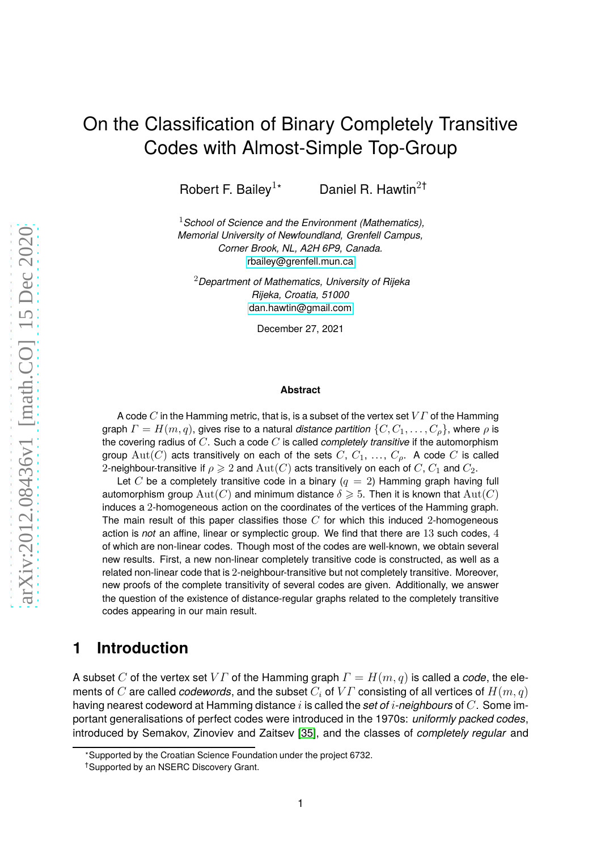# On the Classification of Binary Completely Transitive Codes with Almost-Simple Top-Group

Robert F. Bailey<sup>1</sup><sup>\*</sup> Daniel R. Hawtin<sup>2†</sup>

<sup>1</sup>*School of Science and the Environment (Mathematics), Memorial University of Newfoundland, Grenfell Campus, Corner Brook, NL, A2H 6P9, Canada.* [rbailey@grenfell.mun.ca](mailto:rbailey@grenfell.mun.ca)

<sup>2</sup>*Department of Mathematics, University of Rijeka Rijeka, Croatia, 51000* [dan.hawtin@gmail.com](mailto:dan.hawtin@gmail.com)

December 27, 2021

#### **Abstract**

A code C in the Hamming metric, that is, is a subset of the vertex set  $V\Gamma$  of the Hamming graph  $\Gamma = H(m,q)$ , gives rise to a natural *distance partition*  $\{C, C_1, \ldots, C_{\rho}\}$ , where  $\rho$  is the covering radius of C. Such a code C is called *completely transitive* if the automorphism group  $Aut(C)$  acts transitively on each of the sets  $C, C_1, \ldots, C_p$ . A code C is called 2-neighbour-transitive if  $\rho \geq 2$  and  $\mathrm{Aut}(C)$  acts transitively on each of C,  $C_1$  and  $C_2$ .

Let C be a completely transitive code in a binary  $(q = 2)$  Hamming graph having full automorphism group  $\text{Aut}(C)$  and minimum distance  $\delta \geqslant 5$ . Then it is known that  $\text{Aut}(C)$ induces a 2-homogeneous action on the coordinates of the vertices of the Hamming graph. The main result of this paper classifies those  $C$  for which this induced 2-homogeneous action is *not* an affine, linear or symplectic group. We find that there are 13 such codes, 4 of which are non-linear codes. Though most of the codes are well-known, we obtain several new results. First, a new non-linear completely transitive code is constructed, as well as a related non-linear code that is 2-neighbour-transitive but not completely transitive. Moreover, new proofs of the complete transitivity of several codes are given. Additionally, we answer the question of the existence of distance-regular graphs related to the completely transitive codes appearing in our main result.

### **1 Introduction**

A subset C of the vertex set V Γ of the Hamming graph  $\Gamma = H(m, q)$  is called a *code*, the elements of C are called *codewords*, and the subset  $C_i$  of  $VT$  consisting of all vertices of  $H(m, q)$ having nearest codeword at Hamming distance i is called the *set of* i*-neighbours* of C. Some important generalisations of perfect codes were introduced in the 1970s: *uniformly packed codes*, introduced by Semakov, Zinoviev and Zaitsev [\[35\]](#page-31-0), and the classes of *completely regular* and

<sup>∗</sup>Supported by the Croatian Science Foundation under the project 6732.

<sup>†</sup>Supported by an NSERC Discovery Grant.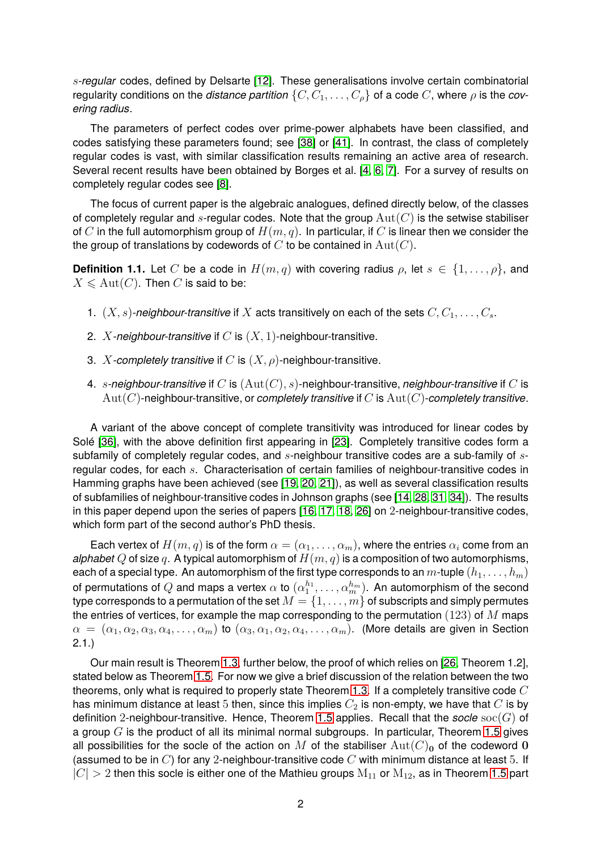s*-regular* codes, defined by Delsarte [\[12\]](#page-30-0). These generalisations involve certain combinatorial regularity conditions on the *distance partition*  $\{C, C_1, \ldots, C_p\}$  of a code C, where  $\rho$  is the *covering radius*.

The parameters of perfect codes over prime-power alphabets have been classified, and codes satisfying these parameters found; see [\[38\]](#page-31-1) or [\[41\]](#page-31-2). In contrast, the class of completely regular codes is vast, with similar classification results remaining an active area of research. Several recent results have been obtained by Borges et al. [\[4,](#page-29-0) [6,](#page-30-1) [7\]](#page-30-2). For a survey of results on completely regular codes see [\[8\]](#page-30-3).

The focus of current paper is the algebraic analogues, defined directly below, of the classes of completely regular and s-regular codes. Note that the group  $Aut(C)$  is the setwise stabiliser of C in the full automorphism group of  $H(m, q)$ . In particular, if C is linear then we consider the the group of translations by codewords of  $C$  to be contained in  $Aut(C)$ .

<span id="page-1-0"></span>**Definition 1.1.** Let C be a code in  $H(m, q)$  with covering radius  $\rho$ , let  $s \in \{1, \ldots, \rho\}$ , and  $X \leq \text{Aut}(C)$ . Then C is said to be:

- 1.  $(X, s)$ -neighbour-transitive if X acts transitively on each of the sets  $C, C_1, \ldots, C_s$ .
- 2. X*-neighbour-transitive* if C is (X, 1)-neighbour-transitive.
- 3. X-completely transitive if C is  $(X, \rho)$ -neighbour-transitive.
- 4. s*-neighbour-transitive* if C is (Aut(C), s)-neighbour-transitive, *neighbour-transitive* if C is Aut(C)-neighbour-transitive, or *completely transitive* if C is Aut(C)-*completely transitive*.

A variant of the above concept of complete transitivity was introduced for linear codes by Solé [\[36\]](#page-31-3), with the above definition first appearing in [\[23\]](#page-30-4). Completely transitive codes form a subfamily of completely regular codes, and  $s$ -neighbour transitive codes are a sub-family of  $s$ regular codes, for each s. Characterisation of certain families of neighbour-transitive codes in Hamming graphs have been achieved (see [\[19,](#page-30-5) [20,](#page-30-6) [21\]](#page-30-7)), as well as several classification results of subfamilies of neighbour-transitive codes in Johnson graphs (see [\[14,](#page-30-8) [28,](#page-31-4) [31,](#page-31-5) [34\]](#page-31-6)). The results in this paper depend upon the series of papers [\[16,](#page-30-9) [17,](#page-30-10) [18,](#page-30-11) [26\]](#page-31-7) on 2-neighbour-transitive codes, which form part of the second author's PhD thesis.

Each vertex of  $H(m, q)$  is of the form  $\alpha = (\alpha_1, \ldots, \alpha_m)$ , where the entries  $\alpha_i$  come from an *alphabet* Q of size q. A typical automorphism of  $H(m, q)$  is a composition of two automorphisms, each of a special type. An automorphism of the first type corresponds to an  $m$ -tuple  $(h_1, \ldots, h_m)$ of permutations of  $Q$  and maps a vertex  $\alpha$  to  $(\alpha_1^{h_1})$  $\mathbb{A}^{h_1}_1,\ldots,\mathbb{a}^{h_m}_m).$  An automorphism of the second type corresponds to a permutation of the set  $M = \{1, \ldots, m\}$  of subscripts and simply permutes the entries of vertices, for example the map corresponding to the permutation  $(123)$  of M maps  $\alpha = (\alpha_1, \alpha_2, \alpha_3, \alpha_4, \ldots, \alpha_m)$  to  $(\alpha_3, \alpha_1, \alpha_2, \alpha_4, \ldots, \alpha_m)$ . (More details are given in Section 2.1.)

Our main result is Theorem [1.3,](#page-2-0) further below, the proof of which relies on [\[26,](#page-31-7) Theorem 1.2], stated below as Theorem [1.5.](#page-3-0) For now we give a brief discussion of the relation between the two theorems, only what is required to properly state Theorem [1.3.](#page-2-0) If a completely transitive code  $C$ has minimum distance at least 5 then, since this implies  $C_2$  is non-empty, we have that  $C$  is by definition 2-neighbour-transitive. Hence, Theorem [1.5](#page-3-0) applies. Recall that the *socle* soc(G) of a group  $G$  is the product of all its minimal normal subgroups. In particular, Theorem [1.5](#page-3-0) gives all possibilities for the socle of the action on M of the stabiliser  $Aut(C)_0$  of the codeword 0 (assumed to be in  $C$ ) for any 2-neighbour-transitive code  $C$  with minimum distance at least 5. If  $|C| > 2$  then this socle is either one of the Mathieu groups  $M_{11}$  or  $M_{12}$ , as in Theorem [1.5](#page-3-0) part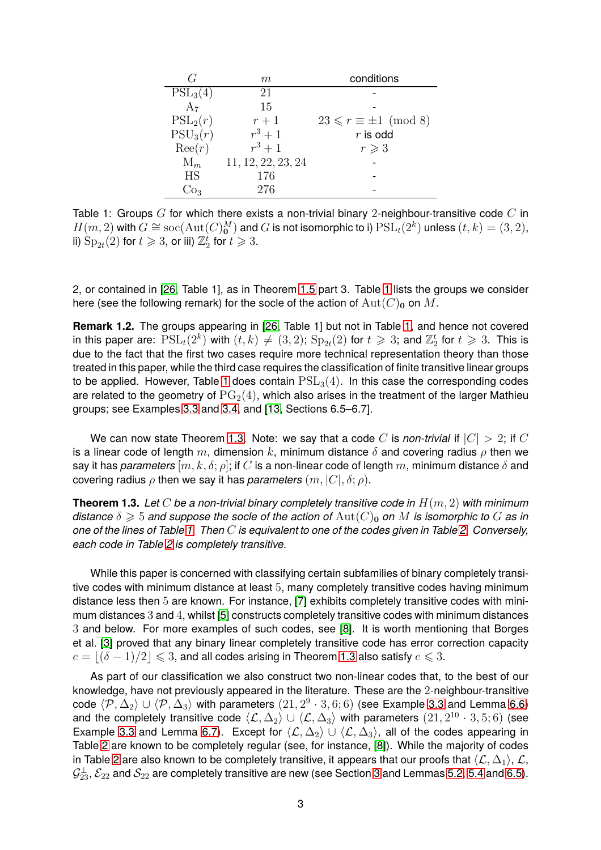| G              | m                  | conditions                        |  |  |
|----------------|--------------------|-----------------------------------|--|--|
| $PSL_3(4)$     | 21                 |                                   |  |  |
| A <sub>7</sub> | 15                 |                                   |  |  |
| $PSL_2(r)$     | $r+1$              | $23 \leq r \equiv \pm 1 \pmod{8}$ |  |  |
| $PSU_3(r)$     | $r^3+1$            | $r$ is odd                        |  |  |
| $\text{Re}(r)$ | $r^3+1$            | $r \geqslant 3$                   |  |  |
| $M_m$          | 11, 12, 22, 23, 24 |                                   |  |  |
| HS             | 176                |                                   |  |  |
|                | 276                |                                   |  |  |

<span id="page-2-1"></span>Table 1: Groups  $G$  for which there exists a non-trivial binary 2-neighbour-transitive code  $C$  in  $H(m,2)$  with  $G \cong \mathrm{soc}(\mathrm{Aut}(C)_{\mathbf 0}^M)$  and  $G$  is not isomorphic to i)  $\mathrm{PSL}_t(2^k)$  unless  $(t,k)=(3,2),$ ii)  $\mathrm{Sp}_{2t}(2)$  for  $t\geqslant 3$ , or iii)  $\mathbb{Z}_2^t$  for  $t\geqslant 3.$ 

2, or contained in [\[26,](#page-31-7) Table 1], as in Theorem [1.5](#page-3-0) part 3. Table [1](#page-2-1) lists the groups we consider here (see the following remark) for the socle of the action of  $Aut(C)_0$  on M.

**Remark 1.2.** The groups appearing in [\[26,](#page-31-7) Table 1] but not in Table [1,](#page-2-1) and hence not covered in this paper are:  $\mathrm{PSL}_t(2^k)$  with  $(t, k) \neq (3, 2)$ ;  $\mathrm{Sp}_{2t}(2)$  for  $t \geqslant 3$ ; and  $\mathbb{Z}_2^t$  for  $t \geqslant 3$ . This is due to the fact that the first two cases require more technical representation theory than those treated in this paper, while the third case requires the classification of finite transitive linear groups to be applied. However, Table [1](#page-2-1) does contain  $PSL<sub>3</sub>(4)$ . In this case the corresponding codes are related to the geometry of  $PG<sub>2</sub>(4)$ , which also arises in the treatment of the larger Mathieu groups; see Examples [3.3](#page-11-0) and [3.4,](#page-12-0) and [\[13,](#page-30-12) Sections 6.5–6.7].

We can now state Theorem [1.3.](#page-2-0) Note: we say that a code C is *non-trivial* if  $|C| > 2$ ; if C is a linear code of length m, dimension k, minimum distance  $\delta$  and covering radius  $\rho$  then we say it has *parameters*  $[m, k, \delta; \rho]$ ; if C is a non-linear code of length m, minimum distance  $\delta$  and covering radius  $\rho$  then we say it has *parameters*  $(m, |C|, \delta; \rho)$ .

<span id="page-2-0"></span>**Theorem 1.3.** *Let* C *be a non-trivial binary completely transitive code in* H(m, 2) *with minimum distance*  $\delta \geq 5$  *and suppose the socle of the action of*  $Aut(C)_0$  *on* M *is isomorphic to* G *as in one of the lines of Table [1.](#page-2-1) Then* C *is equivalent to one of the codes given in Table [2.](#page-3-1) Conversely, each code in Table [2](#page-3-1) is completely transitive.*

While this paper is concerned with classifying certain subfamilies of binary completely transitive codes with minimum distance at least 5, many completely transitive codes having minimum distance less then 5 are known. For instance, [\[7\]](#page-30-2) exhibits completely transitive codes with minimum distances 3 and 4, whilst [\[5\]](#page-29-1) constructs completely transitive codes with minimum distances 3 and below. For more examples of such codes, see [\[8\]](#page-30-3). It is worth mentioning that Borges et al. [\[3\]](#page-29-2) proved that any binary linear completely transitive code has error correction capacity  $e = |(\delta - 1)/2| \leq 3$ , and all codes arising in Theorem [1.3](#page-2-0) also satisfy  $e \leq 3$ .

As part of our classification we also construct two non-linear codes that, to the best of our knowledge, have not previously appeared in the literature. These are the 2-neighbour-transitive code  $\langle \mathcal{P}, \Delta_2 \rangle \cup \langle \mathcal{P}, \Delta_3 \rangle$  with parameters  $(21, 2^9 \cdot 3, 6; 6)$  (see Example [3.3](#page-11-0) and Lemma [6.6\)](#page-23-0) and the completely transitive code  $\langle \mathcal{L}, \Delta_2 \rangle \cup \langle \mathcal{L}, \Delta_3 \rangle$  with parameters  $(21, 2^{10} \cdot 3, 5; 6)$  (see Example [3.3](#page-11-0) and Lemma [6.7\)](#page-23-1). Except for  $\langle \mathcal{L}, \Delta_2 \rangle \cup \langle \mathcal{L}, \Delta_3 \rangle$ , all of the codes appearing in Table [2](#page-3-1) are known to be completely regular (see, for instance, [\[8\]](#page-30-3)). While the majority of codes in Table [2](#page-3-1) are also known to be completely transitive, it appears that our proofs that  $\langle \mathcal{L}, \Delta_1 \rangle$ ,  $\mathcal{L}$ ,  $\mathcal{G}^\perp_{23}$ ,  $\mathcal{E}_{22}$  and  $\mathcal{S}_{22}$  are completely transitive are new (see Section [3](#page-11-1) and Lemmas [5.2,](#page-16-0) [5.4](#page-17-0) and [6.5\)](#page-22-0).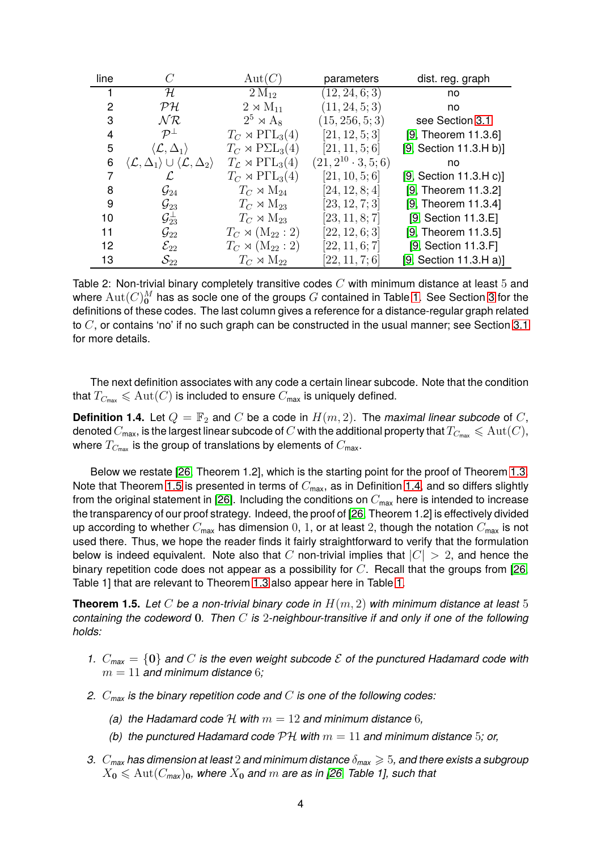| line |                                                                                    | Aut(C)                                            | parameters                   | dist. reg. graph       |
|------|------------------------------------------------------------------------------------|---------------------------------------------------|------------------------------|------------------------|
|      | $\mathcal H$                                                                       | $2\,\rm M_{12}$                                   | (12, 24, 6; 3)               | no                     |
| 2    | $\mathcal{P}$ H                                                                    | $2 \rtimes M_{11}$                                | (11, 24, 5; 3)               | no                     |
| 3    | $N\mathcal{R}$                                                                     | $2^5 \rtimes A_8$                                 | (15, 256, 5; 3)              | see Section 3.1        |
| 4    | $\mathcal{P}^{\perp}$                                                              | $T_C \rtimes \mathrm{P}\Gamma \mathrm{L}_3(4)$    | [21, 12, 5; 3]               | [9, Theorem 11.3.6]    |
| 5    | $\langle \mathcal{L}, \Delta_1 \rangle$                                            | $T_C \rtimes P\Sigma L_3(4)$                      | [21, 11, 5; 6]               | [9, Section 11.3.H b)] |
| 6    | $\langle \mathcal{L}, \Delta_1 \rangle \cup \langle \mathcal{L}, \Delta_2 \rangle$ | $T_{\mathcal{L}} \rtimes \mathrm{P}\Gamma L_3(4)$ | $(21, 2^{10} \cdot 3, 5; 6)$ | no                     |
|      | L                                                                                  | $T_C \rtimes \mathrm{P}\Gamma \mathrm{L}_3(4)$    | [21, 10, 5; 6]               | [9, Section 11.3.Hc]   |
| 8    | $\mathcal{G}_{24}$                                                                 | $T_C \rtimes M_{24}$                              | [24, 12, 8; 4]               | [9, Theorem 11.3.2]    |
| 9    | $\mathcal{G}_{23}$                                                                 | $T_C \rtimes M_{23}$                              | [23, 12, 7; 3]               | [9, Theorem 11.3.4]    |
| 10   | $\mathcal{G}_{23}^\perp$                                                           | $T_C \rtimes M_{23}$                              | [23, 11, 8; 7]               | [9, Section 11.3.E]    |
| 11   | $\mathcal{G}_{22}$                                                                 | $T_C \rtimes (\mathrm{M}_{22}:2)$                 | [22, 12, 6; 3]               | [9, Theorem 11.3.5]    |
| 12   | $\mathcal{E}_{22}$                                                                 | $T_C \rtimes (\mathrm{M}_{22}:2)$                 | [22, 11, 6; 7]               | [9, Section 11.3.F]    |
| 13   | $\mathcal{S}_{22}$                                                                 | $T_C \rtimes M_{22}$                              | [22, 11, 7; 6]               | [9, Section 11.3.H a]  |

<span id="page-3-1"></span>Table 2: Non-trivial binary completely transitive codes  $C$  with minimum distance at least 5 and where  $\mathrm{Aut}(C)_{\mathbf{0}}^M$  has as socle one of the groups  $G$  contained in Table [1.](#page-2-1) See Section [3](#page-11-1) for the definitions of these codes. The last column gives a reference for a distance-regular graph related to  $C$ , or contains 'no' if no such graph can be constructed in the usual manner; see Section [3.1](#page-12-1) for more details.

The next definition associates with any code a certain linear subcode. Note that the condition that  $T_{C_{\text{max}}} \leqslant \mathrm{Aut}(C)$  is included to ensure  $C_{\text{max}}$  is uniquely defined.

<span id="page-3-2"></span>**Definition 1.4.** Let  $Q = \mathbb{F}_2$  and C be a code in  $H(m, 2)$ . The *maximal linear subcode* of C, denoted  $C_{\text{max}}$ , is the largest linear subcode of C with the additional property that  $T_{C_{\text{max}}} \leqslant \text{Aut}(C)$ , where  $T_{C_{\text{max}}}$  is the group of translations by elements of  $C_{\text{max}}$ .

Below we restate [\[26,](#page-31-7) Theorem 1.2], which is the starting point for the proof of Theorem [1.3.](#page-2-0) Note that Theorem [1.5](#page-3-0) is presented in terms of  $C_{\text{max}}$ , as in Definition [1.4,](#page-3-2) and so differs slightly from the original statement in [\[26\]](#page-31-7). Including the conditions on  $C_{\text{max}}$  here is intended to increase the transparency of our proof strategy. Indeed, the proof of [\[26,](#page-31-7) Theorem 1.2] is effectively divided up according to whether  $C_{\text{max}}$  has dimension 0, 1, or at least 2, though the notation  $C_{\text{max}}$  is not used there. Thus, we hope the reader finds it fairly straightforward to verify that the formulation below is indeed equivalent. Note also that C non-trivial implies that  $|C| > 2$ , and hence the binary repetition code does not appear as a possibility for  $C$ . Recall that the groups from [\[26,](#page-31-7) Table 1] that are relevant to Theorem [1.3](#page-2-0) also appear here in Table [1.](#page-2-1)

<span id="page-3-0"></span>**Theorem 1.5.** *Let* C *be a non-trivial binary code in* H(m, 2) *with minimum distance at least* 5 *containing the codeword* 0*. Then* C *is* 2*-neighbour-transitive if and only if one of the following holds:*

- *1.*  $C_{\text{max}} = \{0\}$  and C is the even weight subcode  $\mathcal E$  of the punctured Hadamard code with  $m = 11$  and minimum distance 6;
- *2.* C*max is the binary repetition code and* C *is one of the following codes:*
	- *(a) the Hadamard code*  $H$  *with*  $m = 12$  *and minimum distance* 6*,*
	- *(b)* the punctured Hadamard code  $\mathcal{PH}$  with  $m = 11$  and minimum distance 5; or,
- *3.* C*max has dimension at least* 2 *and minimum distance* δ*max* > 5*, and there exists a subgroup*  $X_0 \leqslant \mathrm{Aut}(C_{\text{max}})_0$ , where  $X_0$  and  $m$  are as in [\[26,](#page-31-7) Table 1], such that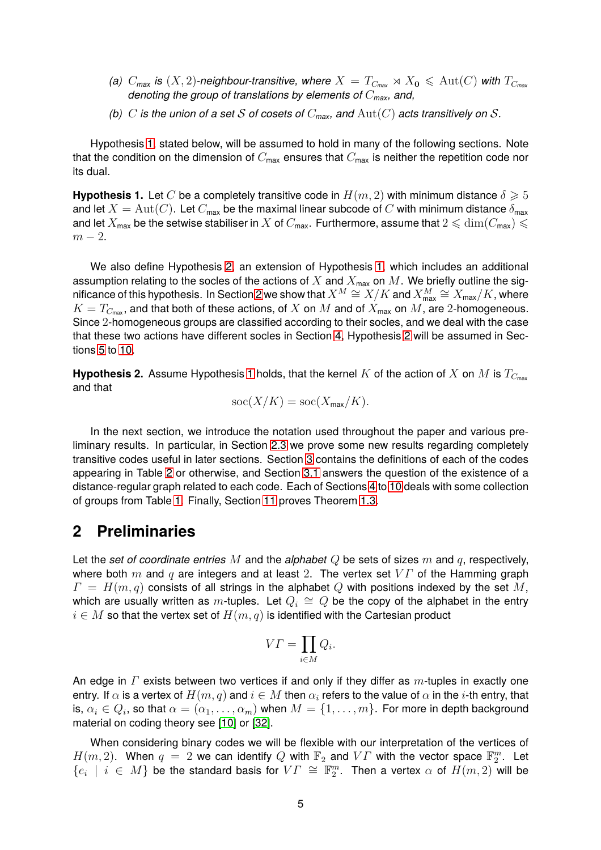- *(a)*  $C_{\text{max}}$  *is*  $(X, 2)$ -neighbour-transitive, where  $X = T_{C_{\text{max}}} \rtimes X_0 \leq \text{Aut}(C)$  with  $T_{C_{\text{max}}}$ *denoting the group of translations by elements of* C*max, and,*
- *(b)* C is the union of a set S of cosets of  $C_{\text{max}}$ , and  $\text{Aut}(C)$  acts transitively on S.

Hypothesis [1,](#page-4-0) stated below, will be assumed to hold in many of the following sections. Note that the condition on the dimension of  $C_{\text{max}}$  ensures that  $C_{\text{max}}$  is neither the repetition code nor its dual.

<span id="page-4-0"></span>**Hypothesis 1.** Let C be a completely transitive code in  $H(m, 2)$  with minimum distance  $\delta \geq 5$ and let  $X = \text{Aut}(C)$ . Let  $C_{\text{max}}$  be the maximal linear subcode of  $C$  with minimum distance  $\delta_{\text{max}}$ and let  $X_{\text{max}}$  be the setwise stabiliser in X of  $C_{\text{max}}$ . Furthermore, assume that  $2 \leqslant \dim(C_{\text{max}}) \leqslant$  $m-2$ .

We also define Hypothesis [2,](#page-4-1) an extension of Hypothesis [1,](#page-4-0) which includes an additional assumption relating to the socles of the actions of  $X$  and  $X_{\text{max}}$  on  $M$ . We briefly outline the sig-nificance of this hypothesis. In Section [2](#page-4-2) we show that  $X^M\cong X/K$  and  $X^M_{\sf max}\cong X_{\sf max}/K$ , where  $K = T_{C_{\text{max}}}$ , and that both of these actions, of X on M and of  $X_{\text{max}}$  on M, are 2-homogeneous. Since 2-homogeneous groups are classified according to their socles, and we deal with the case that these two actions have different socles in Section [4,](#page-13-0) Hypothesis [2](#page-4-1) will be assumed in Sections [5](#page-15-0) to [10.](#page-28-0)

<span id="page-4-1"></span>**Hypothesis 2.** Assume Hypothesis [1](#page-4-0) holds, that the kernel K of the action of X on M is  $T_{C_{\text{max}}}$ and that

$$
soc(X/K) = soc(X_{\max}/K).
$$

In the next section, we introduce the notation used throughout the paper and various preliminary results. In particular, in Section [2.3](#page-7-0) we prove some new results regarding completely transitive codes useful in later sections. Section [3](#page-11-1) contains the definitions of each of the codes appearing in Table [2](#page-3-1) or otherwise, and Section [3.1](#page-12-1) answers the question of the existence of a distance-regular graph related to each code. Each of Sections [4](#page-13-0) to [10](#page-28-0) deals with some collection of groups from Table [1.](#page-2-1) Finally, Section [11](#page-28-1) proves Theorem [1.3.](#page-2-0)

### <span id="page-4-2"></span>**2 Preliminaries**

Let the *set of coordinate entries* M and the *alphabet* Q be sets of sizes m and q, respectively, where both m and q are integers and at least 2. The vertex set  $VT$  of the Hamming graph  $\Gamma = H(m, q)$  consists of all strings in the alphabet Q with positions indexed by the set M, which are usually written as  $m$ -tuples. Let  $Q_i \, \cong \, Q$  be the copy of the alphabet in the entry  $i \in M$  so that the vertex set of  $H(m, q)$  is identified with the Cartesian product

$$
V\Gamma = \prod_{i \in M} Q_i.
$$

An edge in  $\Gamma$  exists between two vertices if and only if they differ as  $m$ -tuples in exactly one entry. If  $\alpha$  is a vertex of  $H(m,q)$  and  $i\in M$  then  $\alpha_i$  refers to the value of  $\alpha$  in the  $i$ -th entry, that is,  $\alpha_i \in Q_i$ , so that  $\alpha = (\alpha_1, \ldots, \alpha_m)$  when  $M = \{1, \ldots, m\}$ . For more in depth background material on coding theory see [\[10\]](#page-30-14) or [\[32\]](#page-31-8).

When considering binary codes we will be flexible with our interpretation of the vertices of  $H(m,2)$ . When  $q~=~2$  we can identify  $Q$  with  $\mathbb{F}_2$  and  $V\varGamma$  with the vector space  $\mathbb{F}_2^m$ . Let  $\{e_i \mid i \in M\}$  be the standard basis for  $V\Gamma \cong \mathbb{F}_2^m$ . Then a vertex  $\alpha$  of  $H(m,2)$  will be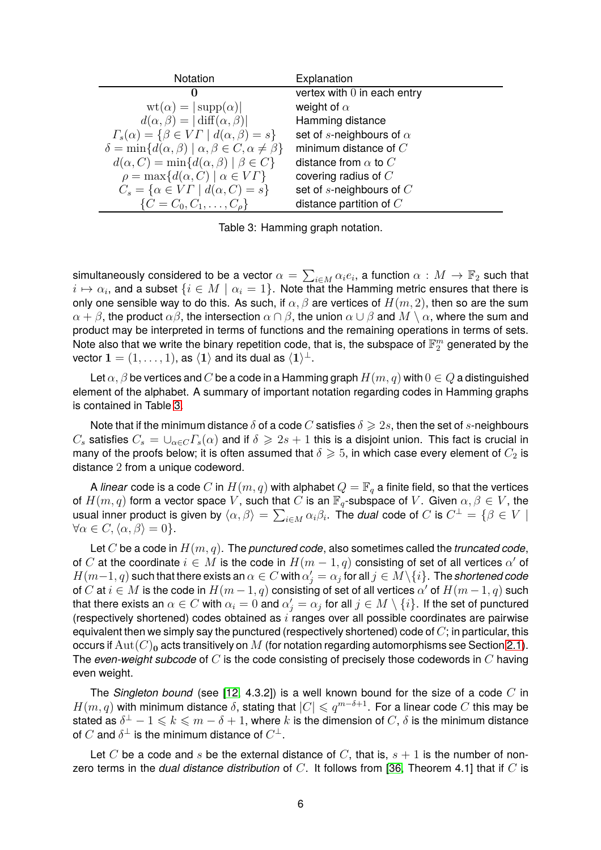| Notation                                                                           | Explanation                     |
|------------------------------------------------------------------------------------|---------------------------------|
| 0                                                                                  | vertex with $0$ in each entry   |
| $\text{wt}(\alpha) =  \text{supp}(\alpha) $                                        | weight of $\alpha$              |
| $d(\alpha, \beta) =  \text{diff}(\alpha, \beta) $                                  | Hamming distance                |
| $\Gamma_s(\alpha) = \{ \beta \in V\Gamma \mid d(\alpha, \beta) = s \}$             | set of s-neighbours of $\alpha$ |
| $\delta = \min \{ d(\alpha, \beta) \mid \alpha, \beta \in C, \alpha \neq \beta \}$ | minimum distance of $C$         |
| $d(\alpha, C) = \min\{d(\alpha, \beta) \mid \beta \in C\}$                         | distance from $\alpha$ to $C$   |
| $\rho = \max \{ d(\alpha, C) \mid \alpha \in V\Gamma \}$                           | covering radius of $C$          |
| $C_s = \{ \alpha \in V\Gamma \mid d(\alpha, C) = s \}$                             | set of $s$ -neighbours of $C$   |
| $\{C = C_0, C_1, \ldots, C_{\rho}\}\$                                              | distance partition of $C$       |

<span id="page-5-0"></span>Table 3: Hamming graph notation.

simultaneously considered to be a vector  $\alpha=\sum_{i\in M}\alpha_ie_i,$  a function  $\alpha:M\to\mathbb{F}_2$  such that  $i\mapsto \alpha_i$ , and a subset  $\{i\in M\mid \alpha_i=1\}.$  Note that the Hamming metric ensures that there is only one sensible way to do this. As such, if  $\alpha, \beta$  are vertices of  $H(m, 2)$ , then so are the sum  $\alpha + \beta$ , the product  $\alpha\beta$ , the intersection  $\alpha \cap \beta$ , the union  $\alpha \cup \beta$  and  $M \setminus \alpha$ , where the sum and product may be interpreted in terms of functions and the remaining operations in terms of sets. Note also that we write the binary repetition code, that is, the subspace of  $\mathbb{F}_2^m$  generated by the vector  $\mathbf{1}=(1,\ldots,1)$ , as  $\langle\mathbf{1}\rangle$  and its dual as  $\langle\mathbf{1}\rangle^{\perp}$ .

Let  $\alpha, \beta$  be vertices and C be a code in a Hamming graph  $H(m, q)$  with  $0 \in Q$  a distinguished element of the alphabet. A summary of important notation regarding codes in Hamming graphs is contained in Table [3.](#page-5-0)

Note that if the minimum distance  $\delta$  of a code C satisfies  $\delta \geq 2s$ , then the set of s-neighbours  $C_s$  satisfies  $C_s = \bigcup_{\alpha \in C} \Gamma_s(\alpha)$  and if  $\delta \geq 2s + 1$  this is a disjoint union. This fact is crucial in many of the proofs below; it is often assumed that  $\delta \geq 5$ , in which case every element of  $C_2$  is distance 2 from a unique codeword.

A *linear* code is a code  $C$  in  $H(m,q)$  with alphabet  $Q = \mathbb{F}_q$  a finite field, so that the vertices of  $H(m, q)$  form a vector space V, such that C is an  $\mathbb{F}_q$ -subspace of V. Given  $\alpha, \beta \in V$ , the usual inner product is given by  $\langle \alpha, \beta \rangle = \sum_{i \in M} \alpha_i \beta_i$ . The *dual* code of  $C$  is  $C^{\perp} = \{ \beta \in V \mid \alpha_i \in C \}$  $\forall \alpha \in C, \langle \alpha, \beta \rangle = 0$ .

Let C be a code in H(m, q). The *punctured code*, also sometimes called the *truncated code*, of C at the coordinate  $i \in M$  is the code in  $H(m-1, q)$  consisting of set of all vertices  $\alpha'$  of  $H(m-1, q)$  such that there exists an  $\alpha \in C$  with  $\alpha'_j = \alpha_j$  for all  $j \in M \setminus \{i\}$ . The *shortened code* of  $C$  at  $i \in M$  is the code in  $H(m-1,q)$  consisting of set of all vertices  $\alpha'$  of  $H(m-1,q)$  such that there exists an  $\alpha\in C$  with  $\alpha_i=0$  and  $\alpha'_j=\alpha_j$  for all  $j\in M\setminus\{i\}.$  If the set of punctured (respectively shortened) codes obtained as  $i$  ranges over all possible coordinates are pairwise equivalent then we simply say the punctured (respectively shortened) code of  $C$ ; in particular, this occurs if  $Aut(C)_0$  acts transitively on M (for notation regarding automorphisms see Section [2.1\)](#page-6-0). The *even-weight subcode* of C is the code consisting of precisely those codewords in C having even weight.

The *Singleton bound* (see [\[12,](#page-30-0) 4.3.2]) is a well known bound for the size of a code C in  $H(m,q)$  with minimum distance  $\delta$ , stating that  $|C| \leqslant q^{m-\delta+1}.$  For a linear code  $C$  this may be stated as  $\delta^\perp-1\leqslant k\leqslant m-\delta+1,$  where  $k$  is the dimension of  $C,\,\delta$  is the minimum distance of  $C$  and  $\delta^\perp$  is the minimum distance of  $C^\perp.$ 

Let C be a code and s be the external distance of C, that is,  $s + 1$  is the number of nonzero terms in the *dual distance distribution* of C. It follows from [\[36,](#page-31-3) Theorem 4.1] that if C is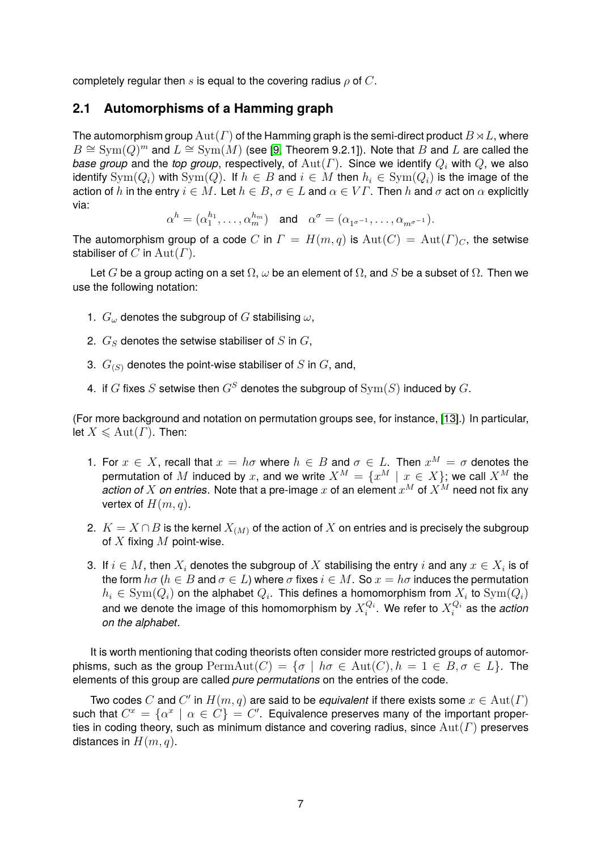<span id="page-6-0"></span>completely regular then s is equal to the covering radius  $\rho$  of C.

#### **2.1 Automorphisms of a Hamming graph**

The automorphism group  $\text{Aut}(\Gamma)$  of the Hamming graph is the semi-direct product  $B \rtimes L$ , where  $B \cong \mathrm{Sym}(Q)^m$  and  $L \cong \mathrm{Sym}(M)$  (see [\[9,](#page-30-13) Theorem 9.2.1]). Note that  $B$  and  $L$  are called the *base group* and the *top group*, respectively, of  $\text{Aut}(\Gamma)$ . Since we identify  $Q_i$  with  $Q$ , we also identify  $\text{Sym}(Q_i)$  with  $\text{Sym}(Q)$ . If  $h \in B$  and  $i \in M$  then  $h_i \in \text{Sym}(Q_i)$  is the image of the action of h in the entry  $i \in M$ . Let  $h \in B$ ,  $\sigma \in L$  and  $\alpha \in V\Gamma$ . Then h and  $\sigma$  act on  $\alpha$  explicitly via:

$$
\alpha^h=(\alpha_1^{h_1},\ldots,\alpha_m^{h_m})\quad\text{and}\quad \alpha^\sigma=(\alpha_{1^{\sigma^{-1}}},\ldots,\alpha_{m^{\sigma^{-1}}}).
$$

The automorphism group of a code C in  $\Gamma = H(m, q)$  is  $\text{Aut}(\Gamma) = \text{Aut}(\Gamma)_{C}$ , the setwise stabiliser of C in  $Aut(\Gamma)$ .

Let G be a group acting on a set  $\Omega$ ,  $\omega$  be an element of  $\Omega$ , and S be a subset of  $\Omega$ . Then we use the following notation:

- 1.  $G_{\omega}$  denotes the subgroup of G stabilising  $\omega$ ,
- 2.  $G_S$  denotes the setwise stabiliser of S in  $G$ ,
- 3.  $G_{(S)}$  denotes the point-wise stabiliser of S in G, and,
- 4. if G fixes S setwise then  $G^S$  denotes the subgroup of  $\text{Sym}(S)$  induced by G.

(For more background and notation on permutation groups see, for instance, [\[13\]](#page-30-12).) In particular, let  $X \leqslant \text{Aut}(\Gamma)$ . Then:

- 1. For  $x \in X$ , recall that  $x = h\sigma$  where  $h \in B$  and  $\sigma \in L$ . Then  $x^M = \sigma$  denotes the permutation of  $M$  induced by  $x$ , and we write  $X^M = \{x^M \mid x \in X\}$ ; we call  $X^M$  the *action of*  $X$  *on entries*. Note that a pre-image  $x$  of an element  $x^M$  of  $X^M$  need not fix any vertex of  $H(m, q)$ .
- 2.  $K = X \cap B$  is the kernel  $X_{(M)}$  of the action of X on entries and is precisely the subgroup of  $X$  fixing  $M$  point-wise.
- 3. If  $i \in M$ , then  $X_i$  denotes the subgroup of  $X$  stabilising the entry  $i$  and any  $x \in X_i$  is of the form  $h\sigma$  ( $h \in B$  and  $\sigma \in L$ ) where  $\sigma$  fixes  $i \in M$ . So  $x = h\sigma$  induces the permutation  $h_i \in \mathrm{Sym}(Q_i)$  on the alphabet  $Q_i.$  This defines a homomorphism from  $X_i$  to  $\mathrm{Sym}(Q_i)$ and we denote the image of this homomorphism by  $X_i^{Q_i}$  $_i^{Q_i}$ . We refer to  $X_i^{Q_i}$  $\mathbf{a}^{\mathcal{Q}_i}$  as the *action on the alphabet*.

It is worth mentioning that coding theorists often consider more restricted groups of automorphisms, such as the group  $\text{PermAut}(C) = \{\sigma \mid h\sigma \in \text{Aut}(C), h = 1 \in B, \sigma \in L\}.$  The elements of this group are called *pure permutations* on the entries of the code.

Two codes C and C' in  $H(m, q)$  are said to be *equivalent* if there exists some  $x \in \text{Aut}(\Gamma)$ such that  $C^x = \{\alpha^x \mid \alpha \in C\} = C'$ . Equivalence preserves many of the important properties in coding theory, such as minimum distance and covering radius, since  $Aut(\Gamma)$  preserves distances in  $H(m, q)$ .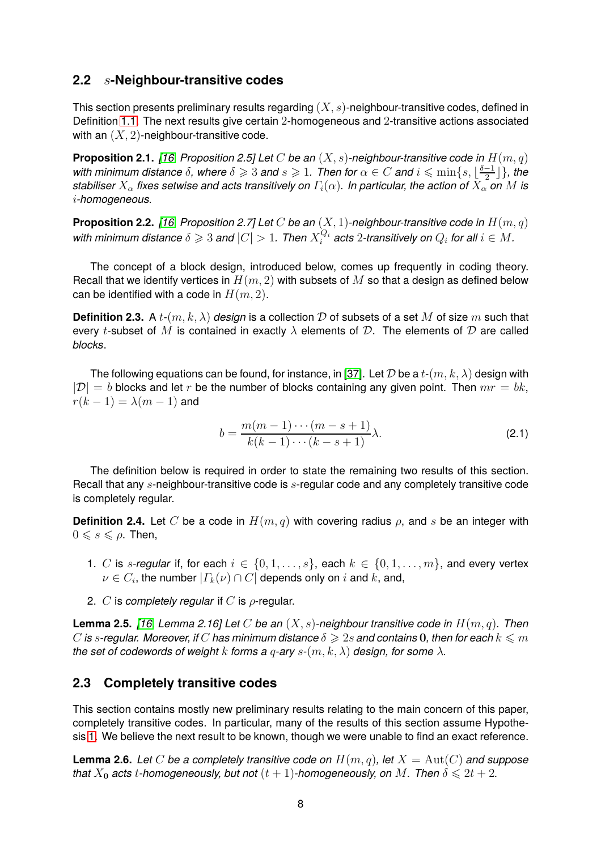### **2.2** s**-Neighbour-transitive codes**

This section presents preliminary results regarding  $(X, s)$ -neighbour-transitive codes, defined in Definition [1.1.](#page-1-0) The next results give certain 2-homogeneous and 2-transitive actions associated with an  $(X, 2)$ -neighbour-transitive code.

<span id="page-7-1"></span>**Proposition 2.1.** [\[16,](#page-30-9) Proposition 2.5] Let C be an  $(X, s)$ -neighbour-transitive code in  $H(m, q)$ *with minimum distance*  $\delta$ , where  $\delta \geqslant 3$  *and*  $s \geqslant 1$ . Then for  $\alpha \in C$  and  $i \leqslant \min\{s,\lfloor\frac{\delta-1}{2}\rfloor\}$  $\frac{-1}{2}$ }*}, the stabiliser*  $X_\alpha$  *fixes setwise and acts transitively on*  $\Gamma_i(\alpha)$ *. In particular, the action of*  $X_\alpha$  *on* M *is* i*-homogeneous.*

<span id="page-7-2"></span>**Proposition 2.2.** [\[16,](#page-30-9) Proposition 2.7] Let C be an  $(X, 1)$ -neighbour-transitive code in  $H(m, q)$ with minimum distance  $\delta \geqslant 3$  and  $|C|>1.$  Then  $X_i^{Q_i}$  $Q_i^{Q_i}$  acts  $2$ -transitively on  $Q_i$  for all  $i \in M$ .

The concept of a block design, introduced below, comes up frequently in coding theory. Recall that we identify vertices in  $H(m, 2)$  with subsets of M so that a design as defined below can be identified with a code in  $H(m, 2)$ .

**Definition 2.3.** A  $t$ - $(m, k, \lambda)$  *design* is a collection D of subsets of a set M of size m such that every t-subset of M is contained in exactly  $\lambda$  elements of D. The elements of D are called *blocks*.

The following equations can be found, for instance, in [\[37\]](#page-31-9). Let D be a  $t$ - $(m, k, \lambda)$  design with  $|D| = b$  blocks and let r be the number of blocks containing any given point. Then  $mr = bk$ ,  $r(k-1) = \lambda(m-1)$  and

$$
b = \frac{m(m-1)\cdots(m-s+1)}{k(k-1)\cdots(k-s+1)}\lambda.
$$
\n(2.1)

The definition below is required in order to state the remaining two results of this section. Recall that any s-neighbour-transitive code is s-regular code and any completely transitive code is completely regular.

**Definition 2.4.** Let C be a code in  $H(m, q)$  with covering radius  $\rho$ , and s be an integer with  $0 \leqslant s \leqslant \rho$ . Then,

- 1. C is s-regular if, for each  $i \in \{0, 1, \ldots, s\}$ , each  $k \in \{0, 1, \ldots, m\}$ , and every vertex  $\nu\in C_i,$  the number  $|\varGamma_k(\nu)\cap C|$  depends only on  $i$  and  $k,$  and,
- 2. C is *completely regular* if C is  $\rho$ -regular.

<span id="page-7-4"></span>**Lemma 2.5.** *[\[16,](#page-30-9) Lemma 2.16] Let* C *be an* (X, s)*-neighbour transitive code in* H(m, q)*. Then* C is s-regular. Moreover, if C has minimum distance  $\delta \geqslant 2s$  and contains 0, then for each  $k \leqslant m$ *the set of codewords of weight* k *forms a*  $q$ -ary  $s$ - $(m, k, \lambda)$  design, for some  $\lambda$ .

### <span id="page-7-0"></span>**2.3 Completely transitive codes**

This section contains mostly new preliminary results relating to the main concern of this paper, completely transitive codes. In particular, many of the results of this section assume Hypothesis [1.](#page-4-0) We believe the next result to be known, though we were unable to find an exact reference.

<span id="page-7-3"></span>**Lemma 2.6.** Let C be a completely transitive code on  $H(m, q)$ , let  $X = Aut(C)$  and suppose *that*  $X_0$  *acts t-homogeneously, but not*  $(t + 1)$ *-homogeneously, on* M. Then  $\delta \le 2t + 2$ *.*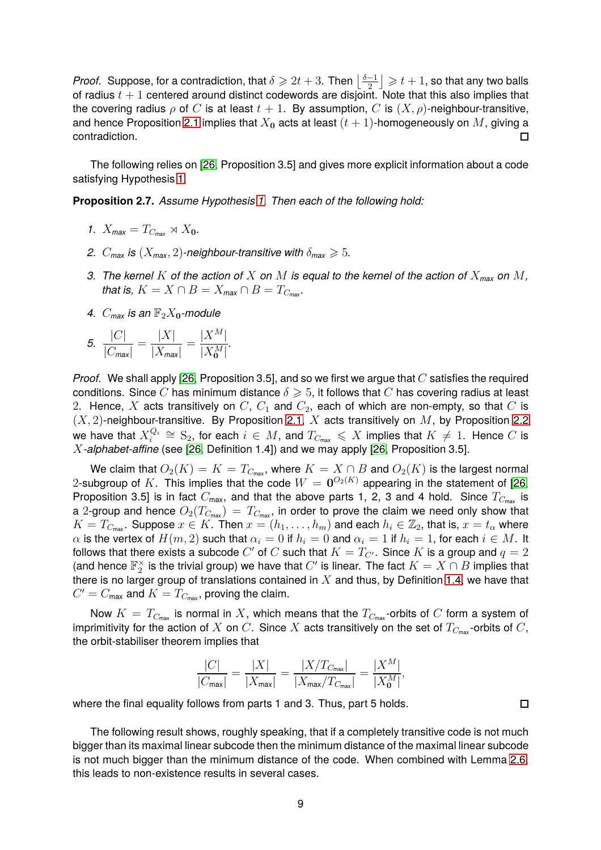*Proof.* Suppose, for a contradiction, that  $\delta \geqslant 2t+3$ . Then  $\left\lfloor \frac{\delta-1}{2}\right\rfloor$  $\left\lfloor\frac{-1}{2}\right\rfloor\geqslant t+1$ , so that any two balls of radius  $t + 1$  centered around distinct codewords are disjoint. Note that this also implies that the covering radius  $\rho$  of C is at least  $t + 1$ . By assumption, C is  $(X, \rho)$ -neighbour-transitive, and hence Proposition [2.1](#page-7-1) implies that  $X_0$  acts at least  $(t + 1)$ -homogeneously on M, giving a contradiction.  $\Box$ 

The following relies on [\[26,](#page-31-7) Proposition 3.5] and gives more explicit information about a code satisfying Hypothesis [1.](#page-4-0)

<span id="page-8-0"></span>**Proposition 2.7.** *Assume Hypothesis [1.](#page-4-0) Then each of the following hold:*

- *1.*  $X_{\text{max}} = T_{C_{\text{max}}} \rtimes X_0$ .
- *2.*  $C_{\text{max}}$  *is*  $(X_{\text{max}}, 2)$ *-neighbour-transitive with*  $\delta_{\text{max}} \geq 5$ *.*
- *3. The kernel* K *of the action of* X *on* M *is equal to the kernel of the action of* X*max on* M*, that is,*  $K = X \cap B = X_{\text{max}} \cap B = T_{C_{\text{max}}}$ .
- 4.  $C_{\text{max}}$  *is an*  $\mathbb{F}_2X_0$ -module

5. 
$$
\frac{|C|}{|C_{\text{max}}|} = \frac{|X|}{|X_{\text{max}}|} = \frac{|X^M|}{|X_0^M|}.
$$

*Proof.* We shall apply [\[26,](#page-31-7) Proposition 3.5], and so we first we argue that C satisfies the required conditions. Since C has minimum distance  $\delta \geq 5$ , it follows that C has covering radius at least 2. Hence, X acts transitively on  $C, C_1$  and  $C_2$ , each of which are non-empty, so that  $C$  is  $(X, 2)$ -neighbour-transitive. By Proposition [2.1,](#page-7-1) X acts transitively on M, by Proposition [2.2](#page-7-2) we have that  $X_i^{Q_i}$  $\mathcal{L}^{Q_i}$   $\cong$   $S_2$ , for each  $i \in M$ , and  $T_{C_{\text{max}}}$   $\leqslant X$  implies that  $K \neq 1$ . Hence  $C$  is X*-alphabet-affine* (see [\[26,](#page-31-7) Definition 1.4]) and we may apply [\[26,](#page-31-7) Proposition 3.5].

We claim that  $O_2(K) = K = T_{C_{\text{max}}}$ , where  $K = X \cap B$  and  $O_2(K)$  is the largest normal 2-subgroup of  $K$ . This implies that the code  $W = \mathbf{0}^{O_2(K)}$  appearing in the statement of [\[26,](#page-31-7) Proposition 3.5] is in fact  $C_{\text{max}}$ , and that the above parts 1, 2, 3 and 4 hold. Since  $T_{C_{\text{max}}}$  is a 2-group and hence  $O_2(T_{C_{\text{max}}}) = T_{C_{\text{max}}}$ , in order to prove the claim we need only show that  $K = T_{C_{\text{max}}}$ . Suppose  $x \in K$ . Then  $x = (h_1, \ldots, h_m)$  and each  $h_i \in \mathbb{Z}_2$ , that is,  $x = t_\alpha$  where  $\alpha$  is the vertex of  $H(m, 2)$  such that  $\alpha_i = 0$  if  $h_i = 0$  and  $\alpha_i = 1$  if  $h_i = 1$ , for each  $i \in M$ . It follows that there exists a subcode  $C'$  of  $C$  such that  $K=T_{C^{\prime}}.$  Since  $K$  is a group and  $q=2$ (and hence  $\mathbb{F}_2^\times$  is the trivial group) we have that  $C'$  is linear. The fact  $K=X\cap B$  implies that there is no larger group of translations contained in  $X$  and thus, by Definition [1.4,](#page-3-2) we have that  $C^{\prime}=C_{\sf max}$  and  $K=T_{C_{\sf max}}$ , proving the claim.

Now  $K = T_{C_{\text{max}}}$  is normal in X, which means that the  $T_{C_{\text{max}}}$ -orbits of C form a system of imprimitivity for the action of X on C. Since X acts transitively on the set of  $T_{C_{\text{max}}}$ -orbits of C, the orbit-stabiliser theorem implies that

$$
\frac{|C|}{|C_{\text{max}}|} = \frac{|X|}{|X_{\text{max}}|} = \frac{|X/T_{C_{\text{max}}}|}{|X_{\text{max}}/T_{C_{\text{max}}}|} = \frac{|X^M|}{|X_0^M|},
$$

 $\Box$ 

where the final equality follows from parts 1 and 3. Thus, part 5 holds.

The following result shows, roughly speaking, that if a completely transitive code is not much bigger than its maximal linear subcode then the minimum distance of the maximal linear subcode is not much bigger than the minimum distance of the code. When combined with Lemma [2.6,](#page-7-3) this leads to non-existence results in several cases.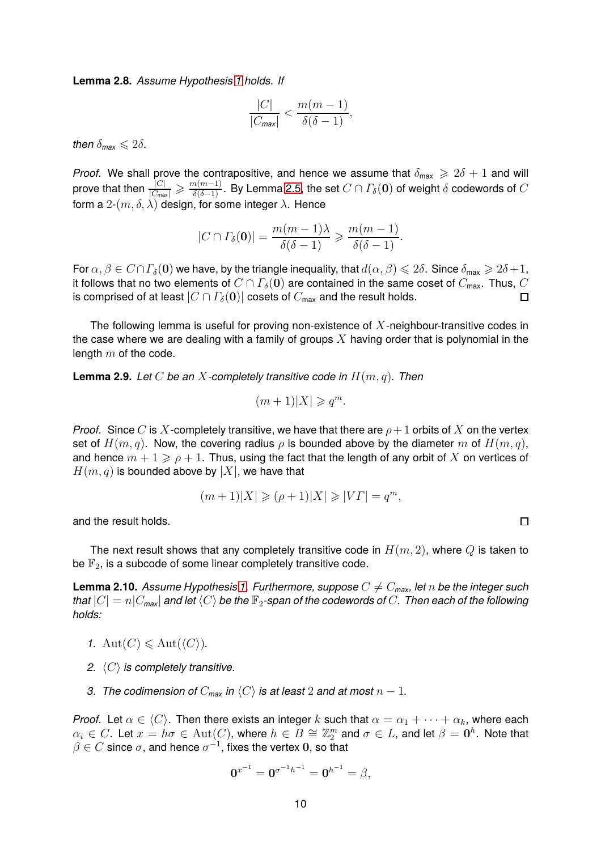<span id="page-9-1"></span>**Lemma 2.8.** *Assume Hypothesis [1](#page-4-0) holds. If*

$$
\frac{|C|}{|C_{\text{max}}|} < \frac{m(m-1)}{\delta(\delta-1)},
$$

*then*  $\delta_{\text{max}} \leq 2\delta$ .

*Proof.* We shall prove the contrapositive, and hence we assume that  $\delta_{\text{max}} \geq 2\delta + 1$  and will prove that then  $\frac{|C|}{|C_{\sf max}|}\geqslant\frac{m(m-1)}{\delta(\delta-1)}.$  By Lemma [2.5,](#page-7-4) the set  $C\cap\varGamma_\delta(\bf{0})$  of weight  $\delta$  codewords of  $C$ form a  $2-(m, \delta, \lambda)$  design, for some integer  $\lambda$ . Hence

$$
|C \cap \Gamma_{\delta}(\mathbf{0})| = \frac{m(m-1)\lambda}{\delta(\delta-1)} \geqslant \frac{m(m-1)}{\delta(\delta-1)}.
$$

For  $\alpha, \beta \in C \cap \Gamma_{\delta}(\mathbf{0})$  we have, by the triangle inequality, that  $d(\alpha, \beta) \leq 2\delta$ . Since  $\delta_{\max} \geq 2\delta + 1$ , it follows that no two elements of  $C \cap \Gamma_{\delta}(\mathbf{0})$  are contained in the same coset of  $C_{\text{max}}$ . Thus,  $C$  is comprised of at least  $|C \cap \Gamma_{\delta}(\mathbf{0})|$  cosets of  $C_{\text{max}}$  and the result holds. is comprised of at least  $|C \cap \Gamma_{\delta}(\mathbf{0})|$  cosets of  $C_{\text{max}}$  and the result holds.

The following lemma is useful for proving non-existence of  $X$ -neighbour-transitive codes in the case where we are dealing with a family of groups X having order that is polynomial in the length  $m$  of the code.

<span id="page-9-2"></span>**Lemma 2.9.** *Let* C *be an* X*-completely transitive code in* H(m, q)*. Then*

$$
(m+1)|X| \geqslant q^m.
$$

*Proof.* Since C is X-completely transitive, we have that there are  $\rho+1$  orbits of X on the vertex set of  $H(m, q)$ . Now, the covering radius  $\rho$  is bounded above by the diameter m of  $H(m, q)$ , and hence  $m + 1 \geqslant \rho + 1$ . Thus, using the fact that the length of any orbit of X on vertices of  $H(m, q)$  is bounded above by  $|X|$ , we have that

$$
(m+1)|X| \geqslant (\rho+1)|X| \geqslant |V\varGamma| = q^m,
$$

 $\Box$ 

and the result holds.

The next result shows that any completely transitive code in  $H(m, 2)$ , where Q is taken to be  $\mathbb{F}_2$ , is a subcode of some linear completely transitive code.

<span id="page-9-0"></span>**Lemma 2.10.** *Assume Hypothesis [1.](#page-4-0) Furthermore, suppose*  $C \neq C_{\text{max}}$ *, let* n *be the integer such that*  $|C| = n|C_{\text{max}}|$  *and let*  $\langle C \rangle$  *be the*  $\mathbb{F}_2$ -span of the codewords of C. Then each of the following *holds:*

- *1.*  $Aut(C) \leq Aut(\langle C \rangle)$ *.*
- *2.*  $\langle C \rangle$  *is completely transitive.*
- *3. The codimension of*  $C_{\text{max}}$  *in*  $\langle C \rangle$  *is at least* 2 *and at most*  $n 1$ *.*

*Proof.* Let  $\alpha \in \langle C \rangle$ . Then there exists an integer k such that  $\alpha = \alpha_1 + \cdots + \alpha_k$ , where each  $\alpha_i\in C$ . Let  $x=h\sigma\in \operatorname{Aut}(C)$ , where  $h\in B\cong \mathbb{Z}_2^m$  and  $\sigma\in L$ , and let  $\beta=\mathbf{0}^h$ . Note that  $\beta \in C$  since  $\sigma,$  and hence  $\sigma^{-1},$  fixes the vertex 0, so that

$$
0^{x^{-1}} = 0^{\sigma^{-1}h^{-1}} = 0^{h^{-1}} = \beta,
$$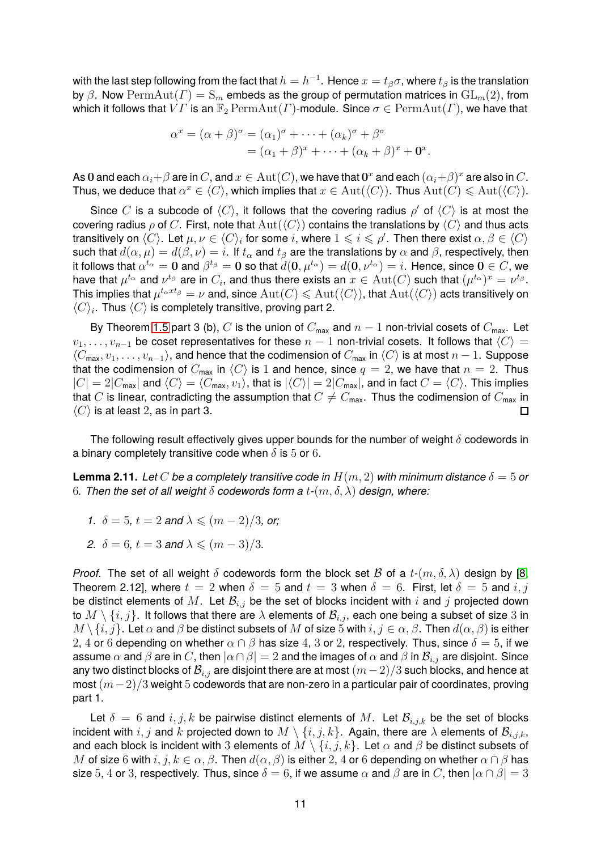with the last step following from the fact that  $h=h^{-1}.$  Hence  $x=t_\beta\sigma,$  where  $t_\beta$  is the translation by  $\beta$ . Now Perm $\text{Aut}(\Gamma) = \mathcal{S}_m$  embeds as the group of permutation matrices in  $\text{GL}_m(2)$ , from which it follows that  $VT$  is an  $\mathbb{F}_2$   $\mathrm{PermAut}(T)$ -module. Since  $\sigma \in \mathrm{PermAut}(T)$ , we have that

$$
\alpha^x = (\alpha + \beta)^{\sigma} = (\alpha_1)^{\sigma} + \dots + (\alpha_k)^{\sigma} + \beta^{\sigma}
$$
  
=  $(\alpha_1 + \beta)^x + \dots + (\alpha_k + \beta)^x + \mathbf{0}^x$ .

As 0 and each  $\alpha_i + \beta$  are in  $C$ , and  $x \in \mathrm{Aut}(C)$ , we have that  $\mathbf{0}^x$  and each  $(\alpha_i + \beta)^x$  are also in  $C$ . Thus, we deduce that  $\alpha^x\in\langle C\rangle$ , which implies that  $x\in{\rm Aut}(\langle C\rangle).$  Thus  ${\rm Aut}(C)\leqslant {\rm Aut}(\langle C\rangle).$ 

Since C is a subcode of  $\langle C \rangle$ , it follows that the covering radius  $\rho'$  of  $\langle C \rangle$  is at most the covering radius  $\rho$  of C. First, note that  $Aut(\langle C \rangle)$  contains the translations by  $\langle C \rangle$  and thus acts transitively on  $\langle C \rangle$ . Let  $\mu, \nu \in \langle C \rangle_i$  for some  $i$ , where  $1 \leqslant i \leqslant \rho'$ . Then there exist  $\alpha, \beta \in \langle C \rangle$ such that  $d(\alpha, \mu) = d(\beta, \nu) = i$ . If  $t_\alpha$  and  $t_\beta$  are the translations by  $\alpha$  and  $\beta$ , respectively, then it follows that  $\alpha^{t_\alpha}=0$  and  $\beta^{t_\beta}=0$  so that  $d(\mathbf{0},\mu^{t_\alpha})=d(\mathbf{0},\nu^{t_\alpha})=i.$  Hence, since  $\mathbf{0}\in C,$  we have that  $\mu^{t_{\alpha}}$  and  $\nu^{t_{\beta}}$  are in  $C_i$ , and thus there exists an  $x \in \text{Aut}(C)$  such that  $(\mu^{t_{\alpha}})^x = \nu^{t_{\beta}}$ . This implies that  $\mu^{t_{\alpha}xt_{\beta}} = \nu$  and, since  $\mathrm{Aut}(C) \leqslant \mathrm{Aut}(\langle C \rangle)$ , that  $\mathrm{Aut}(\langle C \rangle)$  acts transitively on  $\langle C \rangle_i$ . Thus  $\langle C \rangle$  is completely transitive, proving part 2.

By Theorem [1.5](#page-3-0) part 3 (b), C is the union of  $C_{\text{max}}$  and  $n-1$  non-trivial cosets of  $C_{\text{max}}$ . Let  $v_1, \ldots, v_{n-1}$  be coset representatives for these  $n-1$  non-trivial cosets. It follows that  $\langle C \rangle =$  $\langle C_{\max}, v_1, \ldots, v_{n-1}\rangle$ , and hence that the codimension of  $C_{\max}$  in  $\langle C\rangle$  is at most  $n-1$ . Suppose that the codimension of  $C_{\text{max}}$  in  $\langle C \rangle$  is 1 and hence, since  $q = 2$ , we have that  $n = 2$ . Thus  $|C| = 2|C_{\text{max}}|$  and  $\langle C \rangle = \langle C_{\text{max}}, v_1 \rangle$ , that is  $|\langle C \rangle| = 2|C_{\text{max}}|$ , and in fact  $C = \langle C \rangle$ . This implies that C is linear, contradicting the assumption that  $C \neq C_{\text{max}}$ . Thus the codimension of  $C_{\text{max}}$  in  $\langle C \rangle$  is at least 2, as in part 3  $\langle C \rangle$  is at least 2, as in part 3.

The following result effectively gives upper bounds for the number of weight  $\delta$  codewords in a binary completely transitive code when  $\delta$  is 5 or 6.

<span id="page-10-0"></span>**Lemma 2.11.** Let C be a completely transitive code in  $H(m, 2)$  with minimum distance  $\delta = 5$  or 6. Then the set of all weight  $\delta$  codewords form a  $t$ - $(m, \delta, \lambda)$  design, where:

- *1.*  $\delta = 5$ ,  $t = 2$  *and*  $\lambda \leq (m 2)/3$ , or;
- *2.*  $\delta = 6$ ,  $t = 3$  *and*  $\lambda \leq (m 3)/3$ *.*

*Proof.* The set of all weight  $\delta$  codewords form the block set B of a  $t$ - $(m, \delta, \lambda)$  design by [\[8,](#page-30-3) Theorem 2.12], where  $t = 2$  when  $\delta = 5$  and  $t = 3$  when  $\delta = 6$ . First, let  $\delta = 5$  and  $i, j$ be distinct elements of M. Let  $\mathcal{B}_{i,j}$  be the set of blocks incident with i and j projected down to  $M \setminus \{i, j\}$ . It follows that there are  $\lambda$  elements of  $\mathcal{B}_{i,j}$ , each one being a subset of size 3 in  $M \setminus \{i, j\}$ . Let  $\alpha$  and  $\beta$  be distinct subsets of  $M$  of size 5 with  $i, j \in \alpha, \beta$ . Then  $d(\alpha, \beta)$  is either 2, 4 or 6 depending on whether  $\alpha \cap \beta$  has size 4, 3 or 2, respectively. Thus, since  $\delta = 5$ , if we assume  $\alpha$  and  $\beta$  are in C, then  $|\alpha \cap \beta| = 2$  and the images of  $\alpha$  and  $\beta$  in  $\mathcal{B}_{i,j}$  are disjoint. Since any two distinct blocks of  $\mathcal{B}_{i,j}$  are disjoint there are at most  $(m-2)/3$  such blocks, and hence at most  $(m-2)/3$  weight 5 codewords that are non-zero in a particular pair of coordinates, proving part 1.

Let  $\delta = 6$  and  $i, j, k$  be pairwise distinct elements of M. Let  $\mathcal{B}_{i,j,k}$  be the set of blocks incident with  $i, j$  and  $k$  projected down to  $M \setminus \{i, j, k\}$ . Again, there are  $\lambda$  elements of  $\mathcal{B}_{i,j,k}$ , and each block is incident with 3 elements of  $M \setminus \{i, j, k\}$ . Let  $\alpha$  and  $\beta$  be distinct subsets of M of size 6 with  $i, j, k \in \alpha, \beta$ . Then  $d(\alpha, \beta)$  is either 2, 4 or 6 depending on whether  $\alpha \cap \beta$  has size 5, 4 or 3, respectively. Thus, since  $\delta = 6$ , if we assume  $\alpha$  and  $\beta$  are in C, then  $|\alpha \cap \beta| = 3$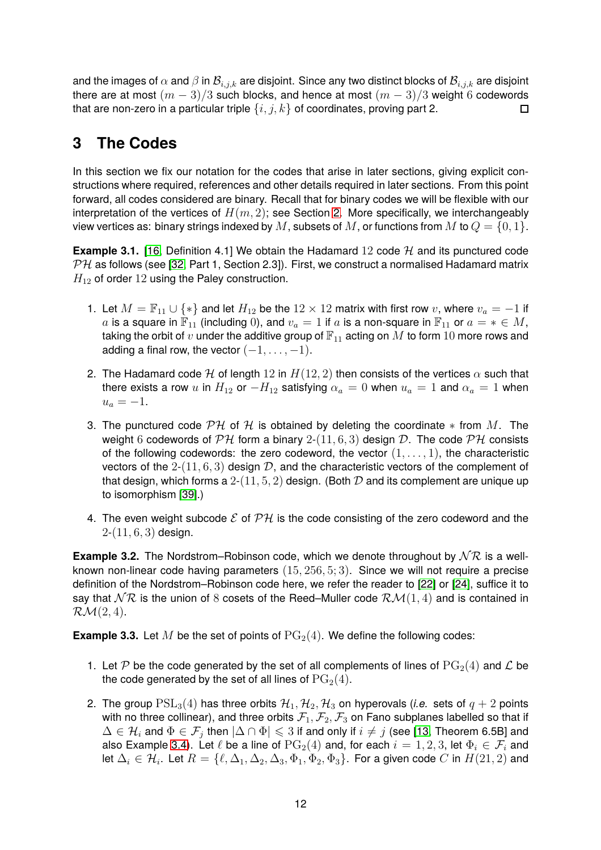and the images of  $\alpha$  and  $\beta$  in  $\mathcal{B}_{i,j,k}$  are disjoint. Since any two distinct blocks of  $\mathcal{B}_{i,j,k}$  are disjoint there are at most  $(m-3)/3$  such blocks, and hence at most  $(m-3)/3$  weight 6 codewords that are non-zero in a particular triple  $\{i, j, k\}$  of coordinates, proving part 2. that are non-zero in a particular triple  $\{i, j, k\}$  of coordinates, proving part 2.

## <span id="page-11-1"></span>**3 The Codes**

In this section we fix our notation for the codes that arise in later sections, giving explicit constructions where required, references and other details required in later sections. From this point forward, all codes considered are binary. Recall that for binary codes we will be flexible with our interpretation of the vertices of  $H(m, 2)$ ; see Section [2.](#page-4-2) More specifically, we interchangeably view vertices as: binary strings indexed by M, subsets of M, or functions from M to  $Q = \{0, 1\}$ .

**Example 3.1.** [\[16,](#page-30-9) Definition 4.1] We obtain the Hadamard 12 code  $H$  and its punctured code  $PH$  as follows (see [\[32,](#page-31-8) Part 1, Section 2.3]). First, we construct a normalised Hadamard matrix  $H_{12}$  of order 12 using the Paley construction.

- 1. Let  $M = \mathbb{F}_{11} \cup \{*\}$  and let  $H_{12}$  be the  $12 \times 12$  matrix with first row v, where  $v_a = -1$  if a is a square in  $\mathbb{F}_{11}$  (including 0), and  $v_a = 1$  if a is a non-square in  $\mathbb{F}_{11}$  or  $a = * \in M$ , taking the orbit of  $v$  under the additive group of  $\mathbb{F}_{11}$  acting on  $M$  to form  $10$  more rows and adding a final row, the vector  $(-1, \ldots, -1)$ .
- 2. The Hadamard code H of length 12 in  $H(12, 2)$  then consists of the vertices  $\alpha$  such that there exists a row u in  $H_{12}$  or  $-H_{12}$  satisfying  $\alpha_a = 0$  when  $u_a = 1$  and  $\alpha_a = 1$  when  $u_a = -1.$
- 3. The punctured code  $\mathcal{PH}$  of  $\mathcal H$  is obtained by deleting the coordinate  $*$  from  $M$ . The weight 6 codewords of  $\mathcal{PH}$  form a binary 2-(11, 6, 3) design D. The code  $\mathcal{PH}$  consists of the following codewords: the zero codeword, the vector  $(1, \ldots, 1)$ , the characteristic vectors of the  $2-(11, 6, 3)$  design  $D$ , and the characteristic vectors of the complement of that design, which forms a  $2-(11, 5, 2)$  design. (Both  $D$  and its complement are unique up to isomorphism [\[39\]](#page-31-10).)
- 4. The even weight subcode  $\mathcal E$  of  $\mathcal PH$  is the code consisting of the zero codeword and the  $2-(11, 6, 3)$  design.

**Example 3.2.** The Nordstrom–Robinson code, which we denote throughout by  $N \mathcal{R}$  is a wellknown non-linear code having parameters (15, 256, 5; 3). Since we will not require a precise definition of the Nordstrom–Robinson code here, we refer the reader to [\[22\]](#page-30-15) or [\[24\]](#page-31-11), suffice it to say that  $\mathcal{NR}$  is the union of 8 cosets of the Reed–Muller code  $\mathcal{RM}(1,4)$  and is contained in  $\mathcal{RM}(2,4)$ .

<span id="page-11-0"></span>**Example 3.3.** Let M be the set of points of  $PG<sub>2</sub>(4)$ . We define the following codes:

- 1. Let P be the code generated by the set of all complements of lines of  $PG<sub>2</sub>(4)$  and L be the code generated by the set of all lines of  $PG<sub>2</sub>(4)$ .
- 2. The group  $PSL_3(4)$  has three orbits  $\mathcal{H}_1, \mathcal{H}_2, \mathcal{H}_3$  on hyperovals (*i.e.* sets of  $q + 2$  points with no three collinear), and three orbits  $\mathcal{F}_1, \mathcal{F}_2, \mathcal{F}_3$  on Fano subplanes labelled so that if  $\Delta\in\mathcal{H}_i$  and  $\Phi\in\mathcal{F}_j$  then  $|\Delta\cap\Phi|\leqslant 3$  if and only if  $i\neq j$  (see [\[13,](#page-30-12) Theorem 6.5B] and also Example [3.4\)](#page-12-0). Let  $\ell$  be a line of  $PG<sub>2</sub>(4)$  and, for each  $i = 1, 2, 3$ , let  $\Phi_i \in \mathcal{F}_i$  and let  $\Delta_i\in\mathcal{H}_i$ . Let  $R=\{\ell,\Delta_1,\Delta_2,\Delta_3,\Phi_1,\Phi_2,\Phi_3\}$ . For a given code  $C$  in  $H(21,2)$  and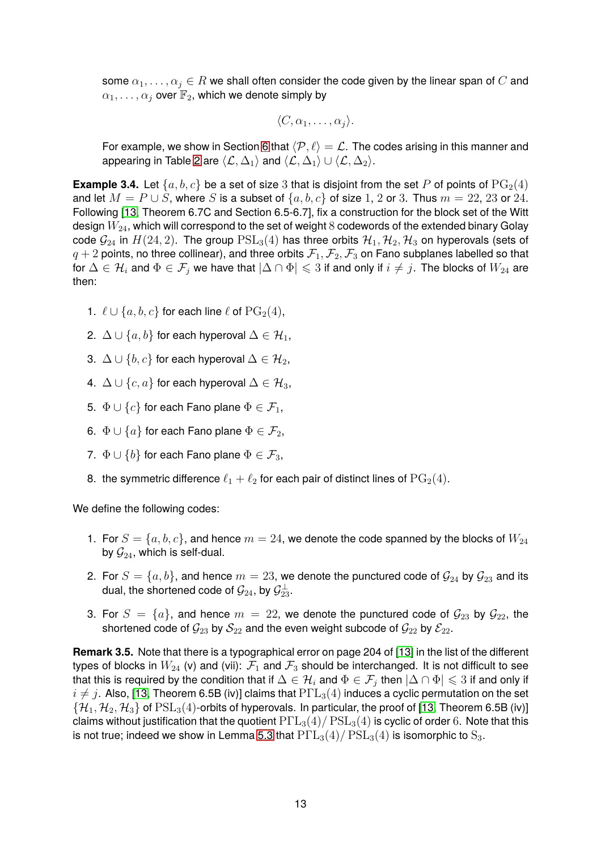some  $\alpha_1, \ldots, \alpha_j \in R$  we shall often consider the code given by the linear span of C and  $\alpha_1, \ldots, \alpha_j$  over  $\mathbb{F}_2$ , which we denote simply by

$$
\langle C,\alpha_1,\ldots,\alpha_j\rangle.
$$

For example, we show in Section [6](#page-18-0) that  $\langle \mathcal{P}, \ell \rangle = \mathcal{L}$ . The codes arising in this manner and appearing in Table [2](#page-3-1) are  $\langle \mathcal{L}, \Delta_1 \rangle$  and  $\langle \mathcal{L}, \Delta_1 \rangle \cup \langle \mathcal{L}, \Delta_2 \rangle$ .

<span id="page-12-0"></span>**Example 3.4.** Let  $\{a, b, c\}$  be a set of size 3 that is disjoint from the set P of points of  $PG<sub>2</sub>(4)$ and let  $M = P \cup S$ , where S is a subset of  $\{a, b, c\}$  of size 1, 2 or 3. Thus  $m = 22, 23$  or 24. Following [\[13,](#page-30-12) Theorem 6.7C and Section 6.5-6.7], fix a construction for the block set of the Witt design  $W_{24}$ , which will correspond to the set of weight 8 codewords of the extended binary Golay code  $\mathcal{G}_{24}$  in  $H(24, 2)$ . The group  $PSL_3(4)$  has three orbits  $\mathcal{H}_1, \mathcal{H}_2, \mathcal{H}_3$  on hyperovals (sets of  $q + 2$  points, no three collinear), and three orbits  $\mathcal{F}_1, \mathcal{F}_2, \mathcal{F}_3$  on Fano subplanes labelled so that for  $\Delta \in \mathcal{H}_i$  and  $\Phi \in \mathcal{F}_j$  we have that  $|\Delta \cap \Phi| \leqslant 3$  if and only if  $i \neq j$ . The blocks of  $W_{24}$  are then:

- 1.  $\ell \cup \{a, b, c\}$  for each line  $\ell$  of  $PG<sub>2</sub>(4)$ ,
- 2.  $\Delta \cup \{a, b\}$  for each hyperoval  $\Delta \in \mathcal{H}_1$ ,
- 3.  $\Delta \cup \{b, c\}$  for each hyperoval  $\Delta \in \mathcal{H}_2$ ,
- 4.  $\Delta \cup \{c, a\}$  for each hyperoval  $\Delta \in \mathcal{H}_3$ ,
- 5.  $\Phi \cup \{c\}$  for each Fano plane  $\Phi \in \mathcal{F}_1$ ,
- 6.  $\Phi \cup \{a\}$  for each Fano plane  $\Phi \in \mathcal{F}_2$ ,
- 7.  $\Phi \cup \{b\}$  for each Fano plane  $\Phi \in \mathcal{F}_3$ ,
- 8. the symmetric difference  $\ell_1 + \ell_2$  for each pair of distinct lines of  $PG_2(4)$ .

We define the following codes:

- 1. For  $S = \{a, b, c\}$ , and hence  $m = 24$ , we denote the code spanned by the blocks of  $W_{24}$ by  $\mathcal{G}_{24}$ , which is self-dual.
- 2. For  $S = \{a, b\}$ , and hence  $m = 23$ , we denote the punctured code of  $\mathcal{G}_{24}$  by  $\mathcal{G}_{23}$  and its dual, the shortened code of  $\mathcal{G}_{24}$ , by  $\mathcal{G}_{23}^{\perp}.$
- 3. For  $S = \{a\}$ , and hence  $m = 22$ , we denote the punctured code of  $\mathcal{G}_{23}$  by  $\mathcal{G}_{22}$ , the shortened code of  $\mathcal{G}_{23}$  by  $\mathcal{S}_{22}$  and the even weight subcode of  $\mathcal{G}_{22}$  by  $\mathcal{E}_{22}$ .

<span id="page-12-2"></span><span id="page-12-1"></span>**Remark 3.5.** Note that there is a typographical error on page 204 of [\[13\]](#page-30-12) in the list of the different types of blocks in  $W_{24}$  (v) and (vii):  $\mathcal{F}_1$  and  $\mathcal{F}_3$  should be interchanged. It is not difficult to see that this is required by the condition that if  $\Delta\in\mathcal H_i$  and  $\Phi\in\mathcal F_j$  then  $|\Delta\cap\Phi|\leqslant 3$  if and only if  $i \neq j$ . Also, [\[13,](#page-30-12) Theorem 6.5B (iv)] claims that  $\text{P}\Gamma\text{L}_3(4)$  induces a cyclic permutation on the set  $\{H_1, H_2, H_3\}$  of  $PSL_3(4)$ -orbits of hyperovals. In particular, the proof of [\[13,](#page-30-12) Theorem 6.5B (iv)] claims without justification that the quotient  $P\Gamma L_3(4)/PSL_3(4)$  is cyclic of order 6. Note that this is not true; indeed we show in Lemma [5.3](#page-17-1) that  $P\Gamma L_3(4)/PSL_3(4)$  is isomorphic to  $S_3$ .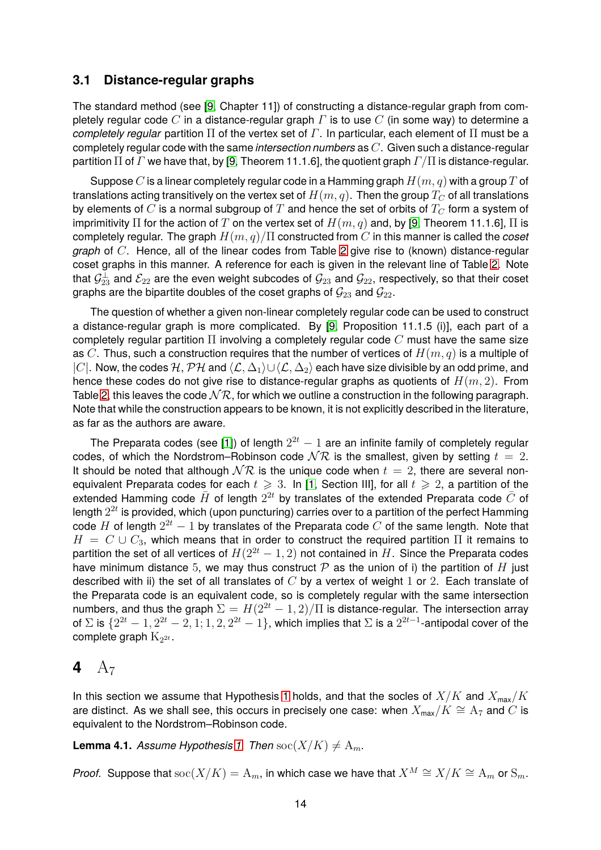#### **3.1 Distance-regular graphs**

The standard method (see [\[9,](#page-30-13) Chapter 11]) of constructing a distance-regular graph from completely regular code C in a distance-regular graph  $\Gamma$  is to use C (in some way) to determine a *completely regular* partition Π of the vertex set of Γ. In particular, each element of Π must be a completely regular code with the same *intersection numbers* as C. Given such a distance-regular partition  $\Pi$  of  $\Gamma$  we have that, by [\[9,](#page-30-13) Theorem 11.1.6], the quotient graph  $\Gamma/\Pi$  is distance-regular.

Suppose C is a linear completely regular code in a Hamming graph  $H(m, q)$  with a group T of translations acting transitively on the vertex set of  $H(m, q)$ . Then the group  $T_C$  of all translations by elements of  $C$  is a normal subgroup of  $T$  and hence the set of orbits of  $T_C$  form a system of imprimitivity  $\Pi$  for the action of T on the vertex set of  $H(m, q)$  and, by [\[9,](#page-30-13) Theorem 11.1.6],  $\Pi$  is completely regular. The graph H(m, q)/Π constructed from C in this manner is called the *coset graph* of C. Hence, all of the linear codes from Table [2](#page-3-1) give rise to (known) distance-regular coset graphs in this manner. A reference for each is given in the relevant line of Table [2.](#page-3-1) Note that  $\mathcal{G}^\perp_{23}$  and  $\mathcal{E}_{22}$  are the even weight subcodes of  $\mathcal{G}_{23}$  and  $\mathcal{G}_{22},$  respectively, so that their coset graphs are the bipartite doubles of the coset graphs of  $\mathcal{G}_{23}$  and  $\mathcal{G}_{22}$ .

The question of whether a given non-linear completely regular code can be used to construct a distance-regular graph is more complicated. By [\[9,](#page-30-13) Proposition 11.1.5 (i)], each part of a completely regular partition  $\Pi$  involving a completely regular code  $C$  must have the same size as C. Thus, such a construction requires that the number of vertices of  $H(m, q)$  is a multiple of |C|. Now, the codes  $H, \mathcal{PH}$  and  $\langle \mathcal{L}, \Delta_1 \rangle \cup \langle \mathcal{L}, \Delta_2 \rangle$  each have size divisible by an odd prime, and hence these codes do not give rise to distance-regular graphs as quotients of  $H(m, 2)$ . From Table [2,](#page-3-1) this leaves the code  $\mathcal{NR}$ , for which we outline a construction in the following paragraph. Note that while the construction appears to be known, it is not explicitly described in the literature, as far as the authors are aware.

The Preparata codes (see [\[1\]](#page-29-3)) of length  $2^{2t} - 1$  are an infinite family of completely regular codes, of which the Nordstrom–Robinson code  $\mathcal{NR}$  is the smallest, given by setting  $t = 2$ . It should be noted that although  $N\mathcal{R}$  is the unique code when  $t = 2$ , there are several nonequivalent Preparata codes for each  $t \geq 3$ . In [\[1,](#page-29-3) Section III], for all  $t \geq 2$ , a partition of the extended Hamming code  $\bar{H}$  of length  $2^{2t}$  by translates of the extended Preparata code  $\bar{C}$  of length  $2^{2t}$  is provided, which (upon puncturing) carries over to a partition of the perfect Hamming code  $H$  of length  $2^{2t} - 1$  by translates of the Preparata code  $C$  of the same length. Note that  $H = C \cup C_3$ , which means that in order to construct the required partition  $\Pi$  it remains to partition the set of all vertices of  $H(2^{2t} - 1, 2)$  not contained in H. Since the Preparata codes have minimum distance 5, we may thus construct  $\mathcal P$  as the union of i) the partition of H just described with ii) the set of all translates of  $C$  by a vertex of weight 1 or 2. Each translate of the Preparata code is an equivalent code, so is completely regular with the same intersection numbers, and thus the graph  $\Sigma = H(2^{2t} - 1, 2)/\Pi$  is distance-regular. The intersection array of  $\Sigma$  is  $\{2^{2t}-1,2^{2t}-2,1;1,2,2^{2t}-1\}$ , which implies that  $\Sigma$  is a  $2^{2t-1}$ -antipodal cover of the complete graph  $\mathrm{K}_{2^{2t}}.$ 

### <span id="page-13-0"></span>**4**  $A_7$

In this section we assume that Hypothesis [1](#page-4-0) holds, and that the socles of  $X/K$  and  $X_{\text{max}}/K$ are distinct. As we shall see, this occurs in precisely one case: when  $X_{\text{max}}/K \cong A_7$  and  $C$  is equivalent to the Nordstrom–Robinson code.

<span id="page-13-1"></span>**Lemma 4.1.** *Assume Hypothesis* [1.](#page-4-0) *Then*  $\operatorname{soc}(X/K) \neq A_m$ .

*Proof.* Suppose that  $\operatorname{soc}(X/K) = A_m$ , in which case we have that  $X^M \cong X/K \cong A_m$  or  $S_m$ .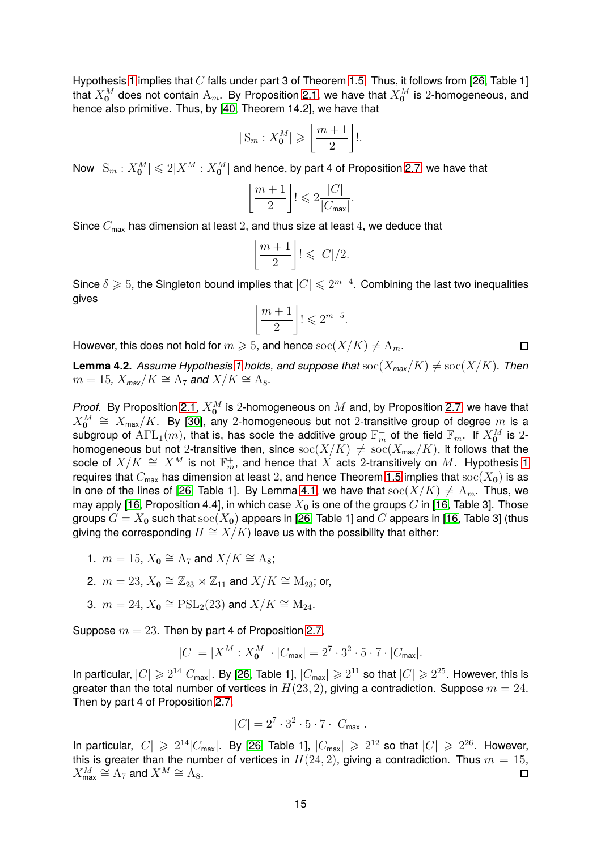Hypothesis [1](#page-4-0) implies that  $C$  falls under part 3 of Theorem [1.5.](#page-3-0) Thus, it follows from [\[26,](#page-31-7) Table 1] that  $X_{\bf 0}^M$  does not contain  ${\rm A}_m$ . By Proposition [2.1,](#page-7-1) we have that  $X_{\bf 0}^M$  is  $2$ -homogeneous, and hence also primitive. Thus, by [\[40,](#page-31-12) Theorem 14.2], we have that

$$
|S_m : X_0^M| \geqslant \left\lfloor \frac{m+1}{2} \right\rfloor!
$$

Now  $|\operatorname{S}_m : X_{\mathbf{0}}^M| \leqslant 2|X^M : X_{\mathbf{0}}^M|$  and hence, by part 4 of Proposition [2.7,](#page-8-0) we have that

$$
\left\lfloor \frac{m+1}{2} \right\rfloor! \leqslant 2 \frac{|C|}{|C_{\text{max}}|}.
$$

Since  $C_{\text{max}}$  has dimension at least 2, and thus size at least 4, we deduce that

$$
\left\lfloor \frac{m+1}{2} \right\rfloor! \leqslant |C|/2.
$$

Since  $\delta \geqslant 5$ , the Singleton bound implies that  $|C| \leqslant 2^{m-4}.$  Combining the last two inequalities gives

$$
\left\lfloor \frac{m+1}{2} \right\rfloor! \leqslant 2^{m-5}.
$$

However, this does not hold for  $m \geq 5$ , and hence  $\operatorname{soc}(X/K) \neq \Lambda_m$ .

<span id="page-14-0"></span>**Lemma 4.2.** *Assume Hypothesis* [1](#page-4-0) *holds, and suppose that*  $\operatorname{soc}(X_{\max}/K) \neq \operatorname{soc}(X/K)$ *. Then*  $m = 15$ ,  $X_{\text{max}}/K \cong A_7$  and  $X/K \cong A_8$ .

 $\Box$ 

*Proof.* By Proposition [2.1,](#page-7-1)  $X_{\mathbf{0}}^M$  is 2-homogeneous on  $M$  and, by Proposition [2.7,](#page-8-0) we have that  $X_{\mathbf{0}}^M \,\cong\, X_{\mathsf{max}}/K.$  By [\[30\]](#page-31-13), any 2-homogeneous but not 2-transitive group of degree  $m$  is a subgroup of  $\mathrm{ATL}_1(m)$ , that is, has socle the additive group  $\mathbb{F}_m^+$  of the field  $\mathbb{F}_m$ . If  $X_{\bf 0}^M$  is 2homogeneous but not 2-transitive then, since  $\operatorname{soc}(X/K) \neq \operatorname{soc}(X_{\max}/K)$ , it follows that the socle of  $X/K \,\cong\, X^M$  is not  $\mathbb{F}_m^+$ , and hence that  $X$  acts 2-transitively on  $M.$  Hypothesis [1](#page-4-0) requires that  $C_{\text{max}}$  has dimension at least 2, and hence Theorem [1.5](#page-3-0) implies that  $\operatorname{soc}(X_0)$  is as in one of the lines of [\[26,](#page-31-7) Table 1]. By Lemma [4.1,](#page-13-1) we have that  $\operatorname{soc}(X/K) \neq \mathcal{A}_m$ . Thus, we may apply [\[16,](#page-30-9) Proposition 4.4], in which case  $X_0$  is one of the groups G in [16, Table 3]. Those groups  $G = X_0$  such that  $\operatorname{soc}(X_0)$  appears in [\[26,](#page-31-7) Table 1] and G appears in [\[16,](#page-30-9) Table 3] (thus giving the corresponding  $H \cong X/K$ ) leave us with the possibility that either:

- 1.  $m = 15$ ,  $X_0 \cong A_7$  and  $X/K \cong A_8$ ;
- 2.  $m = 23$ ,  $X_0 \cong \mathbb{Z}_{23} \rtimes \mathbb{Z}_{11}$  and  $X/K \cong M_{23}$ ; or,
- 3.  $m=24, X_{\mathbf{0}}\cong \mathrm{PSL}_2(23)$  and  $X/K\cong \mathrm{M}_{24}.$

Suppose  $m = 23$ . Then by part 4 of Proposition [2.7,](#page-8-0)

$$
|C| = |X^M : X_0^M| \cdot |C_{\text{max}}| = 2^7 \cdot 3^2 \cdot 5 \cdot 7 \cdot |C_{\text{max}}|.
$$

In particular,  $|C|\geqslant 2^{14}|C_{\sf max}|.$  By [\[26,](#page-31-7) Table 1],  $|C_{\sf max}|\geqslant 2^{11}$  so that  $|C|\geqslant 2^{25}.$  However, this is greater than the total number of vertices in  $H(23, 2)$ , giving a contradiction. Suppose  $m = 24$ . Then by part 4 of Proposition [2.7,](#page-8-0)

$$
|C| = 2^7 \cdot 3^2 \cdot 5 \cdot 7 \cdot |C_{\text{max}}|.
$$

In particular,  $|C| \geqslant 2^{14}|C_{\sf max}|$ . By [\[26,](#page-31-7) Table 1],  $|C_{\sf max}| \geqslant 2^{12}$  so that  $|C| \geqslant 2^{26}$ . However, this is greater than the number of vertices in  $H(24, 2)$ , giving a contradiction. Thus  $m = 15$ ,  $X_{\sf max}^M\cong{\mathcal{A}}_7$  and  $X^M\cong{\mathcal{A}}_8.$  $\Box$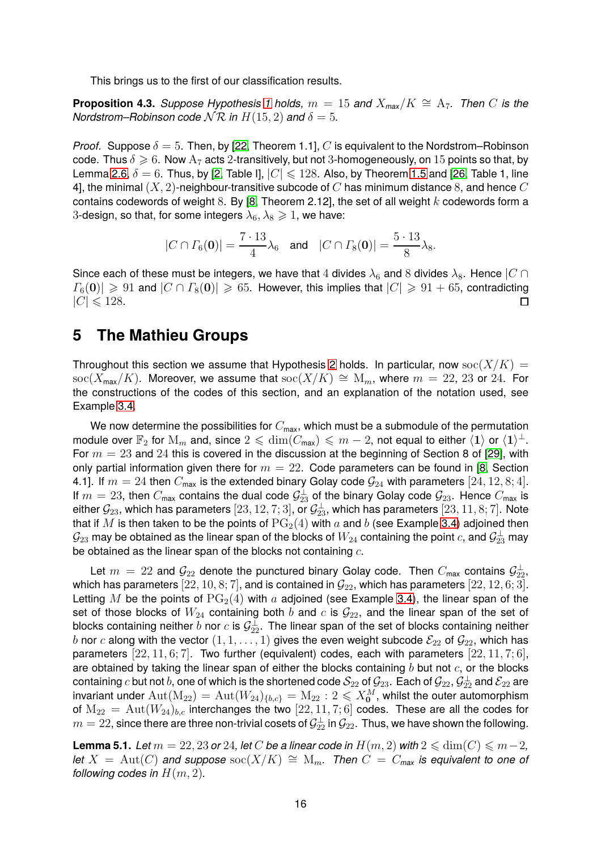This brings us to the first of our classification results.

<span id="page-15-2"></span>**Proposition 4.3.** *Suppose Hypothesis* [1](#page-4-0) *holds,*  $m = 15$  *and*  $X_{\text{max}}/K \cong A_7$ . *Then* C *is the Nordstrom–Robinson code*  $N \mathcal{R}$  *in*  $H(15, 2)$  *and*  $\delta = 5$ *.* 

*Proof.* Suppose  $\delta = 5$ . Then, by [\[22,](#page-30-15) Theorem 1.1], C is equivalent to the Nordstrom–Robinson code. Thus  $\delta \geq 6$ . Now  $A_7$  acts 2-transitively, but not 3-homogeneously, on 15 points so that, by Lemma [2.6,](#page-7-3)  $\delta = 6$ . Thus, by [\[2,](#page-29-4) Table I],  $|C| \le 128$ . Also, by Theorem [1.5](#page-3-0) and [\[26,](#page-31-7) Table 1, line 4], the minimal  $(X, 2)$ -neighbour-transitive subcode of  $C$  has minimum distance 8, and hence  $C$ contains codewords of weight 8. By [\[8,](#page-30-3) Theorem 2.12], the set of all weight k codewords form a 3-design, so that, for some integers  $\lambda_6, \lambda_8 \geq 1$ , we have:

$$
|C \cap \Gamma_6(\mathbf{0})| = \frac{7 \cdot 13}{4} \lambda_6
$$
 and  $|C \cap \Gamma_8(\mathbf{0})| = \frac{5 \cdot 13}{8} \lambda_8$ .

Since each of these must be integers, we have that 4 divides  $\lambda_6$  and 8 divides  $\lambda_8$ . Hence  $|C \cap$  $|\Gamma_6({\bf 0})| \geq 91$  and  $|C \cap \Gamma_8({\bf 0})| \geq 65$ . However, this implies that  $|C| \geq 91 + 65$ , contradicting  $|C| \leq 128$ .  $|C| \leqslant 128$ .

### <span id="page-15-0"></span>**5 The Mathieu Groups**

Throughout this section we assume that Hypothesis [2](#page-4-1) holds. In particular, now  $\operatorname{soc}(X/K) =$ soc( $X_{\text{max}}/K$ ). Moreover, we assume that soc( $X/K$ ) ≅  $M_m$ , where  $m = 22, 23$  or 24. For the constructions of the codes of this section, and an explanation of the notation used, see Example [3.4.](#page-12-0)

We now determine the possibilities for  $C_{\text{max}}$ , which must be a submodule of the permutation module over  $\mathbb{F}_2$  for  $\mathrm{M}_m$  and, since  $2\leqslant \mathrm{dim}(C_\mathsf{max})\leqslant m-2,$  not equal to either  $\langle\mathbf{1}\rangle$  or  $\langle\mathbf{1}\rangle^\perp.$ For  $m = 23$  and 24 this is covered in the discussion at the beginning of Section 8 of [\[29\]](#page-31-14), with only partial information given there for  $m = 22$ . Code parameters can be found in [\[8,](#page-30-3) Section 4.1]. If  $m = 24$  then  $C_{\text{max}}$  is the extended binary Golay code  $\mathcal{G}_{24}$  with parameters [24, 12, 8; 4]. If  $m = 23$ , then  $C_{\text{max}}$  contains the dual code  $\mathcal{G}_{23}^{\perp}$  of the binary Golay code  $\mathcal{G}_{23}$ . Hence  $C_{\text{max}}$  is either  $\mathcal{G}_{23}$ , which has parameters  $[23, 12, 7; 3]$ , or  $\mathcal{G}^\perp_{23}$ , which has parameters  $[23, 11, 8; 7]$ . Note that if M is then taken to be the points of  $PG<sub>2</sub>(4)$  with a and b (see Example [3.4\)](#page-12-0) adjoined then  $\mathcal{G}_{23}$  may be obtained as the linear span of the blocks of  $W_{24}$  containing the point  $c$ , and  $\mathcal{G}_{23}^\perp$  may be obtained as the linear span of the blocks not containing  $c$ .

Let  $m = 22$  and  $\mathcal{G}_{22}$  denote the punctured binary Golay code. Then  $C_{\text{max}}$  contains  $\mathcal{G}_{22}^{\perp}$ which has parameters [22, 10, 8; 7], and is contained in  $\mathcal{G}_{22}$ , which has parameters [22, 12, 6; 3]. Letting M be the points of  $PG<sub>2</sub>(4)$  with a adjoined (see Example [3.4\)](#page-12-0), the linear span of the set of those blocks of  $W_{24}$  containing both b and c is  $\mathcal{G}_{22}$ , and the linear span of the set of blocks containing neither  $b$  nor  $c$  is  $\mathcal{G}^\perp_{22}$ . The linear span of the set of blocks containing neither b nor c along with the vector  $(1, 1, \ldots, 1)$  gives the even weight subcode  $\mathcal{E}_{22}$  of  $\mathcal{G}_{22}$ , which has parameters  $[22, 11, 6, 7]$ . Two further (equivalent) codes, each with parameters  $[22, 11, 7, 6]$ , are obtained by taking the linear span of either the blocks containing  $b$  but not  $c$ , or the blocks containing  $c$  but not  $b$ , one of which is the shortened code  $\mathcal{S}_{22}$  of  $\mathcal{G}_{23}$ . Each of  $\mathcal{G}_{22},$   $\mathcal{G}_{22}^\perp$  and  $\mathcal{E}_{22}$  are invariant under  ${\rm Aut}({\rm M}_{22})={\rm Aut}(W_{24})_{\{b,c\}}={\rm M}_{22}: 2\leqslant X_{\mathbf{0}}^M,$  whilst the outer automorphism of  $M_{22} = Aut(W_{24})_{b,c}$  interchanges the two  $[22, 11, 7, 6]$  codes. These are all the codes for  $m=22,$  since there are three non-trivial cosets of  $\mathcal{G}^\perp_{22}$  in  $\mathcal{G}_{22}.$  Thus, we have shown the following.

<span id="page-15-1"></span>**Lemma 5.1.** *Let*  $m = 22, 23$  *or* 24*, let* C *be a linear code in*  $H(m, 2)$  *with*  $2 \le \dim(C) \le m-2$ *, let*  $X = \text{Aut}(C)$  *and suppose*  $\text{soc}(X/K) \cong M_m$ . Then  $C = C_{\text{max}}$  *is equivalent to one of following codes in*  $H(m, 2)$ *.*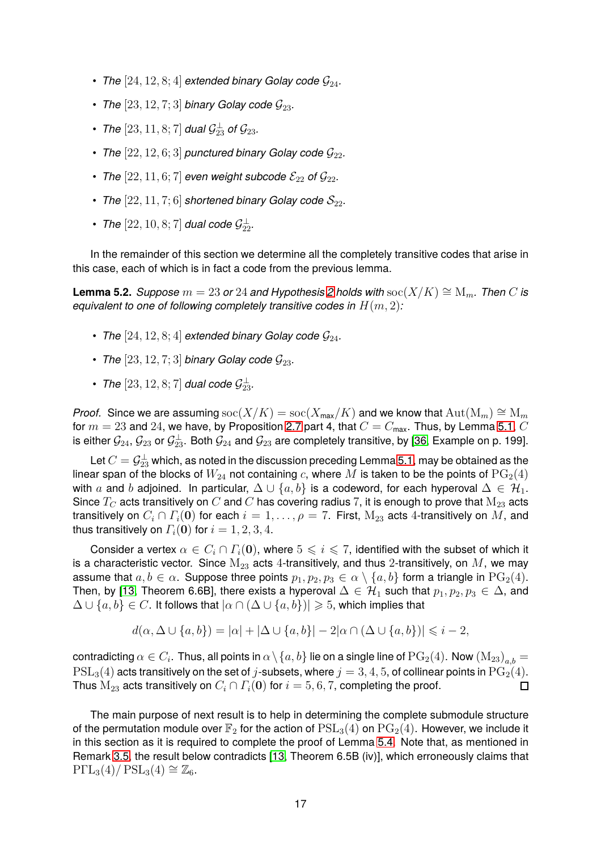- *The*  $[24, 12, 8; 4]$  *extended binary Golay code*  $\mathcal{G}_{24}$ *.*
- *The*  $[23, 12, 7; 3]$  *binary Golay code*  $G_{23}$ *.*
- The  $[23, 11, 8; 7]$  dual  $\mathcal{G}_{23}^{\perp}$  of  $\mathcal{G}_{23}$ .
- *The*  $[22, 12, 6; 3]$  *punctured binary Golay code*  $\mathcal{G}_{22}$ *.*
- *The*  $[22, 11, 6; 7]$  *even weight subcode*  $\mathcal{E}_{22}$  *of*  $\mathcal{G}_{22}$ *.*
- *The*  $[22, 11, 7; 6]$  *shortened binary Golay code*  $S_{22}$ *.*
- *The*  $[22, 10, 8; 7]$  *dual code*  $\mathcal{G}_{22}^{\perp}$ .

In the remainder of this section we determine all the completely transitive codes that arise in this case, each of which is in fact a code from the previous lemma.

<span id="page-16-0"></span>**Lemma 5.2.** *Suppose*  $m = 23$  $m = 23$  $m = 23$  *or* 24 *and Hypothesis* 2 *holds with* soc( $X/K$ )  $\cong$   $M_m$ *. Then* C *is equivalent to one of following completely transitive codes in*  $H(m, 2)$ *:* 

- *The*  $[24, 12, 8; 4]$  *extended binary Golay code*  $\mathcal{G}_{24}$ *.*
- *The*  $[23, 12, 7; 3]$  *binary Golay code*  $G_{23}$ *.*
- *The*  $[23, 12, 8; 7]$  *dual code*  $\mathcal{G}_{23}^{\perp}$ .

*Proof.* Since we are assuming  $\operatorname{soc}(X/K) = \operatorname{soc}(X_{\max}/K)$  and we know that  $\operatorname{Aut}(\mathrm{M}_m) \cong \mathrm{M}_m$ for  $m = 23$  and 24, we have, by Proposition [2.7](#page-8-0) part 4, that  $C = C_{\text{max}}$ . Thus, by Lemma [5.1,](#page-15-1) C is either  $\mathcal{G}_{24},\mathcal{G}_{23}$  or  $\mathcal{G}_{23}^\perp$ . Both  $\mathcal{G}_{24}$  and  $\mathcal{G}_{23}$  are completely transitive, by [\[36,](#page-31-3) Example on p. 199].

Let  $C=\mathcal{G}^\perp_{23}$  which, as noted in the discussion preceding Lemma [5.1,](#page-15-1) may be obtained as the linear span of the blocks of  $W_{24}$  not containing c, where M is taken to be the points of  $PG<sub>2</sub>(4)$ with a and b adjoined. In particular,  $\Delta \cup \{a, b\}$  is a codeword, for each hyperoval  $\Delta \in \mathcal{H}_1$ . Since  $T_C$  acts transitively on  $C$  and  $C$  has covering radius 7, it is enough to prove that  $M_{23}$  acts transitively on  $C_i \cap \Gamma_i(\mathbf{0})$  for each  $i = 1, \ldots, \rho = 7$ . First,  $M_{23}$  acts 4-transitively on M, and thus transitively on  $\Gamma_i(\mathbf{0})$  for  $i = 1, 2, 3, 4$ .

Consider a vertex  $\alpha \in C_i \cap \Gamma_i(\mathbf{0})$ , where  $5 \leq i \leq 7$ , identified with the subset of which it is a characteristic vector. Since  $M_{23}$  acts 4-transitively, and thus 2-transitively, on  $M$ , we may assume that  $a, b \in \alpha$ . Suppose three points  $p_1, p_2, p_3 \in \alpha \setminus \{a, b\}$  form a triangle in  $PG_2(4)$ . Then, by [\[13,](#page-30-12) Theorem 6.6B], there exists a hyperoval  $\Delta \in \mathcal{H}_1$  such that  $p_1, p_2, p_3 \in \Delta$ , and  $\Delta \cup \{a, b\} \in C$ . It follows that  $|\alpha \cap (\Delta \cup \{a, b\})| \geq 5$ , which implies that

$$
d(\alpha, \Delta \cup \{a, b\}) = |\alpha| + |\Delta \cup \{a, b\}| - 2|\alpha \cap (\Delta \cup \{a, b\})| \leq i - 2,
$$

contradicting  $\alpha\in C_i.$  Thus, all points in  $\alpha\setminus\{a,b\}$  lie on a single line of  $\mathrm{PG}_2(4).$  Now  $\mathrm{(M_{23})}_{a,b}=$  $PSL<sub>3</sub>(4)$  acts transitively on the set of j-subsets, where  $j = 3, 4, 5$ , of collinear points in  $PG<sub>2</sub>(4)$ . Thus  $M_{23}$  acts transitively on  $C_i \cap \Gamma_i(\mathbf{0})$  for  $i = 5, 6, 7$ , completing the proof. П

The main purpose of next result is to help in determining the complete submodule structure of the permutation module over  $\mathbb{F}_2$  for the action of  $PSL_3(4)$  on  $PG_2(4)$ . However, we include it in this section as it is required to complete the proof of Lemma [5.4.](#page-17-0) Note that, as mentioned in Remark [3.5,](#page-12-2) the result below contradicts [\[13,](#page-30-12) Theorem 6.5B (iv)], which erroneously claims that  $P\Gamma L_3(4)/PSL_3(4) \cong \mathbb{Z}_6.$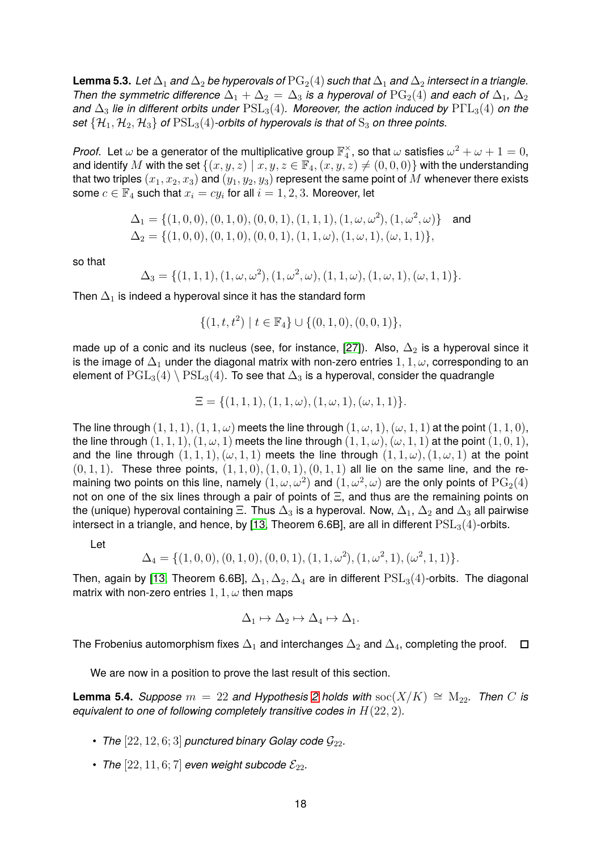<span id="page-17-1"></span>**Lemma 5.3.** *Let*  $\Delta_1$  *and*  $\Delta_2$  *be hyperovals of*  $PG_2(4)$  *such that*  $\Delta_1$  *and*  $\Delta_2$  *intersect in a triangle. Then the symmetric difference*  $\Delta_1 + \Delta_2 = \Delta_3$  *is a hyperoval of*  $PG_2(4)$  *and each of*  $\Delta_1$ *,*  $\Delta_2$ *and*  $\Delta_3$  *lie in different orbits under*  $PSL_3(4)$ *. Moreover, the action induced by*  $P\Gamma L_3(4)$  *on the set*  $\{H_1, H_2, H_3\}$  *of*  $PSL_3(4)$ *-orbits of hyperovals is that of*  $S_3$  *on three points.* 

*Proof.* Let  $\omega$  be a generator of the multiplicative group  $\mathbb{F}_4^\times$ , so that  $\omega$  satisfies  $\omega^2+\omega+1=0,$ and identify M with the set  $\{(x, y, z) \mid x, y, z \in \mathbb{F}_4, (x, y, z) \neq (0, 0, 0)\}$  with the understanding that two triples  $(x_1, x_2, x_3)$  and  $(y_1, y_2, y_3)$  represent the same point of M whenever there exists some  $c \in \mathbb{F}_4$  such that  $x_i = cy_i$  for all  $i = 1, 2, 3$ . Moreover, let

$$
\Delta_1 = \{ (1, 0, 0), (0, 1, 0), (0, 0, 1), (1, 1, 1), (1, \omega, \omega^2), (1, \omega^2, \omega) \} \text{ and } \Delta_2 = \{ (1, 0, 0), (0, 1, 0), (0, 0, 1), (1, 1, \omega), (1, \omega, 1), (\omega, 1, 1) \},\
$$

so that

$$
\Delta_3 = \{ (1, 1, 1), (1, \omega, \omega^2), (1, \omega^2, \omega), (1, 1, \omega), (1, \omega, 1), (\omega, 1, 1) \}.
$$

Then  $\Delta_1$  is indeed a hyperoval since it has the standard form

$$
\{(1,t,t^2)\mid t\in\mathbb{F}_4\}\cup\{(0,1,0),(0,0,1)\},
$$

made up of a conic and its nucleus (see, for instance, [\[27\]](#page-31-15)). Also,  $\Delta_2$  is a hyperoval since it is the image of  $\Delta_1$  under the diagonal matrix with non-zero entries  $1, 1, \omega$ , corresponding to an element of  $\text{PGL}_3(4) \setminus \text{PSL}_3(4)$ . To see that  $\Delta_3$  is a hyperoval, consider the quadrangle

$$
\Xi = \{(1,1,1), (1,1,\omega), (1,\omega,1), (\omega,1,1)\}.
$$

The line through  $(1, 1, 1), (1, 1, \omega)$  meets the line through  $(1, \omega, 1), (\omega, 1, 1)$  at the point  $(1, 1, 0)$ , the line through  $(1, 1, 1), (1, \omega, 1)$  meets the line through  $(1, 1, \omega), (\omega, 1, 1)$  at the point  $(1, 0, 1),$ and the line through  $(1, 1, 1), (\omega, 1, 1)$  meets the line through  $(1, 1, \omega), (1, \omega, 1)$  at the point  $(0, 1, 1)$ . These three points,  $(1, 1, 0), (1, 0, 1), (0, 1, 1)$  all lie on the same line, and the remaining two points on this line, namely  $(1,\omega,\omega^2)$  and  $(1,\omega^2,\omega)$  are the only points of  $\mathrm{PG}_2(4)$ not on one of the six lines through a pair of points of Ξ, and thus are the remaining points on the (unique) hyperoval containing  $\Xi$ . Thus  $\Delta_3$  is a hyperoval. Now,  $\Delta_1$ ,  $\Delta_2$  and  $\Delta_3$  all pairwise intersect in a triangle, and hence, by [\[13,](#page-30-12) Theorem 6.6B], are all in different  $PSL<sub>3</sub>(4)$ -orbits.

Let

$$
\Delta_4 = \{ (1,0,0), (0,1,0), (0,0,1), (1,1,\omega^2), (1,\omega^2,1), (\omega^2,1,1) \}.
$$

Then, again by [\[13,](#page-30-12) Theorem 6.6B],  $\Delta_1, \Delta_2, \Delta_4$  are in different  $PSL_3(4)$ -orbits. The diagonal matrix with non-zero entries  $1, 1, \omega$  then maps

$$
\Delta_1 \mapsto \Delta_2 \mapsto \Delta_4 \mapsto \Delta_1.
$$

The Frobenius automorphism fixes  $\Delta_1$  and interchanges  $\Delta_2$  and  $\Delta_4$ , completing the proof.  $\Box$ 

We are now in a position to prove the last result of this section.

<span id="page-17-0"></span>**Lemma 5.4.** *Suppose*  $m = 22$  $m = 22$  $m = 22$  *and Hypothesis* 2 *holds with* soc( $X/K$ )  $\cong$   $M_{22}$ *. Then* C *is equivalent to one of following completely transitive codes in* H(22, 2)*.*

- *The*  $[22, 12, 6; 3]$  *punctured binary Golay code*  $\mathcal{G}_{22}$ *.*
- *The*  $[22, 11, 6; 7]$  *even weight subcode*  $\mathcal{E}_{22}$ *.*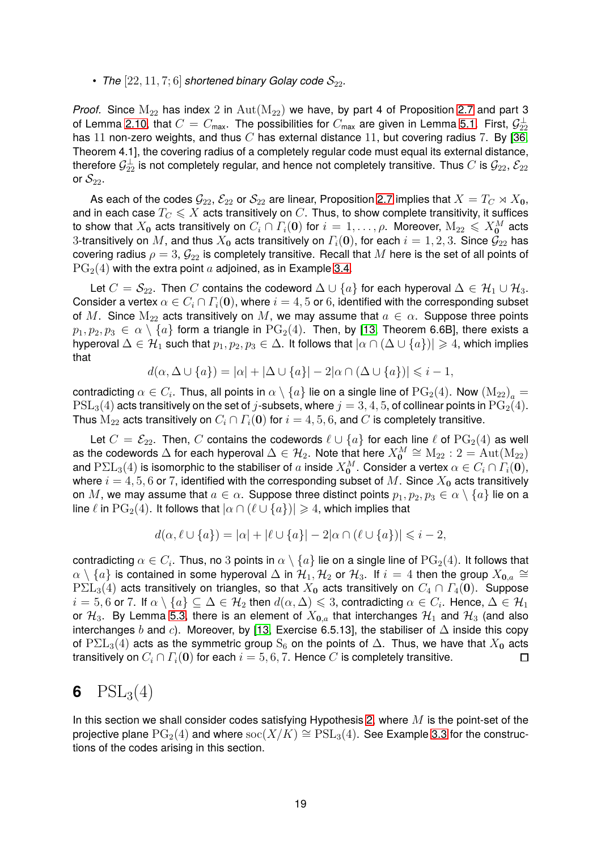#### • *The*  $[22, 11, 7; 6]$  *shortened binary Golay code*  $S_{22}$ *.*

*Proof.* Since  $M_{22}$  has index 2 in  $Aut(M_{22})$  we have, by part 4 of Proposition [2.7](#page-8-0) and part 3 of Lemma [2.10,](#page-9-0) that  $C=C_{\sf max}$ . The possibilities for  $C_{\sf max}$  are given in Lemma [5.1.](#page-15-1) First,  $\mathcal{G}_{22}^\perp$ has 11 non-zero weights, and thus  $C$  has external distance 11, but covering radius 7. By [\[36,](#page-31-3) Theorem 4.1], the covering radius of a completely regular code must equal its external distance, therefore  $\mathcal{G}^\perp_{22}$  is not completely regular, and hence not completely transitive. Thus  $C$  is  $\mathcal{G}_{22}$ ,  $\mathcal{E}_{22}$ or  $\mathcal{S}_{22}$ .

As each of the codes  $\mathcal{G}_{22}$ ,  $\mathcal{E}_{22}$  or  $\mathcal{S}_{22}$  are linear, Proposition [2.7](#page-8-0) implies that  $X = T_C \rtimes X_0$ , and in each case  $T_C \leqslant X$  acts transitively on  $C$ . Thus, to show complete transitivity, it suffices to show that  $X_0$  acts transitively on  $C_i \cap \Gamma_i(\mathbf{0})$  for  $i = 1, \ldots, \rho$ . Moreover,  $M_{22} \leqslant X_0^M$  acts 3-transitively on M, and thus  $X_0$  acts transitively on  $\Gamma_i(\mathbf{0})$ , for each  $i = 1, 2, 3$ . Since  $\mathcal{G}_{22}$  has covering radius  $\rho = 3$ ,  $\mathcal{G}_{22}$  is completely transitive. Recall that M here is the set of all points of  $PG<sub>2</sub>(4)$  with the extra point a adjoined, as in Example [3.4.](#page-12-0)

Let  $C = \mathcal{S}_{22}$ . Then C contains the codeword  $\Delta \cup \{a\}$  for each hyperoval  $\Delta \in \mathcal{H}_1 \cup \mathcal{H}_3$ . Consider a vertex  $\alpha \in C_i \cap \Gamma_i(\mathbf{0})$ , where  $i = 4, 5$  or 6, identified with the corresponding subset of M. Since  $M_{22}$  acts transitively on M, we may assume that  $a \in \alpha$ . Suppose three points  $p_1, p_2, p_3 \in \alpha \setminus \{a\}$  form a triangle in  $PG_2(4)$ . Then, by [\[13,](#page-30-12) Theorem 6.6B], there exists a hyperoval  $\Delta \in \mathcal{H}_1$  such that  $p_1, p_2, p_3 \in \Delta$ . It follows that  $|\alpha \cap (\Delta \cup \{a\})| \geq 4$ , which implies that

$$
d(\alpha, \Delta \cup \{a\}) = |\alpha| + |\Delta \cup \{a\}| - 2|\alpha \cap (\Delta \cup \{a\})| \leq i - 1,
$$

contradicting  $\alpha \in C_i$ . Thus, all points in  $\alpha \setminus \{a\}$  lie on a single line of  $\mathrm{PG}_2(4)$ . Now  $\left(\mathrm{M}_{22}\right)_a =$  $PSL<sub>3</sub>(4)$  acts transitively on the set of j-subsets, where  $j = 3, 4, 5$ , of collinear points in  $PG<sub>2</sub>(4)$ . Thus  $M_{22}$  acts transitively on  $C_i \cap \Gamma_i(\mathbf{0})$  for  $i = 4, 5, 6$ , and C is completely transitive.

Let  $C = \mathcal{E}_{22}$ . Then, C contains the codewords  $\ell \cup \{a\}$  for each line  $\ell$  of  $PG<sub>2</sub>(4)$  as well as the codewords  $\Delta$  for each hyperoval  $\Delta \in \mathcal{H}_2$ . Note that here  $X_{\mathbf{0}}^M \cong \mathrm{M}_{22}$  :  $2 = \mathrm{Aut}(\mathrm{M}_{22})$ and  $\text{P}\Sigma\text{L}_3(4)$  is isomorphic to the stabiliser of  $a$  inside  $X^M_0$ . Consider a vertex  $\alpha\in C_i\cap\Gamma_i(\mathbf{0}),$ where  $i = 4, 5, 6$  or 7, identified with the corresponding subset of M. Since  $X_0$  acts transitively on M, we may assume that  $a \in \alpha$ . Suppose three distinct points  $p_1, p_2, p_3 \in \alpha \setminus \{a\}$  lie on a line  $\ell$  in  $PG_2(4)$ . It follows that  $|\alpha \cap (\ell \cup \{a\})| \geq 4$ , which implies that

$$
d(\alpha, \ell \cup \{a\}) = |\alpha| + |\ell \cup \{a\}| - 2|\alpha \cap (\ell \cup \{a\})| \leq i - 2,
$$

contradicting  $\alpha\in C_i.$  Thus, no  $3$  points in  $\alpha\setminus\{a\}$  lie on a single line of  $\mathrm{PG}_2(4).$  It follows that  $\alpha\setminus\{a\}$  is contained in some hyperoval  $\Delta$  in  $\mathcal{H}_1, \mathcal{H}_2$  or  $\mathcal{H}_3$ . If  $i=4$  then the group  $X_{\mathbf{0},a}\cong\mathbb{R}$  $P\Sigma L_3(4)$  acts transitively on triangles, so that  $X_0$  acts transitively on  $C_4 \cap \Gamma_4(0)$ . Suppose  $i=5,6$  or 7. If  $\alpha\setminus\{a\}\subseteq\Delta\in\mathcal{H}_2$  then  $d(\alpha,\Delta)\leqslant3$ , contradicting  $\alpha\in C_i$ . Hence,  $\Delta\in\mathcal{H}_1$ or  $\mathcal{H}_3$ . By Lemma [5.3,](#page-17-1) there is an element of  $X_{0,a}$  that interchanges  $\mathcal{H}_1$  and  $\mathcal{H}_3$  (and also interchanges b and c). Moreover, by [\[13,](#page-30-12) Exercise 6.5.13], the stabiliser of  $\Delta$  inside this copy of  $P\Sigma L_3(4)$  acts as the symmetric group S<sub>6</sub> on the points of  $\Delta$ . Thus, we have that  $X_0$  acts transitively on  $C_i \cap \Gamma_i(\mathbf{0})$  for each  $i = 5, 6, 7$ . Hence C is completely transitive.  $\Box$ 

## <span id="page-18-0"></span>**6**  $PSL_3(4)$

In this section we shall consider codes satisfying Hypothesis [2,](#page-4-1) where  $M$  is the point-set of the projective plane  $PG<sub>2</sub>(4)$  and where  $soc(X/K) \cong PSL<sub>3</sub>(4)$ . See Example [3.3](#page-11-0) for the constructions of the codes arising in this section.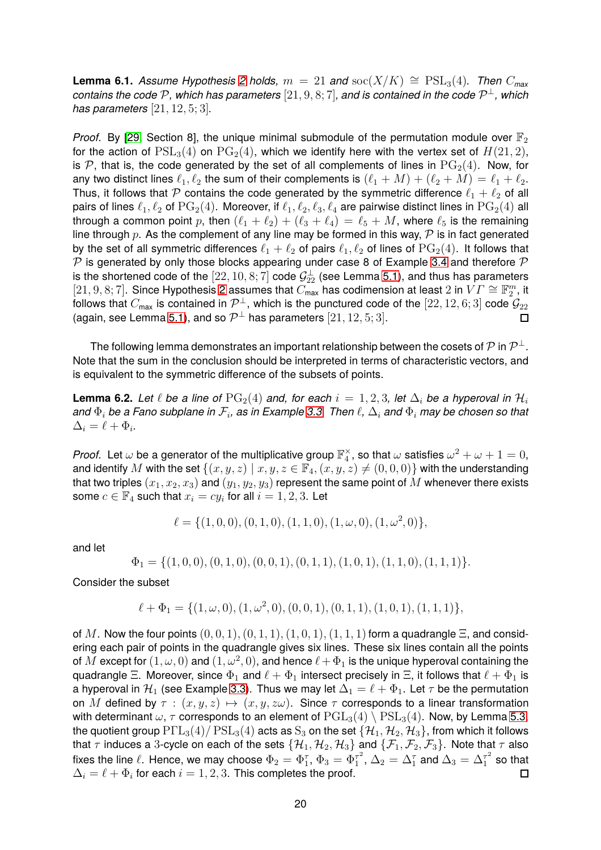<span id="page-19-0"></span>**Lemma 6.1.** *Assume Hypothesis* [2](#page-4-1) *holds,*  $m = 21$  *and*  $\text{soc}(X/K) \cong \text{PSL}_3(4)$ *. Then*  $C_{\text{max}}$ *contains the code* P*, which has parameters* [21, 9, 8; 7]*, and is contained in the code* P <sup>⊥</sup>*, which has parameters* [21, 12, 5; 3]*.*

*Proof.* By [\[29,](#page-31-14) Section 8], the unique minimal submodule of the permutation module over  $\mathbb{F}_2$ for the action of  $PSL<sub>3</sub>(4)$  on  $PG<sub>2</sub>(4)$ , which we identify here with the vertex set of  $H(21, 2)$ , is P, that is, the code generated by the set of all complements of lines in  $PG<sub>2</sub>(4)$ . Now, for any two distinct lines  $\ell_1, \ell_2$  the sum of their complements is  $(\ell_1 + M) + (\ell_2 + M) = \ell_1 + \ell_2$ . Thus, it follows that P contains the code generated by the symmetric difference  $\ell_1 + \ell_2$  of all pairs of lines  $\ell_1, \ell_2$  of  $PG_2(4)$ . Moreover, if  $\ell_1, \ell_2, \ell_3, \ell_4$  are pairwise distinct lines in  $PG_2(4)$  all through a common point p, then  $(\ell_1 + \ell_2) + (\ell_3 + \ell_4) = \ell_5 + M$ , where  $\ell_5$  is the remaining line through p. As the complement of any line may be formed in this way,  $P$  is in fact generated by the set of all symmetric differences  $\ell_1 + \ell_2$  of pairs  $\ell_1, \ell_2$  of lines of  $PG_2(4)$ . It follows that  $P$  is generated by only those blocks appearing under case 8 of Example [3.4](#page-12-0) and therefore  $P$ is the shortened code of the  $[22, 10, 8, 7]$  code  $\mathcal{G}_{22}^{\perp}$  (see Lemma [5.1\)](#page-15-1), and thus has parameters  $[21, 9, 8; 7]$ . Since Hypothesis [2](#page-4-1) assumes that  $C_{\text{max}}^2$  has codimension at least 2 in  $VT \cong \mathbb{F}_2^m$ , it follows that  $C_{\sf max}$  is contained in  $\mathcal{P}^\perp$ , which is the punctured code of the  $[22,12,6;3]$  code  $\mathcal{G}_{22}$ (again, see Lemma [5.1\)](#page-15-1), and so  $\mathcal{P}^\perp$  has parameters  $[21, 12, 5; 3].$ 

The following lemma demonstrates an important relationship between the cosets of  ${\mathcal P}$  in  ${\mathcal P}^\perp$  . Note that the sum in the conclusion should be interpreted in terms of characteristic vectors, and is equivalent to the symmetric difference of the subsets of points.

<span id="page-19-1"></span>**Lemma 6.2.** Let  $\ell$  be a line of  $PG_2(4)$  and, for each  $i = 1, 2, 3$ , let  $\Delta_i$  be a hyperoval in  $\mathcal{H}_i$ *and* Φ<sup>i</sup> *be a Fano subplane in* F<sup>i</sup> *, as in Example [3.3.](#page-11-0) Then* ℓ*,* ∆<sup>i</sup> *and* Φ<sup>i</sup> *may be chosen so that*  $\Delta_i = \ell + \Phi_i.$ 

*Proof.* Let  $\omega$  be a generator of the multiplicative group  $\mathbb{F}_4^\times$ , so that  $\omega$  satisfies  $\omega^2+\omega+1=0,$ and identify M with the set  $\{(x, y, z) | x, y, z \in \mathbb{F}_4, (x, y, z) \neq (0, 0, 0)\}$  with the understanding that two triples  $(x_1, x_2, x_3)$  and  $(y_1, y_2, y_3)$  represent the same point of M whenever there exists some  $c \in \mathbb{F}_4$  such that  $x_i = cy_i$  for all  $i = 1, 2, 3$ . Let

$$
\ell = \{ (1,0,0), (0,1,0), (1,1,0), (1,\omega,0), (1,\omega^2,0) \},\
$$

and let

$$
\Phi_1 = \{(1,0,0), (0,1,0), (0,0,1), (0,1,1), (1,0,1), (1,1,0), (1,1,1)\}.
$$

Consider the subset

$$
\ell + \Phi_1 = \{ (1, \omega, 0), (1, \omega^2, 0), (0, 0, 1), (0, 1, 1), (1, 0, 1), (1, 1, 1) \},\
$$

of M. Now the four points  $(0, 0, 1), (0, 1, 1), (1, 0, 1), (1, 1, 1)$  form a quadrangle  $\Xi$ , and considering each pair of points in the quadrangle gives six lines. These six lines contain all the points of  $M$  except for  $(1,\omega,0)$  and  $(1,\omega^2,0),$  and hence  $\ell+\Phi_1$  is the unique hyperoval containing the quadrangle Ξ. Moreover, since  $\Phi_1$  and  $\ell + \Phi_1$  intersect precisely in Ξ, it follows that  $\ell + \Phi_1$  is a hyperoval in  $\mathcal{H}_1$  (see Example [3.3\)](#page-11-0). Thus we may let  $\Delta_1 = \ell + \Phi_1$ . Let  $\tau$  be the permutation on M defined by  $\tau : (x, y, z) \mapsto (x, y, z\omega)$ . Since  $\tau$  corresponds to a linear transformation with determinant  $\omega$ ,  $\tau$  corresponds to an element of  $\text{PGL}_3(4) \setminus \text{PSL}_3(4)$ . Now, by Lemma [5.3,](#page-17-1) the quotient group  $P\Gamma L_3(4)/PSL_3(4)$  acts as  $S_3$  on the set  $\{H_1, H_2, H_3\}$ , from which it follows that  $\tau$  induces a 3-cycle on each of the sets  $\{H_1, H_2, H_3\}$  and  $\{\mathcal{F}_1, \mathcal{F}_2, \mathcal{F}_3\}$ . Note that  $\tau$  also fixes the line  $\ell.$  Hence, we may choose  $\Phi_2=\Phi_1^\tau,$   $\Phi_3=\Phi_1^{\tau^2}$  $\sigma_1^{\tau^2}$ ,  $\Delta_2 = \Delta_1^{\tau}$  and  $\Delta_3 = \Delta_1^{\tau^2}$  $i_1^{\tau^2}$  so that  $\Delta_i = \ell + \Phi_i$  for each  $i=1,2,3.$  This completes the proof.  $\Box$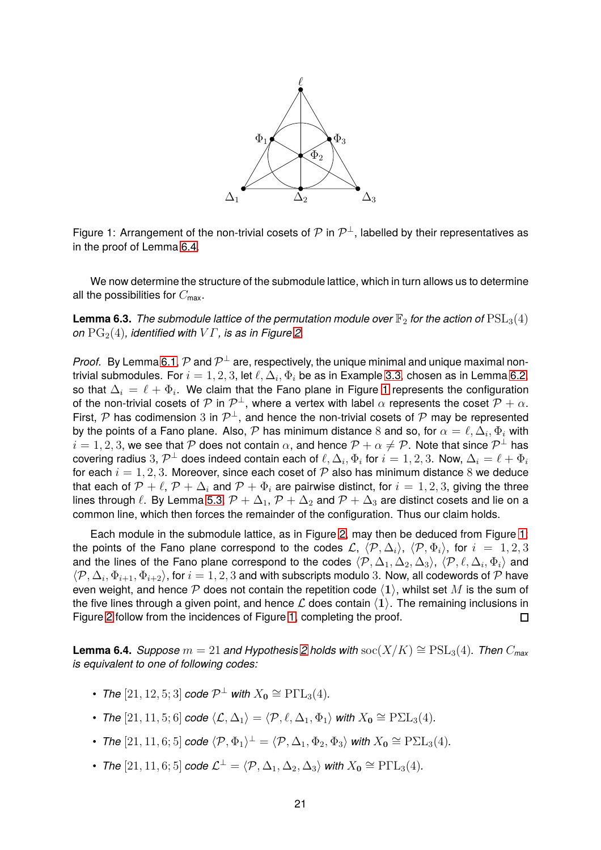

<span id="page-20-1"></span>Figure 1: Arrangement of the non-trivial cosets of  $\mathcal P$  in  $\mathcal P^{\perp}$ , labelled by their representatives as in the proof of Lemma [6.4.](#page-20-0)

We now determine the structure of the submodule lattice, which in turn allows us to determine all the possibilities for  $C_{\text{max}}$ .

<span id="page-20-2"></span>**Lemma 6.3.** *The submodule lattice of the permutation module over*  $\mathbb{F}_2$  *for the action of*  $PSL_3(4)$ *on*  $PG<sub>2</sub>(4)$ *, identified with*  $VT$ *, is as in Figure [2.](#page-21-0)* 

*Proof.* By Lemma [6.1,](#page-19-0)  $\mathcal P$  and  $\mathcal P^{\perp}$  are, respectively, the unique minimal and unique maximal nontrivial submodules. For  $i=1,2,3$ , let  $\ell,\Delta_i,\Phi_i$  be as in Example [3.3,](#page-11-0) chosen as in Lemma [6.2,](#page-19-1) so that  $\Delta_i\,=\,\ell+\Phi_i.$  We claim that the Fano plane in Figure [1](#page-20-1) represents the configuration of the non-trivial cosets of  $\mathcal P$  in  $\mathcal P^{\perp}$ , where a vertex with label  $\alpha$  represents the coset  $\mathcal P+\alpha$ . First,  $\mathcal P$  has codimension 3 in  $\mathcal P^{\perp}$ , and hence the non-trivial cosets of  $\mathcal P$  may be represented by the points of a Fano plane. Also,  $\cal P$  has minimum distance 8 and so, for  $\alpha=\ell,\Delta_i,\Phi_i$  with  $i = 1, 2, 3$ , we see that P does not contain  $\alpha$ , and hence  $\mathcal{P} + \alpha \neq \mathcal{P}$ . Note that since  $\mathcal{P}^{\perp}$  has covering radius  $3, P^{\perp}$  does indeed contain each of  $\ell, \Delta_i, \Phi_i$  for  $i=1,2,3$ . Now,  $\Delta_i=\ell+\Phi_i$ for each  $i = 1, 2, 3$ . Moreover, since each coset of  $P$  also has minimum distance 8 we deduce that each of  $P + \ell$ ,  $P + \Delta_i$  and  $P + \Phi_i$  are pairwise distinct, for  $i = 1, 2, 3$ , giving the three lines through  $\ell$ . By Lemma [5.3,](#page-17-1)  $\mathcal{P} + \Delta_1$ ,  $\mathcal{P} + \Delta_2$  and  $\mathcal{P} + \Delta_3$  are distinct cosets and lie on a common line, which then forces the remainder of the configuration. Thus our claim holds.

Each module in the submodule lattice, as in Figure [2,](#page-21-0) may then be deduced from Figure [1:](#page-20-1) the points of the Fano plane correspond to the codes  $\mathcal{L}$ ,  $\langle \mathcal{P}, \Delta_i \rangle$ ,  $\langle \mathcal{P}, \Phi_i \rangle$ , for  $i = 1, 2, 3$ and the lines of the Fano plane correspond to the codes  $\langle \mathcal{P}, \Delta_1, \Delta_2, \Delta_3 \rangle$ ,  $\langle \mathcal{P}, \ell, \Delta_i, \Phi_i \rangle$  and  $\langle \mathcal{P}, \Delta_i, \Phi_{i+1}, \Phi_{i+2} \rangle$ , for  $i=1,2,3$  and with subscripts modulo 3. Now, all codewords of  $\mathcal P$  have even weight, and hence  $P$  does not contain the repetition code  $\langle 1 \rangle$ , whilst set M is the sum of the five lines through a given point, and hence  $\mathcal L$  does contain  $\langle 1 \rangle$ . The remaining inclusions in<br>Figure 2 follow from the incidences of Figure 1, completing the proof. Figure [2](#page-21-0) follow from the incidences of Figure [1,](#page-20-1) completing the proof.

<span id="page-20-0"></span>**Lemma 6.4.** *Suppose*  $m = 21$  $m = 21$  $m = 21$  *and Hypothesis* 2 *holds with*  $\text{soc}(X/K) \cong \text{PSL}_3(4)$ *. Then*  $C_{\text{max}}$ *is equivalent to one of following codes:*

- *The*  $[21, 12, 5; 3]$  *code*  $\mathcal{P}^{\perp}$  *with*  $X_0 \cong \text{P}\Gamma\text{L}_3(4)$ *.*
- *The*  $[21, 11, 5; 6]$  *code*  $\langle \mathcal{L}, \Delta_1 \rangle = \langle \mathcal{P}, \ell, \Delta_1, \Phi_1 \rangle$  *with*  $X_0 \cong \text{P\Sigma L}_3(4)$ *.*
- *The*  $[21, 11, 6; 5]$  *code*  $\langle \mathcal{P}, \Phi_1 \rangle^{\perp} = \langle \mathcal{P}, \Delta_1, \Phi_2, \Phi_3 \rangle$  *with*  $X_0 \cong \mathrm{P\Sigma L}_3(4)$ *.*
- *The*  $[21, 11, 6; 5]$  *code*  $\mathcal{L}^{\perp} = \langle \mathcal{P}, \Delta_1, \Delta_2, \Delta_3 \rangle$  *with*  $X_0 \cong \mathrm{P}\Gamma\mathrm{L}_3(4)$ *.*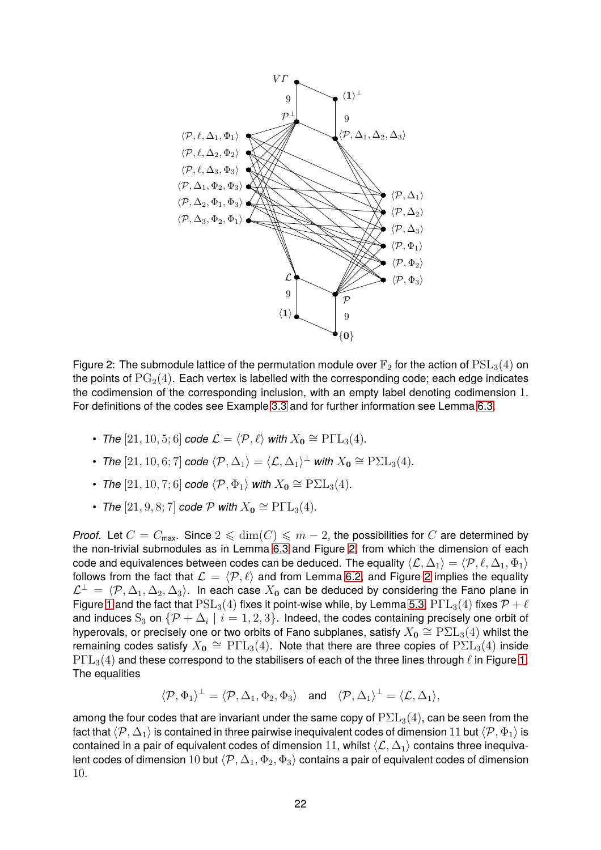

<span id="page-21-0"></span>Figure 2: The submodule lattice of the permutation module over  $\mathbb{F}_2$  for the action of  $PSL_3(4)$  on the points of  $PG<sub>2</sub>(4)$ . Each vertex is labelled with the corresponding code; each edge indicates the codimension of the corresponding inclusion, with an empty label denoting codimension 1. For definitions of the codes see Example [3.3](#page-11-0) and for further information see Lemma [6.3.](#page-20-2)

- *The*  $[21, 10, 5; 6]$  *code*  $\mathcal{L} = \langle \mathcal{P}, \ell \rangle$  *with*  $X_0 \cong \text{P}\Gamma\text{L}_3(4)$ *.*
- *The*  $[21, 10, 6; 7]$  *code*  $\langle \mathcal{P}, \Delta_1 \rangle = \langle \mathcal{L}, \Delta_1 \rangle^{\perp}$  *with*  $X_0 \cong \mathrm{P\Sigma L}_3(4)$ *.*
- *The*  $[21, 10, 7; 6]$  *code*  $\langle \mathcal{P}, \Phi_1 \rangle$  *with*  $X_0 ≅ \text{P} \Sigma \mathcal{L}_3(4)$ *.*
- ► *The*  $[21, 9, 8; 7]$  *code*  $\mathcal{P}$  *with*  $X_0 \cong \mathrm{P}\Gamma\mathrm{L}_3(4)$ *.*

*Proof.* Let  $C = C_{\text{max}}$ . Since  $2 \leq \dim(C) \leq m - 2$ , the possibilities for C are determined by the non-trivial submodules as in Lemma [6.3](#page-20-2) and Figure [2,](#page-21-0) from which the dimension of each code and equivalences between codes can be deduced. The equality  $\langle\mathcal{L},\Delta_1\rangle = \langle\mathcal{P},\ell,\Delta_1,\Phi_1\rangle$ follows from the fact that  $\mathcal{L} = \langle \mathcal{P}, \ell \rangle$  and from Lemma [6.2,](#page-19-1) and Figure [2](#page-21-0) implies the equality  $\mathcal{L}^{\perp} = \langle \mathcal{P}, \Delta_1, \Delta_2, \Delta_3 \rangle$ . In each case  $X_0$  can be deduced by considering the Fano plane in Figure [1](#page-20-1) and the fact that  $PSL_3(4)$  fixes it point-wise while, by Lemma [5.3,](#page-17-1)  $P\Gamma L_3(4)$  fixes  $\mathcal{P}+\ell$ and induces  $S_3$  on  $\{\mathcal{P} + \Delta_i \mid i = 1, 2, 3\}$ . Indeed, the codes containing precisely one orbit of hyperovals, or precisely one or two orbits of Fano subplanes, satisfy  $X_{\mathbf{0}}\cong{\rm P\Sigma L}_{3}(4)$  whilst the remaining codes satisfy  $X_{\bf{0}}\,\cong\,\mathrm{P}\Gamma\mathrm{L}_{3}(4).$  Note that there are three copies of  $\mathrm{P}\Sigma\mathrm{L}_{3}(4)$  inside  $P\Gamma L_3(4)$  and these correspond to the stabilisers of each of the three lines through  $\ell$  in Figure [1.](#page-20-1) The equalities

$$
\langle \mathcal{P}, \Phi_1 \rangle^{\perp} = \langle \mathcal{P}, \Delta_1, \Phi_2, \Phi_3 \rangle \quad \text{and} \quad \langle \mathcal{P}, \Delta_1 \rangle^{\perp} = \langle \mathcal{L}, \Delta_1 \rangle,
$$

among the four codes that are invariant under the same copy of  $P\Sigma L_3(4)$ , can be seen from the fact that  $\langle \mathcal{P}, \Delta_1 \rangle$  is contained in three pairwise inequivalent codes of dimension 11 but  $\langle \mathcal{P}, \Phi_1 \rangle$  is contained in a pair of equivalent codes of dimension 11, whilst  $\langle L, \Delta_1 \rangle$  contains three inequivalent codes of dimension 10 but  $\langle \mathcal{P}, \Delta_1, \Phi_2, \Phi_3 \rangle$  contains a pair of equivalent codes of dimension 10.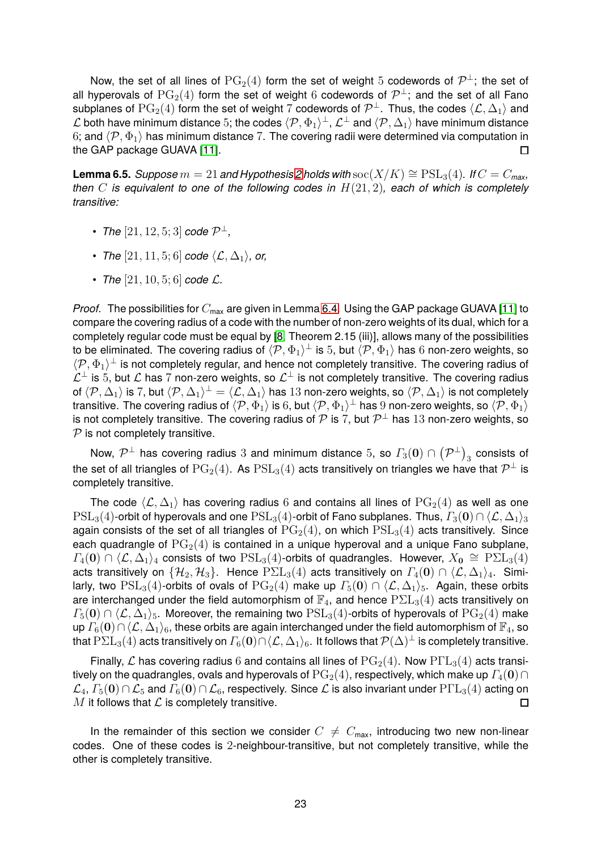Now, the set of all lines of  $PG_2(4)$  form the set of weight 5 codewords of  $\mathcal{P}^{\perp}$ ; the set of all hyperovals of  $PG_2(4)$  form the set of weight 6 codewords of  $\mathcal{P}^{\perp}$ ; and the set of all Fano subplanes of  $PG_2(4)$  form the set of weight 7 codewords of  $\mathcal{P}^\perp$ . Thus, the codes  $\langle \mathcal{L}, \Delta_1 \rangle$  and L both have minimum distance 5; the codes  $\langle \mathcal{P}, \Phi_1 \rangle^\perp$ ,  $\mathcal{L}^\perp$  and  $\langle \mathcal{P}, \Delta_1 \rangle$  have minimum distance 6; and  $\langle P, \Phi_1 \rangle$  has minimum distance 7. The covering radii were determined via computation in the GAP package GUAVA [11]. the GAP package GUAVA [\[11\]](#page-30-16).

<span id="page-22-0"></span>**Lemma 6.5.** *Suppose*  $m = 21$  $m = 21$  $m = 21$  *and Hypothesis* 2 *holds with*  $\text{soc}(X/K) \cong \text{PSL}_3(4)$ *. If*  $C = C_{\text{max}}$ *, then* C *is equivalent to one of the following codes in* H(21, 2)*, each of which is completely transitive:*

- *The*  $[21, 12, 5; 3]$  *code*  $\mathcal{P}^{\perp}$ *,*
- *The*  $[21, 11, 5; 6]$  *code*  $\langle \mathcal{L}, \Delta_1 \rangle$ *, or,*
- *The*  $[21, 10, 5; 6]$  *code*  $\mathcal{L}$ *.*

*Proof.* The possibilities for  $C_{\text{max}}$  are given in Lemma [6.4.](#page-20-0) Using the GAP package GUAVA [\[11\]](#page-30-16) to compare the covering radius of a code with the number of non-zero weights of its dual, which for a completely regular code must be equal by [\[8,](#page-30-3) Theorem 2.15 (iii)], allows many of the possibilities to be eliminated. The covering radius of  $\langle \mathcal{P}, \Phi_1 \rangle^\perp$  is 5, but  $\langle \mathcal{P}, \Phi_1 \rangle$  has  $6$  non-zero weights, so  $\langle \mathcal{P}, \Phi_1 \rangle^{\perp}$  is not completely regular, and hence not completely transitive. The covering radius of  $\mathcal{L}^{\perp}$  is 5, but  $\mathcal L$  has 7 non-zero weights, so  $\mathcal{L}^{\perp}$  is not completely transitive. The covering radius of  $\langle \mathcal{P}, \Delta_1 \rangle$  is 7, but  $\langle \mathcal{P}, \Delta_1 \rangle^{\perp} = \langle \mathcal{L}, \Delta_1 \rangle$  has 13 non-zero weights, so  $\langle \mathcal{P}, \Delta_1 \rangle$  is not completely transitive. The covering radius of  $\langle \mathcal{P}, \Phi_1\rangle$  is  $6$ , but  $\langle \mathcal{P}, \Phi_1\rangle^\perp$  has  $9$  non-zero weights, so  $\langle \mathcal{P}, \Phi_1\rangle$ is not completely transitive. The covering radius of  ${\mathcal P}$  is 7, but  ${\mathcal P}^\perp$  has  $13$  non-zero weights, so  $P$  is not completely transitive.

Now,  $\mathcal{P}^\perp$  has covering radius  $3$  and minimum distance  $5$ , so  $\varGamma_3(\mathbf{0})\cap\left(\mathcal{P}^\perp\right)_3$  consists of the set of all triangles of  $\mathrm{PG}_2(4)$ . As  $\mathrm{PSL}_3(4)$  acts transitively on triangles we have that  $\mathcal{P}^\perp$  is completely transitive.

The code  $\langle \mathcal{L}, \Delta_1 \rangle$  has covering radius 6 and contains all lines of  $PG_2(4)$  as well as one  $PSL_3(4)$ -orbit of hyperovals and one  $PSL_3(4)$ -orbit of Fano subplanes. Thus,  $\Gamma_3(0) \cap \langle \mathcal{L}, \Delta_1 \rangle_3$ again consists of the set of all triangles of  $PG<sub>2</sub>(4)$ , on which  $PSL<sub>3</sub>(4)$  acts transitively. Since each quadrangle of  $PG<sub>2</sub>(4)$  is contained in a unique hyperoval and a unique Fano subplane,  $\Gamma_4(\mathbf{0}) \cap \langle \mathcal{L}, \Delta_1 \rangle_4$  consists of two  $PSL_3(4)$ -orbits of quadrangles. However,  $X_0 \cong P\Sigma L_3(4)$ acts transitively on  $\{H_2, H_3\}$ . Hence  $P\Sigma L_3(4)$  acts transitively on  $\Gamma_4(\mathbf{0}) \cap \langle \mathcal{L}, \Delta_1 \rangle_4$ . Similarly, two  $PSL_3(4)$ -orbits of ovals of  $PG_2(4)$  make up  $\Gamma_5(0) \cap \langle \mathcal{L}, \Delta_1 \rangle_5$ . Again, these orbits are interchanged under the field automorphism of  $\mathbb{F}_4$ , and hence  $\text{P\Sigma L}_3(4)$  acts transitively on  $\Gamma_5(0) \cap \langle \mathcal{L}, \Delta_1 \rangle_5$ . Moreover, the remaining two  $PSL_3(4)$ -orbits of hyperovals of  $PG_2(4)$  make up  $\Gamma_6(0)\cap\langle\mathcal{L},\Delta_1\rangle_6$ , these orbits are again interchanged under the field automorphism of  $\mathbb{F}_4$ , so that  $\text{P\Sigma L}_3(4)$  acts transitively on  $\Gamma_6(\mathbf{0})\cap\langle\mathcal{L},\Delta_1\rangle_6$ . It follows that  $\mathcal{P}(\Delta)^\perp$  is completely transitive.

Finally, L has covering radius 6 and contains all lines of  $PG<sub>2</sub>(4)$ . Now  $P\Gamma L<sub>3</sub>(4)$  acts transitively on the quadrangles, ovals and hyperovals of  $\text{PG}_2(4)$ , respectively, which make up  $\Gamma_4(\mathbf{0})\cap$  $\mathcal{L}_4$ ,  $\Gamma_5(\mathbf{0}) \cap \mathcal{L}_5$  and  $\Gamma_6(\mathbf{0}) \cap \mathcal{L}_6$ , respectively. Since  $\mathcal L$  is also invariant under  $\mathrm{P}\Gamma\mathrm{L}_3(4)$  acting on  $M$  it follows that  $\mathcal L$  is completely transitive.  $M$  it follows that  $\mathcal L$  is completely transitive.

In the remainder of this section we consider  $C \neq C_{\text{max}}$ , introducing two new non-linear codes. One of these codes is 2-neighbour-transitive, but not completely transitive, while the other is completely transitive.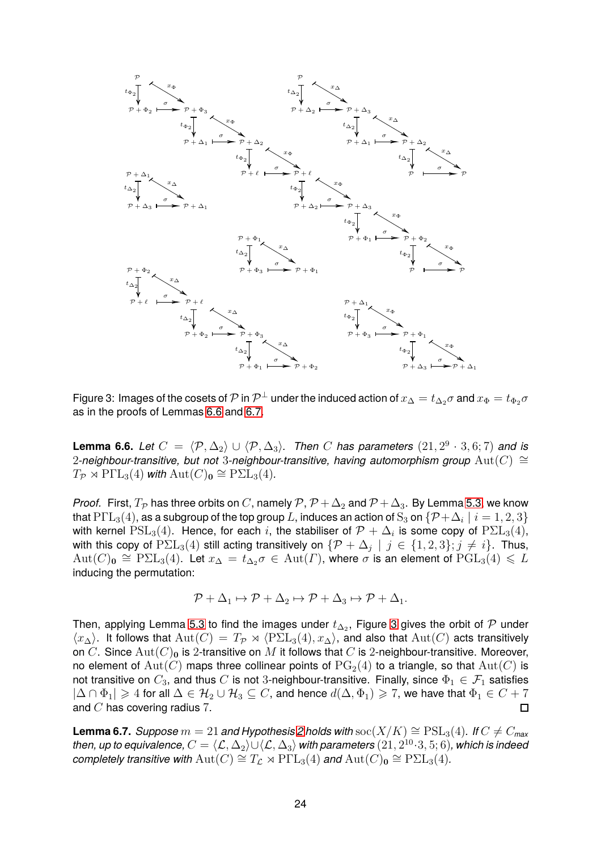

<span id="page-23-2"></span>Figure 3: Images of the cosets of  $\cal P$  in  $\cal P^{\perp}$  under the induced action of  $x_\Delta=t_{\Delta_2}\sigma$  and  $x_\Phi=t_{\Phi_2}\sigma$ as in the proofs of Lemmas [6.6](#page-23-0) and [6.7.](#page-23-1)

<span id="page-23-0"></span>**Lemma 6.6.** *Let*  $C = \langle \mathcal{P}, \Delta_2 \rangle \cup \langle \mathcal{P}, \Delta_3 \rangle$ . Then C has parameters  $(21, 2^9 \cdot 3, 6; 7)$  and is 2*-neighbour-transitive, but not 3-neighbour-transitive, having automorphism group* Aut(C) ≅  $T_{\mathcal{P}} \rtimes \mathrm{P}\Gamma\mathrm{L}_3(4)$  *with*  $\mathrm{Aut}(C)_0 \cong \mathrm{P}\Sigma\mathrm{L}_3(4)$ *.* 

*Proof.* First,  $T_{\mathcal{P}}$  has three orbits on C, namely  $\mathcal{P}, \mathcal{P} + \Delta_2$  and  $\mathcal{P} + \Delta_3$ . By Lemma [5.3,](#page-17-1) we know that  $\text{P}\Gamma\text{L}_3(4)$ , as a subgroup of the top group  $L$ , induces an action of  $\text{S}_3$  on  $\{\mathcal{P}+\Delta_i\mid i=1,2,3\}$ with kernel  $PSL_3(4)$ . Hence, for each i, the stabiliser of  $\mathcal{P} + \Delta_i$  is some copy of  ${\rm PSL}_3(4)$ , with this copy of  $P\Sigma L_3(4)$  still acting transitively on  $\{\mathcal{P} + \Delta_j \mid j \in \{1, 2, 3\}; j \neq i\}$ . Thus,  ${\rm Aut}(C)_{\mathbf 0}\cong {\rm P\Sigma L}_3(4).$  Let  $x_\Delta\,=\,t_{\Delta_2}\sigma\,\in\,{\rm Aut}(\varGamma),$  where  $\sigma$  is an element of  ${\rm PGL}_3(4)\,\leqslant\, L$ inducing the permutation:

$$
\mathcal{P} + \Delta_1 \mapsto \mathcal{P} + \Delta_2 \mapsto \mathcal{P} + \Delta_3 \mapsto \mathcal{P} + \Delta_1.
$$

Then, applying Lemma [5.3](#page-17-1) to find the images under  $t_{\Delta_2}$ , Figure [3](#page-23-2) gives the orbit of  $\mathcal P$  under  $\langle x_\Delta \rangle$ . It follows that  $\text{Aut}(C) = T_{\mathcal{P}} \rtimes \langle \text{P\Sigma L}_3(4), x_\Delta \rangle$ , and also that  $\text{Aut}(C)$  acts transitively on C. Since  $\text{Aut}(C)_0$  is 2-transitive on M it follows that C is 2-neighbour-transitive. Moreover, no element of  $Aut(C)$  maps three collinear points of  $PG<sub>2</sub>(4)$  to a triangle, so that  $Aut(C)$  is not transitive on  $C_3$ , and thus C is not 3-neighbour-transitive. Finally, since  $\Phi_1 \in \mathcal{F}_1$  satisfies  $|\Delta \cap \Phi_1| \geq 4$  for all  $\Delta \in \mathcal{H}_2 \cup \mathcal{H}_3 \subseteq C$ , and hence  $d(\Delta, \Phi_1) \geq 7$ , we have that  $\Phi_1 \in C + 7$  and  $C$  has covering radius 7. and  $C$  has covering radius 7.

<span id="page-23-1"></span>**Lemma 6.7.** *Suppose*  $m = 21$  $m = 21$  $m = 21$  *and Hypothesis* 2 *holds with* soc( $X/K$ )  $\cong$   $PSL<sub>3</sub>(4)$ *. If*  $C \neq C_{max}$  $t$ hen, up to equivalence,  $C=\langle \mathcal{L}, \Delta_2\rangle \cup \langle \mathcal{L}, \Delta_3\rangle$  with parameters  $(21, 2^{10}\cdot 3, 5; 6)$ *, which is indeed*  $\epsilon$ *completely transitive with*  $\mathrm{Aut}(C) \cong T_{\mathcal{L}} \rtimes \mathrm{P}\Gamma\mathrm{L}_{3}(4)$  *and*  $\mathrm{Aut}(C)_{\mathbf{0}} \cong \mathrm{P}\Sigma\mathrm{L}_{3}(4)$ *.*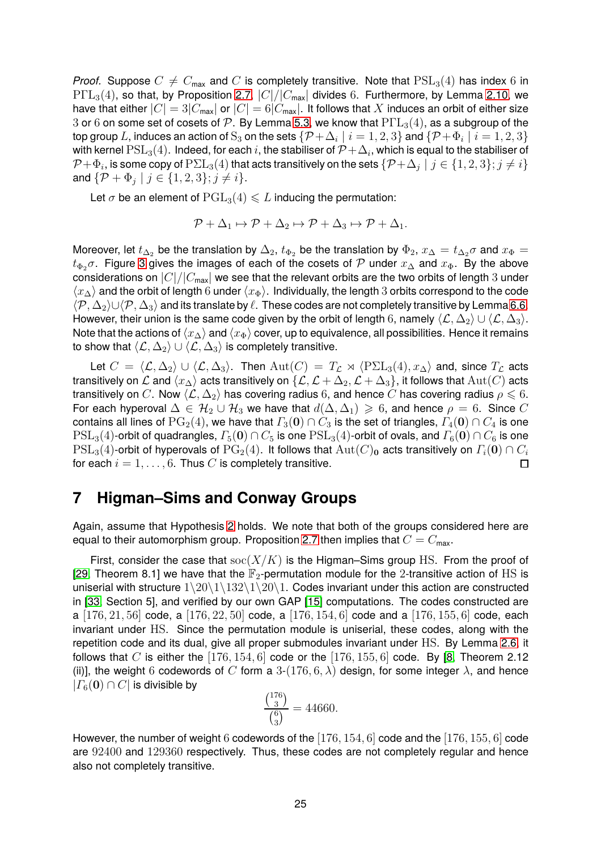*Proof.* Suppose  $C \neq C_{\text{max}}$  and C is completely transitive. Note that  $PSL_3(4)$  has index 6 in  $P\Gamma L_3(4)$ , so that, by Proposition [2.7,](#page-8-0)  $|C|/|C_{\text{max}}|$  divides 6. Furthermore, by Lemma [2.10,](#page-9-0) we have that either  $|C| = 3|C_{\text{max}}|$  or  $|C| = 6|C_{\text{max}}|$ . It follows that X induces an orbit of either size 3 or 6 on some set of cosets of P. By Lemma [5.3,](#page-17-1) we know that  $P\Gamma L_3(4)$ , as a subgroup of the top group  $L$ , induces an action of  $\mathrm{S}_3$  on the sets  $\{\mathcal{P}+\Delta_i\mid i=1,2,3\}$  and  $\{\mathcal{P}+\Phi_i\mid i=1,2,3\}$ with kernel  $\mathrm{PSL}_3(4)$ . Indeed, for each  $i$ , the stabiliser of  $\mathcal{P}+\Delta_i$ , which is equal to the stabiliser of  $\mathcal{P}+\Phi_i$ , is some copy of  $\mathrm{P\Sigma L}_3(4)$  that acts transitively on the sets  $\{\mathcal{P}+\Delta_j\mid j\in\{1,2,3\}; j\neq i\}$ and  $\{P + \Phi_j \mid j \in \{1, 2, 3\}; j \neq i\}.$ 

Let  $\sigma$  be an element of  $PGL<sub>3</sub>(4) \leq L$  inducing the permutation:

$$
\mathcal{P} + \Delta_1 \mapsto \mathcal{P} + \Delta_2 \mapsto \mathcal{P} + \Delta_3 \mapsto \mathcal{P} + \Delta_1.
$$

Moreover, let  $t_{\Delta_2}$  be the translation by  $\Delta_2$ ,  $t_{\Phi_2}$  be the translation by  $\Phi_2$ ,  $x_{\Delta} = t_{\Delta_2} \sigma$  and  $x_{\Phi} =$  $t_{\Phi_2}$   $\sigma$ . Figure [3](#page-23-2) gives the images of each of the cosets of P under  $x_\Delta$  and  $x_\Phi$ . By the above considerations on  $|C|/|C_{\text{max}}|$  we see that the relevant orbits are the two orbits of length 3 under  $\langle x_\Delta \rangle$  and the orbit of length 6 under  $\langle x_\Phi \rangle$ . Individually, the length 3 orbits correspond to the code  $\langle P, \Delta_2\rangle$ ∪ $\langle P, \Delta_3\rangle$  and its translate by  $\ell$ . These codes are not completely transitive by Lemma [6.6.](#page-23-0) However, their union is the same code given by the orbit of length 6, namely  $\langle\mathcal{L}, \Delta_2\rangle \cup \langle\mathcal{L}, \Delta_3\rangle$ . Note that the actions of  $\langle x_\Delta \rangle$  and  $\langle x_\Phi \rangle$  cover, up to equivalence, all possibilities. Hence it remains to show that  $\langle\mathcal{L},\Delta_2\rangle\cup\langle\mathcal{L},\Delta_3\rangle$  is completely transitive.

Let  $C = \langle \mathcal{L}, \Delta_2 \rangle \cup \langle \mathcal{L}, \Delta_3 \rangle$ . Then  $\text{Aut}(C) = T_{\mathcal{L}} \rtimes \langle \text{P\Sigma L}_3(4), x_{\Delta} \rangle$  and, since  $T_{\mathcal{L}}$  acts transitively on  $\mathcal L$  and  $\langle x_\Delta \rangle$  acts transitively on  $\{\mathcal L, \mathcal L + \Delta_2,\mathcal L + \Delta_3\}$ , it follows that  $\mathrm{Aut}(C)$  acts transitively on C. Now  $\langle \mathcal{L}, \Delta_2 \rangle$  has covering radius 6, and hence C has covering radius  $\rho \leq 6$ . For each hyperoval  $\Delta \in \mathcal{H}_2 \cup \mathcal{H}_3$  we have that  $d(\Delta, \Delta_1) \geq 6$ , and hence  $\rho = 6$ . Since C contains all lines of  $PG<sub>2</sub>(4)$ , we have that  $\Gamma<sub>3</sub>(0) \cap C<sub>3</sub>$  is the set of triangles,  $\Gamma<sub>4</sub>(0) \cap C<sub>4</sub>$  is one  $PSL_3(4)$ -orbit of quadrangles,  $\Gamma_5(0) \cap C_5$  is one  $PSL_3(4)$ -orbit of ovals, and  $\Gamma_6(0) \cap C_6$  is one  $PSL_3(4)$ -orbit of hyperovals of  $PG_2(4)$ . It follows that  $Aut(C)_0$  acts transitively on  $\Gamma_i(0) \cap C_i$ <br>for each  $i = 1$  6 Thus C is completely transitive for each  $i = 1, \ldots, 6$ . Thus C is completely transitive.

### **7 Higman–Sims and Conway Groups**

Again, assume that Hypothesis [2](#page-4-1) holds. We note that both of the groups considered here are equal to their automorphism group. Proposition [2.7](#page-8-0) then implies that  $C = C_{\text{max}}$ .

First, consider the case that  $\operatorname{soc}(X/K)$  is the Higman–Sims group HS. From the proof of [\[29,](#page-31-14) Theorem 8.1] we have that the  $\mathbb{F}_2$ -permutation module for the 2-transitive action of HS is uniserial with structure  $1\langle 20\langle 1\rangle 132\rangle 1\langle 20\rangle 1$ . Codes invariant under this action are constructed in [\[33,](#page-31-16) Section 5], and verified by our own GAP [\[15\]](#page-30-17) computations. The codes constructed are a [176, 21, 56] code, a [176, 22, 50] code, a [176, 154, 6] code and a [176, 155, 6] code, each invariant under HS. Since the permutation module is uniserial, these codes, along with the repetition code and its dual, give all proper submodules invariant under HS. By Lemma [2.6,](#page-7-3) it follows that C is either the  $[176, 154, 6]$  code or the  $[176, 155, 6]$  code. By [\[8,](#page-30-3) Theorem 2.12 (ii)], the weight 6 codewords of C form a 3-(176, 6,  $\lambda$ ) design, for some integer  $\lambda$ , and hence  $|F_6(\mathbf{0}) \cap C|$  is divisible by

$$
\frac{\binom{176}{3}}{\binom{6}{3}} = 44660.
$$

However, the number of weight 6 codewords of the [176, 154, 6] code and the [176, 155, 6] code are 92400 and 129360 respectively. Thus, these codes are not completely regular and hence also not completely transitive.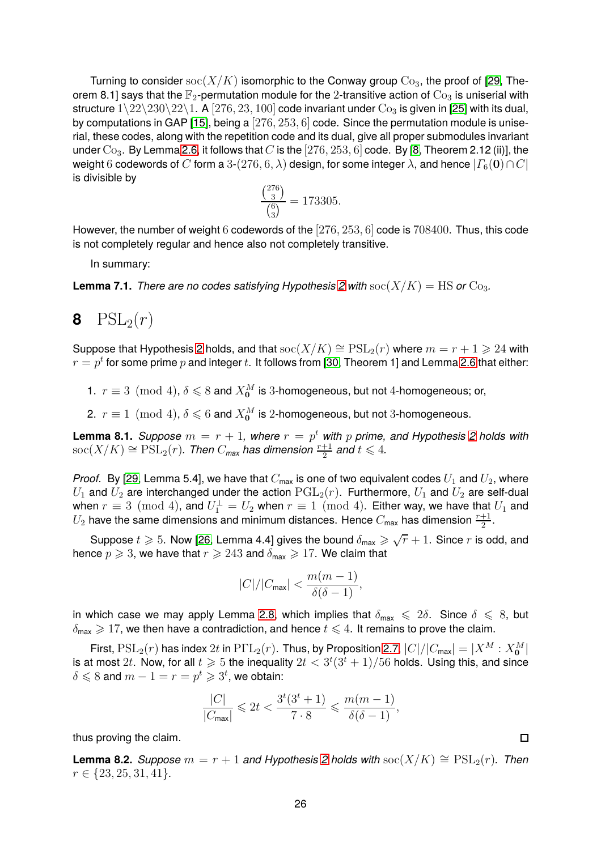Turning to consider  $\operatorname{soc}(X/K)$  isomorphic to the Conway group  $\mathrm{Co}_3$ , the proof of [\[29,](#page-31-14) Theorem 8.1] says that the  $\mathbb{F}_2$ -permutation module for the 2-transitive action of  $\text{Co}_3$  is uniserial with structure  $1\langle 22\langle 230\langle 22\langle 1. A [276, 23, 100] \rangle \rangle$  code invariant under  $Co<sub>3</sub>$  is given in [\[25\]](#page-31-17) with its dual, by computations in GAP [\[15\]](#page-30-17), being a  $[276, 253, 6]$  code. Since the permutation module is uniserial, these codes, along with the repetition code and its dual, give all proper submodules invariant under  $Co_3$ . By Lemma [2.6,](#page-7-3) it follows that C is the [276, 253, 6] code. By [\[8,](#page-30-3) Theorem 2.12 (ii)], the weight 6 codewords of C form a 3-(276, 6,  $\lambda$ ) design, for some integer  $\lambda$ , and hence  $|\Gamma_6(\mathbf{0})\cap C|$ is divisible by

$$
\frac{\binom{276}{3}}{\binom{6}{3}} = 173305.
$$

However, the number of weight 6 codewords of the [276, 253, 6] code is 708400. Thus, this code is not completely regular and hence also not completely transitive.

In summary:

<span id="page-25-2"></span>**Lemma 7.1.** *There are no codes satisfying Hypothesis* [2](#page-4-1) with  $\operatorname{soc}(X/K) = \operatorname{HS}$  or  $\operatorname{Co}_{3}$ .

# **8**  $PSL_2(r)$

Suppose that Hypothesis [2](#page-4-1) holds, and that  $\operatorname{soc}(X/K) \cong \operatorname{PSL}_2(r)$  where  $m = r + 1 \geq 24$  with  $r=p^t$  for some prime  $p$  and integer  $t.$  It follows from [\[30,](#page-31-13) Theorem 1] and Lemma [2.6](#page-7-3) that either:

1.  $r \equiv 3 \pmod{4}$ ,  $\delta \leqslant 8$  and  $X_0^M$  is 3-homogeneous, but not 4-homogeneous; or,

2.  $r \equiv 1 \pmod{4}$ ,  $\delta \leqslant 6$  and  $X_{0}^{M}$  is 2-homogeneous, but not 3-homogeneous.

<span id="page-25-0"></span>**Lemma 8.1.** *Suppose*  $m = r + 1$ , where  $r = p^t$  with  $p$  prime, and Hypothesis [2](#page-4-1) holds with  $\operatorname{soc}(X/K)\cong \operatorname{PSL}_2(r)$ . Then  $C_{\textsf{max}}$  has dimension  $\frac{r+1}{2}$  and  $t\leqslant 4$ .

*Proof.* By [\[29,](#page-31-14) Lemma 5.4], we have that  $C_{\text{max}}$  is one of two equivalent codes  $U_1$  and  $U_2$ , where  $U_1$  and  $U_2$  are interchanged under the action  $PGL_2(r)$ . Furthermore,  $U_1$  and  $U_2$  are self-dual when  $r\equiv 3\pmod{4}$ , and  $U_1^\perp=U_2$  when  $r\equiv 1\pmod{4}$ . Either way, we have that  $U_1$  and  $U_2$  have the same dimensions and minimum distances. Hence  $C_{\sf max}$  has dimension  $\frac{r+1}{2}.$ 

Suppose  $t\geqslant 5.$  Now [\[26,](#page-31-7) Lemma 4.4] gives the bound  $\delta_{\sf max}\geqslant \sqrt{r}+1.$  Since  $r$  is odd, and hence  $p \geqslant 3$ , we have that  $r \geqslant 243$  and  $\delta_{\text{max}} \geqslant 17$ . We claim that

$$
|C|/|C_{\max}| < \frac{m(m-1)}{\delta(\delta-1)},
$$

in which case we may apply Lemma [2.8,](#page-9-1) which implies that  $\delta_{\text{max}} \leq 2\delta$ . Since  $\delta \leq 8$ , but  $\delta_{\text{max}} \geq 17$ , we then have a contradiction, and hence  $t \leq 4$ . It remains to prove the claim.

First,  $PSL_2(r)$  has index  $2t$  in  $P\Gamma L_2(r)$ . Thus, by Proposition [2.7,](#page-8-0)  $|C|/|C_{\text{max}}| = |X^M : X_0^M|$ is at most  $2t.$  Now, for all  $t\geqslant 5$  the inequality  $2t< 3^t(3^t+1)/56$  holds. Using this, and since  $\delta \leqslant 8$  and  $m-1=r=p^t\geqslant 3^t$ , we obtain:

$$
\frac{|C|}{|C_{\text{max}}|} \leq 2t < \frac{3^t(3^t + 1)}{7 \cdot 8} \leq \frac{m(m-1)}{\delta(\delta - 1)},
$$

thus proving the claim.

<span id="page-25-1"></span>**Lemma 8.2.** *Suppose*  $m = r + 1$  *and Hypothesis* [2](#page-4-1) *holds with*  $\operatorname{soc}(X/K) \cong \operatorname{PSL}_2(r)$ *. Then*  $r \in \{23, 25, 31, 41\}.$ 

 $\Box$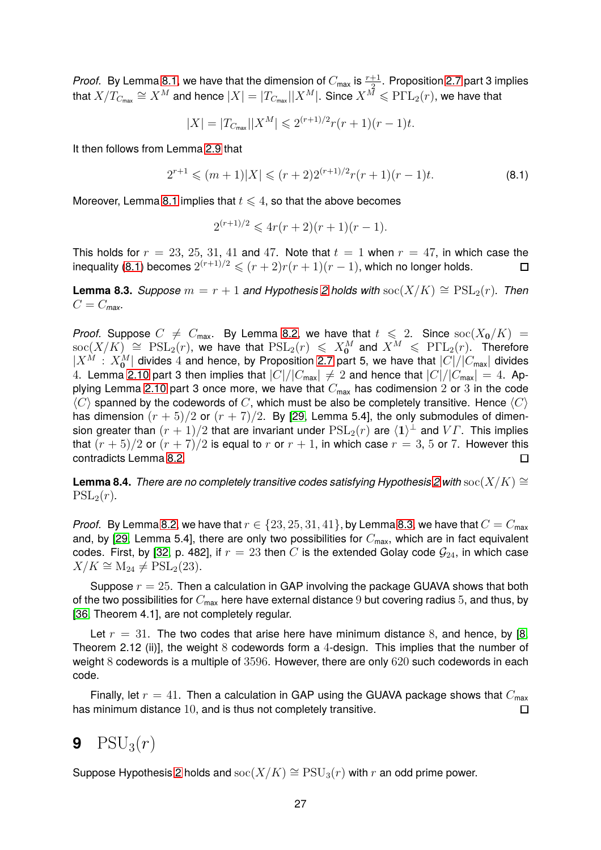*Proof.* By Lemma [8.1,](#page-25-0) we have that the dimension of  $C_{\sf max}$  is  $\frac{r+1}{2}$ . Proposition [2.7](#page-8-0) part 3 implies that  $X/T_{C_{\sf max}}\cong X^M$  and hence  $|X|=|T_{C_{\sf max}}||X^M|.$  Since  $X^M\leqslant {\rm P\Gamma L}_2(r),$  we have that

$$
|X| = |T_{C_{\text{max}}}||X^M| \leq 2^{(r+1)/2}r(r+1)(r-1)t.
$$

It then follows from Lemma [2.9](#page-9-2) that

<span id="page-26-0"></span>
$$
2^{r+1} \leqslant (m+1)|X| \leqslant (r+2)2^{(r+1)/2}r(r+1)(r-1)t.
$$
\n(8.1)

Moreover, Lemma [8.1](#page-25-0) implies that  $t \leq 4$ , so that the above becomes

$$
2^{(r+1)/2} \leq 4r(r+2)(r+1)(r-1).
$$

This holds for  $r = 23, 25, 31, 41$  and 47. Note that  $t = 1$  when  $r = 47$ , in which case the inequality [\(8.1\)](#page-26-0) becomes  $2^{(r+1)/2} \leqslant (r+2)r(r+1)(r-1)$ , which no longer holds. П

<span id="page-26-1"></span>**Lemma 8.3.** *Suppose*  $m = r + 1$  *and Hypothesis* [2](#page-4-1) *holds with* soc( $X/K$ ) ≅  $PSL_2(r)$ *. Then*  $C = C_{\text{max}}$ .

*Proof.* Suppose  $C \neq C_{\text{max}}$ . By Lemma [8.2,](#page-25-1) we have that  $t \leq 2$ . Since  $\operatorname{soc}(X_0/K) =$  ${\rm soc}(X/K) \ \cong \ {\rm PSL}_2(r),$  we have that  ${\rm PSL}_2(r) \ \leqslant \ X^M_{\mathbf{0}}$  and  $X^M \ \leqslant \ {\rm PFL}_2(r).$  Therefore  $|X^M : X_0^M|$  divides 4 and hence, by Proposition [2.7](#page-8-0) part 5, we have that  $|C|/|C_{\text{max}}|$  divides 4. Lemma [2.10](#page-9-0) part 3 then implies that  $|C|/|C_{\text{max}}| \neq 2$  and hence that  $|C|/|C_{\text{max}}| = 4$ . Ap-plying Lemma [2.10](#page-9-0) part 3 once more, we have that  $C_{\text{max}}$  has codimension 2 or 3 in the code  $\langle C \rangle$  spanned by the codewords of C, which must be also be completely transitive. Hence  $\langle C \rangle$ has dimension  $(r + 5)/2$  or  $(r + 7)/2$ . By [\[29,](#page-31-14) Lemma 5.4], the only submodules of dimension greater than  $(r+1)/2$  that are invariant under  $\mathrm{PSL}_2(r)$  are  $\langle 1 \rangle^\perp$  and  $V\varGamma$ . This implies that  $(r + 5)/2$  or  $(r + 7)/2$  is equal to r or  $r + 1$ , in which case  $r = 3, 5$  or 7. However this contradicts Lemma [8.2.](#page-25-1)  $\Box$ 

<span id="page-26-2"></span>**Lemma 8.4.** *There are no completely transitive codes satisfying Hypothesis* [2](#page-4-1) *with* soc( $X/K$ ) ≅  $PSL_2(r)$ .

*Proof.* By Lemma [8.2,](#page-25-1) we have that  $r \in \{23, 25, 31, 41\}$ , by Lemma [8.3,](#page-26-1) we have that  $C = C_{\text{max}}$ and, by [\[29,](#page-31-14) Lemma 5.4], there are only two possibilities for  $C_{\text{max}}$ , which are in fact equivalent codes. First, by [\[32,](#page-31-8) p. 482], if  $r = 23$  then C is the extended Golay code  $\mathcal{G}_{24}$ , in which case  $X/K \cong M_{24} \neq PSL_2(23).$ 

Suppose  $r = 25$ . Then a calculation in GAP involving the package GUAVA shows that both of the two possibilities for  $C_{\text{max}}$  here have external distance 9 but covering radius 5, and thus, by [\[36,](#page-31-3) Theorem 4.1], are not completely regular.

Let  $r = 31$ . The two codes that arise here have minimum distance 8, and hence, by [\[8,](#page-30-3) Theorem 2.12 (ii)], the weight  $8$  codewords form a 4-design. This implies that the number of weight 8 codewords is a multiple of 3596. However, there are only 620 such codewords in each code.

Finally, let  $r = 41$ . Then a calculation in GAP using the GUAVA package shows that  $C_{\text{max}}$ has minimum distance 10, and is thus not completely transitive. П

## **9**  $PSU_3(r)$

Suppose Hypothesis [2](#page-4-1) holds and soc( $X/K$ ) ≅  $PSU_3(r)$  with r an odd prime power.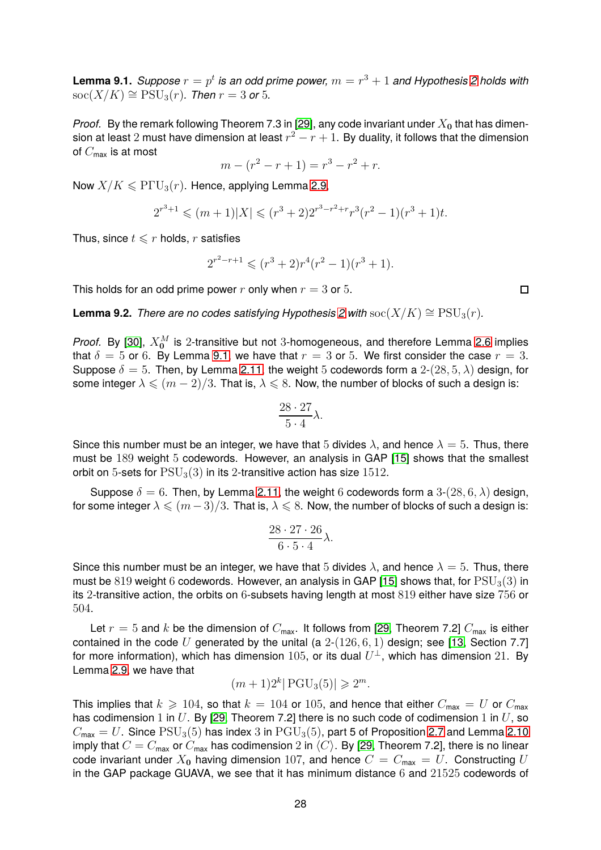<span id="page-27-0"></span>**Lemma 9.1.** *Suppose*  $r = p^t$  *is an odd prime power,*  $m = r^3 + 1$  *and Hypothesis [2](#page-4-1) holds with*  $\operatorname{soc}(X/K) \cong \operatorname{PSU}_3(r)$ *. Then*  $r = 3$  or 5*.* 

*Proof.* By the remark following Theorem 7.3 in [\[29\]](#page-31-14), any code invariant under  $X_0$  that has dimension at least  $2$  must have dimension at least  $r^2 - r + 1$ . By duality, it follows that the dimension of  $C_{\text{max}}$  is at most

$$
m - (r^2 - r + 1) = r^3 - r^2 + r.
$$

Now  $X/K \leq P\Gamma \cup_{3}(r)$ . Hence, applying Lemma [2.9,](#page-9-2)

$$
2^{r^3+1} \leqslant (m+1)|X| \leqslant (r^3+2)2^{r^3-r^2+r}r^3(r^2-1)(r^3+1)t.
$$

Thus, since  $t \leq r$  holds, r satisfies

$$
2^{r^2-r+1} \leqslant (r^3+2)r^4(r^2-1)(r^3+1).
$$

This holds for an odd prime power r only when  $r = 3$  or 5.

<span id="page-27-1"></span>**Lemma 9.2.** *There are no codes satisfying Hypothesis 2 with* soc( $X/K$ ) ≅  $PSU_3(r)$ *.* 

*Proof.* By [\[30\]](#page-31-13),  $X_0^M$  is 2-transitive but not 3-homogeneous, and therefore Lemma [2.6](#page-7-3) implies that  $\delta = 5$  or 6. By Lemma [9.1,](#page-27-0) we have that  $r = 3$  or 5. We first consider the case  $r = 3$ . Suppose  $\delta = 5$ . Then, by Lemma [2.11,](#page-10-0) the weight 5 codewords form a 2-(28, 5,  $\lambda$ ) design, for some integer  $\lambda \leqslant (m-2)/3$ . That is,  $\lambda \leqslant 8$ . Now, the number of blocks of such a design is:

$$
\frac{28 \cdot 27}{5 \cdot 4} \lambda.
$$

Since this number must be an integer, we have that 5 divides  $\lambda$ , and hence  $\lambda = 5$ . Thus, there must be 189 weight 5 codewords. However, an analysis in GAP [\[15\]](#page-30-17) shows that the smallest orbit on 5-sets for  $PSU<sub>3</sub>(3)$  in its 2-transitive action has size 1512.

Suppose  $\delta = 6$ . Then, by Lemma [2.11,](#page-10-0) the weight 6 codewords form a 3-(28, 6,  $\lambda$ ) design, for some integer  $\lambda \leqslant (m-3)/3$ . That is,  $\lambda \leqslant 8$ . Now, the number of blocks of such a design is:

$$
\frac{28 \cdot 27 \cdot 26}{6 \cdot 5 \cdot 4} \lambda.
$$

Since this number must be an integer, we have that 5 divides  $\lambda$ , and hence  $\lambda = 5$ . Thus, there must be 819 weight 6 codewords. However, an analysis in GAP [\[15\]](#page-30-17) shows that, for  $PSU_3(3)$  in its 2-transitive action, the orbits on 6-subsets having length at most 819 either have size 756 or 504.

Let  $r = 5$  and k be the dimension of  $C_{\text{max}}$ . It follows from [\[29,](#page-31-14) Theorem 7.2]  $C_{\text{max}}$  is either contained in the code U generated by the unital (a  $2-(126, 6, 1)$  design; see [\[13,](#page-30-12) Section 7.7] for more information), which has dimension  $105$ , or its dual  $U^\perp$ , which has dimension  $21.$  By Lemma [2.9,](#page-9-2) we have that

$$
(m+1)2^k | \text{PGU}_3(5) | \geq 2^m.
$$

This implies that  $k \ge 104$ , so that  $k = 104$  or 105, and hence that either  $C_{\text{max}} = U$  or  $C_{\text{max}}$ has codimension 1 in  $U$ . By [\[29,](#page-31-14) Theorem 7.2] there is no such code of codimension 1 in  $U$ , so  $C_{\text{max}} = U$ . Since  $\text{PSU}_3(5)$  has index 3 in  $\text{PGU}_3(5)$ , part 5 of Proposition [2.7](#page-8-0) and Lemma [2.10](#page-9-0) imply that  $C = C_{\text{max}}$  or  $C_{\text{max}}$  has codimension 2 in  $\langle C \rangle$ . By [\[29,](#page-31-14) Theorem 7.2], there is no linear code invariant under  $X_0$  having dimension 107, and hence  $C = C_{\text{max}} = U$ . Constructing U in the GAP package GUAVA, we see that it has minimum distance  $6$  and  $21525$  codewords of

 $\Box$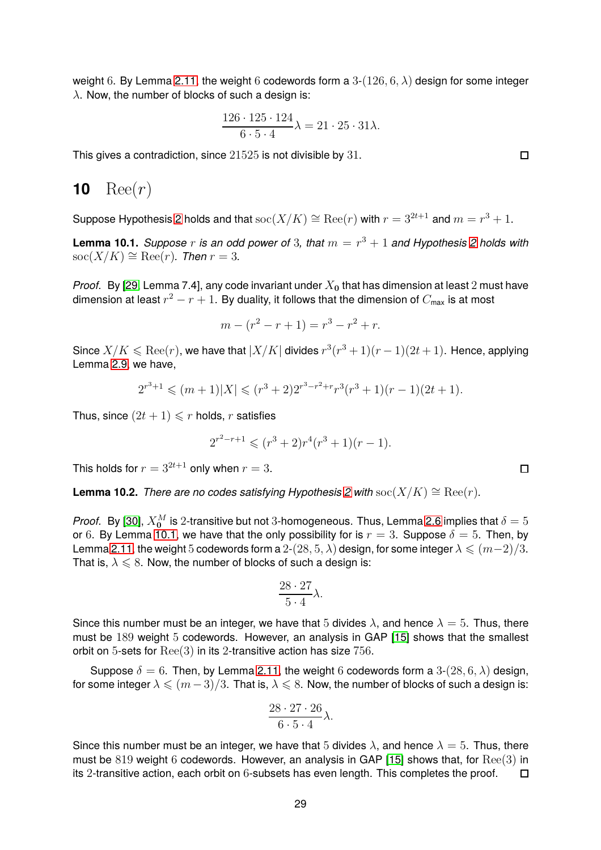weight 6. By Lemma [2.11,](#page-10-0) the weight 6 codewords form a  $3-(126, 6, \lambda)$  design for some integer  $\lambda$ . Now, the number of blocks of such a design is:

$$
\frac{126 \cdot 125 \cdot 124}{6 \cdot 5 \cdot 4} \lambda = 21 \cdot 25 \cdot 31 \lambda.
$$

<span id="page-28-0"></span>This gives a contradiction, since 21525 is not divisible by 31.

## **10**  $\text{Ree}(r)$

Suppose Hypothesis [2](#page-4-1) holds and that  $\operatorname{soc}(X/K)\cong \operatorname{Ree}(r)$  with  $r=3^{2t+1}$  and  $m=r^3+1.$ 

<span id="page-28-2"></span>**Lemma 10.1.** *Suppose*  $r$  *is an odd power of* 3, that  $m = r^3 + 1$  and Hypothesis [2](#page-4-1) holds with  $\operatorname{soc}(X/K) \cong \operatorname{Ree}(r)$ *. Then*  $r = 3$ *.* 

*Proof.* By [\[29,](#page-31-14) Lemma 7.4], any code invariant under  $X_0$  that has dimension at least 2 must have dimension at least  $r^2-r+1.$  By duality, it follows that the dimension of  $C_{\sf max}$  is at most

$$
m - (r^2 - r + 1) = r^3 - r^2 + r.
$$

Since  $X/K \leqslant \mathop{\rm Ree}\nolimits(r)$ , we have that  $|X/K|$  divides  $r^3(r^3+1)(r-1)(2t+1)$ . Hence, applying Lemma [2.9,](#page-9-2) we have,

$$
2^{r^3+1} \leqslant (m+1)|X| \leqslant (r^3+2)2^{r^3-r^2+r}r^3(r^3+1)(r-1)(2t+1).
$$

Thus, since  $(2t + 1) \leq r$  holds, r satisfies

$$
2^{r^2-r+1} \leqslant (r^3+2)r^4(r^3+1)(r-1).
$$

This holds for  $r = 3^{2t+1}$  only when  $r = 3$ .

<span id="page-28-3"></span>**Lemma 10.2.** *There are no codes satisfying Hypothesis* [2](#page-4-1) *with* soc( $X/K$ ) ≅ Ree(r).

*Proof.* By [\[30\]](#page-31-13),  $X^M_{\mathbf{0}}$  is  $2$ -transitive but not  $3$ -homogeneous. Thus, Lemma [2.6](#page-7-3) implies that  $\delta=5$ or 6. By Lemma [10.1,](#page-28-2) we have that the only possibility for is  $r = 3$ . Suppose  $\delta = 5$ . Then, by Lemma [2.11,](#page-10-0) the weight 5 codewords form a 2-(28, 5,  $\lambda$ ) design, for some integer  $\lambda \leqslant (m-2)/3$ . That is,  $\lambda \leqslant 8$ . Now, the number of blocks of such a design is:

$$
\frac{28 \cdot 27}{5 \cdot 4} \lambda.
$$

Since this number must be an integer, we have that 5 divides  $\lambda$ , and hence  $\lambda = 5$ . Thus, there must be 189 weight 5 codewords. However, an analysis in GAP [\[15\]](#page-30-17) shows that the smallest orbit on 5-sets for  $\text{Ree}(3)$  in its 2-transitive action has size 756.

Suppose  $\delta = 6$ . Then, by Lemma [2.11,](#page-10-0) the weight 6 codewords form a 3-(28, 6,  $\lambda$ ) design, for some integer  $\lambda \leqslant (m-3)/3$ . That is,  $\lambda \leqslant 8$ . Now, the number of blocks of such a design is:

$$
\frac{28 \cdot 27 \cdot 26}{6 \cdot 5 \cdot 4} \lambda.
$$

<span id="page-28-1"></span>Since this number must be an integer, we have that 5 divides  $\lambda$ , and hence  $\lambda = 5$ . Thus, there must be  $819$  weight  $6$  codewords. However, an analysis in GAP [\[15\]](#page-30-17) shows that, for  $\text{Ree}(3)$  in its 2-transitive action, each orbit on 6-subsets has even length. This completes the proof.  $\Box$ 

 $\Box$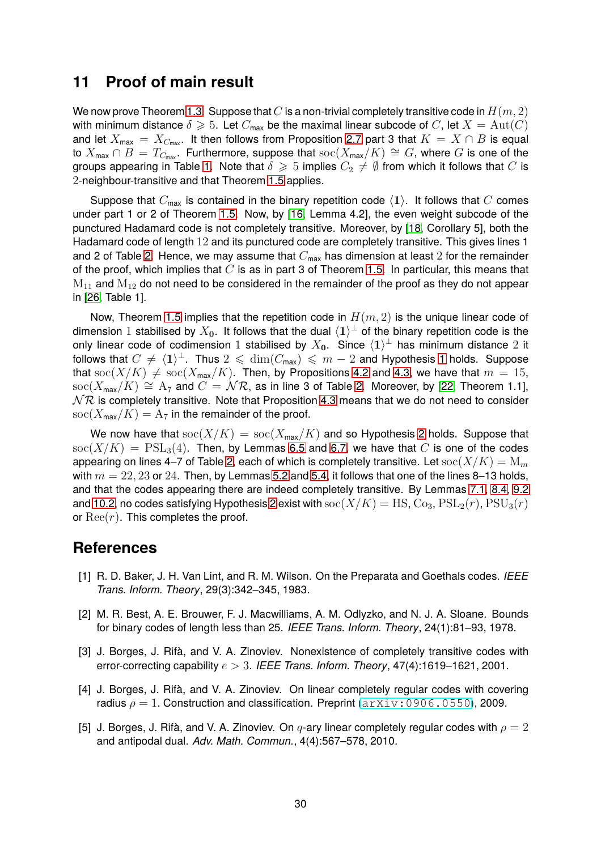### **11 Proof of main result**

We now prove Theorem [1.3.](#page-2-0) Suppose that  $C$  is a non-trivial completely transitive code in  $H(m, 2)$ with minimum distance  $\delta \geq 5$ . Let  $C_{\text{max}}$  be the maximal linear subcode of C, let  $X = \text{Aut}(C)$ and let  $X_{\text{max}} = X_{C_{\text{max}}}$ . It then follows from Proposition [2.7](#page-8-0) part 3 that  $K = X \cap B$  is equal to  $X_{\text{max}} \cap B = T_{C_{\text{max}}}$ . Furthermore, suppose that  $\text{soc}(X_{\text{max}}/K) \cong G$ , where G is one of the groups appearing in Table [1.](#page-2-1) Note that  $\delta \geq 5$  implies  $C_2 \neq \emptyset$  from which it follows that C is 2-neighbour-transitive and that Theorem [1.5](#page-3-0) applies.

Suppose that  $C_{\text{max}}$  is contained in the binary repetition code  $\langle 1 \rangle$ . It follows that C comes under part 1 or 2 of Theorem [1.5.](#page-3-0) Now, by [\[16,](#page-30-9) Lemma 4.2], the even weight subcode of the punctured Hadamard code is not completely transitive. Moreover, by [\[18,](#page-30-11) Corollary 5], both the Hadamard code of length 12 and its punctured code are completely transitive. This gives lines 1 and 2 of Table [2.](#page-3-1) Hence, we may assume that  $C_{\text{max}}$  has dimension at least 2 for the remainder of the proof, which implies that  $C$  is as in part 3 of Theorem [1.5.](#page-3-0) In particular, this means that  $M_{11}$  and  $M_{12}$  do not need to be considered in the remainder of the proof as they do not appear in [\[26,](#page-31-7) Table 1].

Now, Theorem [1.5](#page-3-0) implies that the repetition code in  $H(m, 2)$  is the unique linear code of dimension  $1$  stabilised by  $X_0$ . It follows that the dual  $\langle 1 \rangle^\perp$  of the binary repetition code is the only linear code of codimension 1 stabilised by  $X_0$ . Since  $\langle 1 \rangle^{\perp}$  has minimum distance 2 it follows that  $C \neq \langle 1 \rangle^{\perp}$  $C \neq \langle 1 \rangle^{\perp}$  $C \neq \langle 1 \rangle^{\perp}$ . Thus  $2 \leq \dim(C_{\text{max}}) \leq m - 2$  and Hypothesis 1 holds. Suppose that soc( $X/K$ )  $\neq$  soc( $X_{\text{max}}/K$ ). Then, by Propositions [4.2](#page-14-0) and [4.3,](#page-15-2) we have that  $m = 15$ , soc( $X_{\text{max}}/K$ )  $\cong$  A<sub>7</sub> and  $C = \mathcal{NR}$ , as in line 3 of Table [2.](#page-3-1) Moreover, by [\[22,](#page-30-15) Theorem 1.1],  $N\mathcal{R}$  is completely transitive. Note that Proposition [4.3](#page-15-2) means that we do not need to consider  $\operatorname{soc}(X_{\max}/K) = A_7$  in the remainder of the proof.

We now have that  $\operatorname{soc}(X/K) = \operatorname{soc}(X_{\max}/K)$  and so Hypothesis [2](#page-4-1) holds. Suppose that  $\operatorname{soc}(X/K) = \operatorname{PSL}_3(4)$ . Then, by Lemmas [6.5](#page-22-0) and [6.7,](#page-23-1) we have that C is one of the codes appearing on lines 4–7 of Table [2,](#page-3-1) each of which is completely transitive. Let  $\operatorname{soc}(X/K) = M_m$ with  $m = 22, 23$  or 24. Then, by Lemmas [5.2](#page-16-0) and [5.4,](#page-17-0) it follows that one of the lines 8–13 holds, and that the codes appearing there are indeed completely transitive. By Lemmas [7.1,](#page-25-2) [8.4,](#page-26-2) [9.2](#page-27-1) and [10.2,](#page-28-3) no codes satisfying Hypothesis [2](#page-4-1) exist with  $\operatorname{soc}(X/K) = \operatorname{HS}$ ,  $\operatorname{Co}_3$ ,  $\operatorname{PSL}_2(r)$ ,  $\operatorname{PSU}_3(r)$ or  $\text{Re}(r)$ . This completes the proof.

### <span id="page-29-3"></span>**References**

- [1] R. D. Baker, J. H. Van Lint, and R. M. Wilson. On the Preparata and Goethals codes. *IEEE Trans. Inform. Theory*, 29(3):342–345, 1983.
- <span id="page-29-4"></span>[2] M. R. Best, A. E. Brouwer, F. J. Macwilliams, A. M. Odlyzko, and N. J. A. Sloane. Bounds for binary codes of length less than 25. *IEEE Trans. Inform. Theory*, 24(1):81–93, 1978.
- <span id="page-29-2"></span>[3] J. Borges, J. Rifà, and V. A. Zinoviev. Nonexistence of completely transitive codes with error-correcting capability e > 3. *IEEE Trans. Inform. Theory*, 47(4):1619–1621, 2001.
- <span id="page-29-0"></span>[4] J. Borges, J. Rifà, and V. A. Zinoviev. On linear completely regular codes with covering radius  $\rho = 1$ . Construction and classification. Preprint  $(\text{arXiv}:0906.0550)$ , 2009.
- <span id="page-29-1"></span>[5] J. Borges, J. Rifà, and V. A. Zinoviev. On  $q$ -ary linear completely regular codes with  $\rho = 2$ and antipodal dual. *Adv. Math. Commun.*, 4(4):567–578, 2010.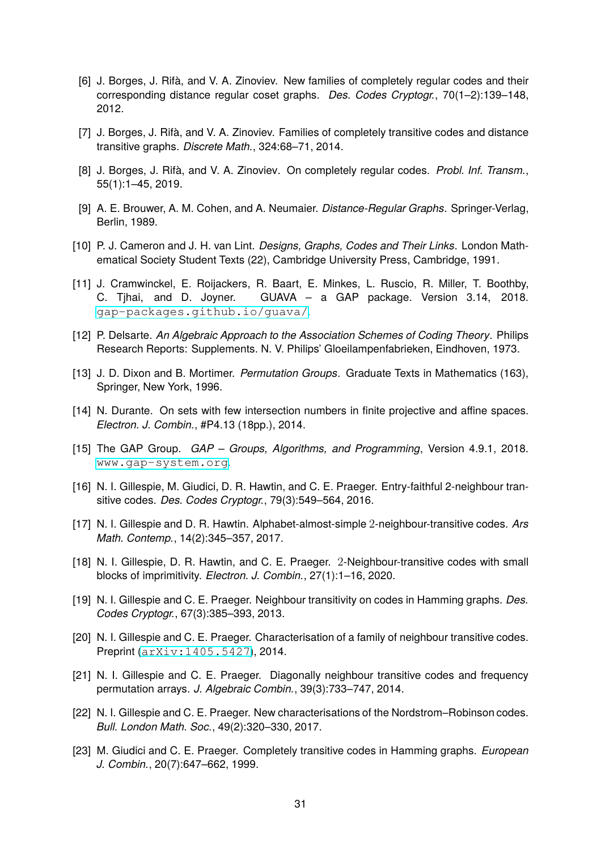- <span id="page-30-1"></span>[6] J. Borges, J. Rifà, and V. A. Zinoviev. New families of completely regular codes and their corresponding distance regular coset graphs. *Des. Codes Cryptogr.*, 70(1–2):139–148, 2012.
- <span id="page-30-3"></span><span id="page-30-2"></span>[7] J. Borges, J. Rifà, and V. A. Zinoviev. Families of completely transitive codes and distance transitive graphs. *Discrete Math.*, 324:68–71, 2014.
- <span id="page-30-13"></span>[8] J. Borges, J. Rifà, and V. A. Zinoviev. On completely regular codes. *Probl. Inf. Transm.*, 55(1):1–45, 2019.
- <span id="page-30-14"></span>[9] A. E. Brouwer, A. M. Cohen, and A. Neumaier. *Distance-Regular Graphs*. Springer-Verlag, Berlin, 1989.
- <span id="page-30-16"></span>[10] P. J. Cameron and J. H. van Lint. *Designs, Graphs, Codes and Their Links*. London Mathematical Society Student Texts (22), Cambridge University Press, Cambridge, 1991.
- [11] J. Cramwinckel, E. Roijackers, R. Baart, E. Minkes, L. Ruscio, R. Miller, T. Boothby, C. Tjhai, and D. Joyner. GUAVA – a GAP package. Version 3.14, 2018. <gap-packages.github.io/guava/>.
- <span id="page-30-12"></span><span id="page-30-0"></span>[12] P. Delsarte. *An Algebraic Approach to the Association Schemes of Coding Theory*. Philips Research Reports: Supplements. N. V. Philips' Gloeilampenfabrieken, Eindhoven, 1973.
- <span id="page-30-8"></span>[13] J. D. Dixon and B. Mortimer. *Permutation Groups*. Graduate Texts in Mathematics (163), Springer, New York, 1996.
- <span id="page-30-17"></span>[14] N. Durante. On sets with few intersection numbers in finite projective and affine spaces. *Electron. J. Combin.*, #P4.13 (18pp.), 2014.
- <span id="page-30-9"></span>[15] The GAP Group. *GAP – Groups, Algorithms, and Programming*, Version 4.9.1, 2018. <www.gap-system.org>.
- <span id="page-30-10"></span>[16] N. I. Gillespie, M. Giudici, D. R. Hawtin, and C. E. Praeger. Entry-faithful 2-neighbour transitive codes. *Des. Codes Cryptogr.*, 79(3):549–564, 2016.
- [17] N. I. Gillespie and D. R. Hawtin. Alphabet-almost-simple 2-neighbour-transitive codes. *Ars Math. Contemp.*, 14(2):345–357, 2017.
- <span id="page-30-11"></span>[18] N. I. Gillespie, D. R. Hawtin, and C. E. Praeger. 2-Neighbour-transitive codes with small blocks of imprimitivity. *Electron. J. Combin.*, 27(1):1–16, 2020.
- <span id="page-30-5"></span>[19] N. I. Gillespie and C. E. Praeger. Neighbour transitivity on codes in Hamming graphs. *Des. Codes Cryptogr.*, 67(3):385–393, 2013.
- <span id="page-30-6"></span>[20] N. I. Gillespie and C. E. Praeger. Characterisation of a family of neighbour transitive codes. Preprint ([arXiv:1405.5427](http://arxiv.org/abs/1405.5427)), 2014.
- <span id="page-30-7"></span>[21] N. I. Gillespie and C. E. Praeger. Diagonally neighbour transitive codes and frequency permutation arrays. *J. Algebraic Combin.*, 39(3):733–747, 2014.
- <span id="page-30-15"></span>[22] N. I. Gillespie and C. E. Praeger. New characterisations of the Nordstrom–Robinson codes. *Bull. London Math. Soc.*, 49(2):320–330, 2017.
- <span id="page-30-4"></span>[23] M. Giudici and C. E. Praeger. Completely transitive codes in Hamming graphs. *European J. Combin.*, 20(7):647–662, 1999.